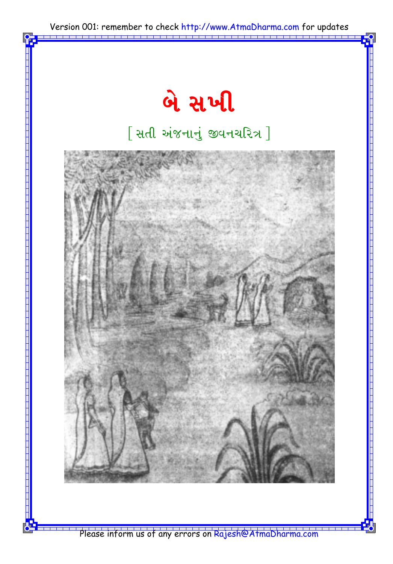

Please inform us of any errors on Rajesh@AtmaDharma.com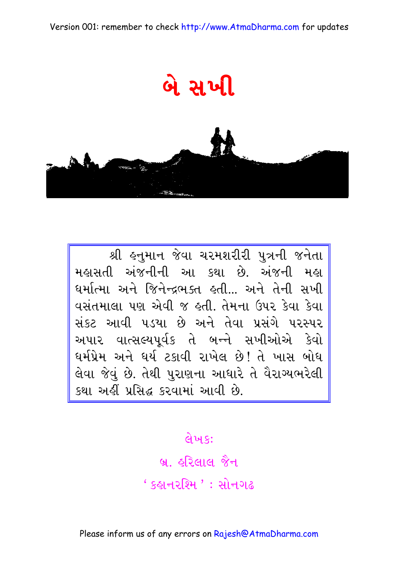



શ્રી હનુમાન જેવા ચરમશરીરી પુત્રની જનેતા મહાસતી અંજનીની આ કથા છે. અંજની મહા ધર્માત્મા અને જિનેન્દ્રભક્ત હતી... અને તેની સખી વસંતમાલા પણ એવી જ હતી. તેમના ઉપર કેવા કેવા સંકટ આવી ૫ડયા છે અને તેવા પ્રસંગે ૫૨સ્પર અપાર વાત્સલ્યપૂર્વક તે બન્ને સખીઓએ કેવો ઘર્મપ્રેમ અને ઘર્ય ટકાવી રાખેલ છે! તે ખાસ બોધ<br>લેવા જેવું છે. તેથી પુરાણના આધારે તે વૈરાગ્યભરેલી કથા અહીં પ્રસિદ્ધ કરવામાં આવી છે.

લેખકઃ

બ્ર. હરિલાલ જૈન ' કહાનરશ્મિ ' : સોનગઢ

Please inform us of any errors on Rajesh@AtmaDharma.com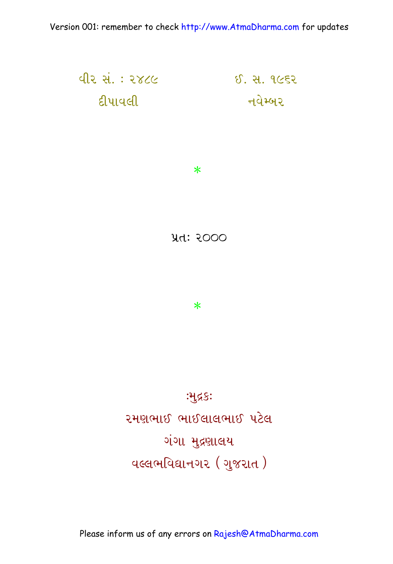રમણભાઈ ભાઈલાલભાઈ પટેલ ગંગા મુદ્રણાલય पत्सभविद्यानगर (गुणरात)

:भुद्र§:

Version 001: remember to check http://www.AtmaDharma.com for updates

<u>વીર સં.: ૨૪૮૯</u> ઈ. સ. ૧૯૬૨ ट्टीपावली નવેમ્બર

**yd: २०००** 

 $\ast$ 

 $\ast$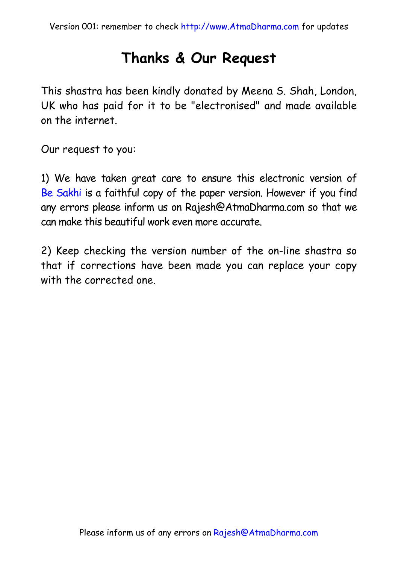#### **Thanks & Our Request**

This shastra has been kindly donated by Meena S. Shah, London, UK who has paid for it to be "electronised" and made available on the internet.

Our request to you:

1) We have taken great care to ensure this electronic version of Be Sakhi is a faithful copy of the paper version. However if you find any errors please inform us on Rajesh@AtmaDharma.com so that we can make this beautiful work even more accurate.

2) Keep checking the version number of the on-line shastra so that if corrections have been made you can replace your copy with the corrected one.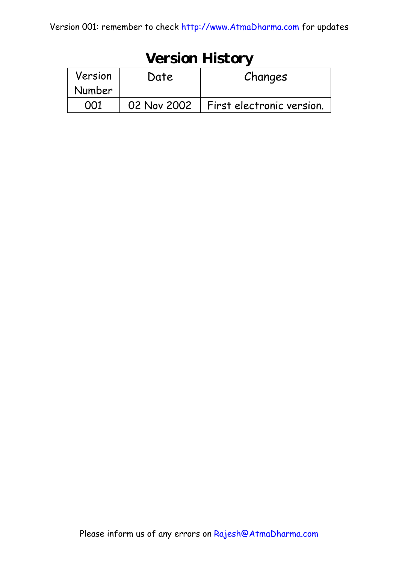| <b>Version History</b> |             |                           |
|------------------------|-------------|---------------------------|
| Version                | Date        | Changes                   |
| Number                 |             |                           |
|                        | 02 Nov 2002 | First electronic version. |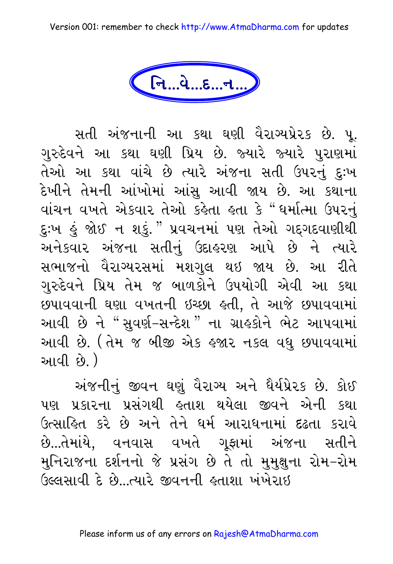Version 001: remember to check http://www.AtmaDharma.com for updates

નિ...વે...દ...ન...

સતી અંજનાની આ કથા ઘણી વૈરાગ્યપ્રેરક છે. પૂ. ગુરુદેવને આ કથા ઘણી પ્રિય છે. જ્યારે જ્યારે પુરાણમાં તેઓ આ કથા વાંચે છે ત્યારે અંજના સતી ઉપરનું દુઃખ દેખીને તેમની આંખોમાં આંસુ આવી જાય છે. આ કથાના વાંચન વખતે એકવાર તેઓ કહેતા હતા કે "ઘર્માત્મા ઉપરનું દુઃખ હું જોઈ ન શકું. "પ્રવચનમાં પણ તેઓ ગદ્ગદવાણીથી અનેકવાર અંજના સતીનું ઉદાહરણ આપે છે ને ત્યારે સભાજનો વૈરાગ્યરસમાં મશગુલ થઇ જાય છે. આ રીતે ગુરુદેવને પ્રિય તેમ જ બાળકોને ઉપયોગી એવી આ કથા છપાવવાની ઘણા વખતની ઇચ્છા હતી, તે આજે છપાવવામાં આવી છે ને "સુવર્ણ-સન્દેશ" ના ગ્રાહકોને ભેટ આપવામાં આવી છે. (તેમ જ બીજી એક હજાર નકલ વધુ છપાવવામાં <u>આવી છે.</u> )

અંજનીનું જીવન ઘણું વૈરાગ્ય અને ધૈર્યપ્રેરક છે. કોઈ પણ પ્રકારના પ્રસંગથી હતાશ થયેલા જીવને એની કથા ઉત્સાહિત કરે છે અને તેને ધર્મ આરાધનામાં દઢતા કરાવે છે...તેમાંયે, વનવાસ વખતે ગુફામાં અંજના સતીને મુનિરાજના દર્શનનો જે પ્રસંગ છે તે તો મુમુક્ષુના રોમ–રોમ ઉલ્લસાવી દે છે...ત્યારે જીવનની હતાશા ખંખેરાઈ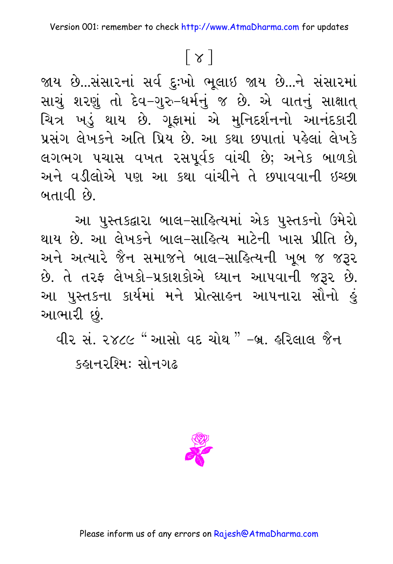# $\lceil x \rceil$

જાય છે...સંસારનાં સર્વ દુઃખો ભૂલાઇ જાય છે...ને સંસારમાં સાચું શરણું તો દેવ–ગુરુ–ધર્મનું જ છે. એ વાતનું સાક્ષાત્ ચિત્ર ખડું થાય છે. ગૂફામાં એ મુનિદર્શનનો આનંદકારી પ્રસંગ લેખકને અતિ પ્રિય છે. આ કથા છપાતાં પહેલાં લેખકે લગભગ પચાસ વખત રસપૂર્વક વાંચી છે; અનેક બાળકો અને વડીલોએ પણ આ કથા વાંચીને તે છપાવવાની ઇચ્છા બતાવી છે.

આ પુસ્તકદ્વારા બાલ-સાહિત્યમાં એક પુસ્તકનો ઉમેરો થાય છે. આ લેખકને બાલ–સાહિત્ય માટેની ખાસ પ્રીતિ છે, અને અત્યારે જૈન સમાજને બાલ–સાહિત્યની ખૂબ જ જરૂર છે. તે તરફ લેખકો-પ્રકાશકોએ ઘ્યાન આપવાની જરૂર છે. આ પુસ્તકના કાર્યમાં મને પ્રોત્સાહન આપનારા સૌનો હું આભારી છું.

વીર સં. ૨૪૮૯ " આસો વદ ચોથ " –બ્ર. હરિલાલ જૈન કહાનરશ્મિ: સોનગઢ

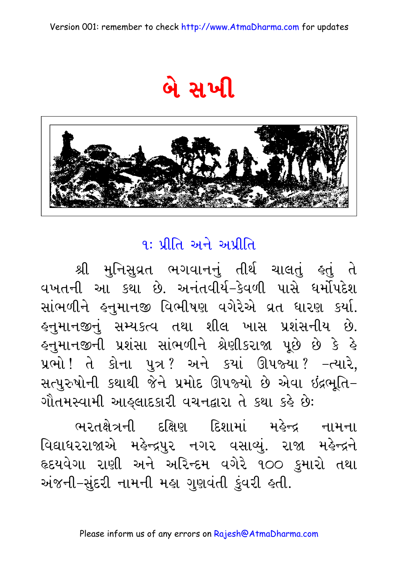બે સખી



#### $9: 307$  અને અપ્રીતિ

શ્રી મુનિસુવ્રત ભગવાનનું તીર્થ ચાલતું હતું તે વખતની આ કથા છે. અનંતવીર્ય–કેવળી પાસે ધર્મોપદેશ સાંભળીને હનુમાનજી વિભીષણ વગેરેએ વ્રત ધારણ કર્યા. હનુમાનજીનું સમ્યકત્વ તથા શીલ ખાસ પ્રશંસનીય છે. લ્નુમાનજીની પ્રશંસા સાંભળીને શ્રેણીકરાજા પૂછે છે કે હે પ્રભો ! તે કોના પુત્ર ? અને કયાં ઊપજ્યા ? –ત્યારે, સત્પુરુષોની કથાથી જેને પ્રમોદ ઊપજ્યો છે એવા ઇંદ્રભૂતિ– ગૌતમસ્વામી આહ્લાદકારી વચનદ્વારા તે કથા કહે છે:

ભરતક્ષેત્રની દક્ષિણ દિશામાં મહેન્દ્ર નામના વિદ્યાધરરાજાએ મહેન્દ્રપુર નગર વસાવ્યું. રાજા મહેન્દ્રને હૃદયવેગા રાણી અને અરિન્દમ વગેરે ૧૦૦ કુમારો તથા અંજની–સુંદરી નામની મહા ગુણવંતી કુંવરી હતી.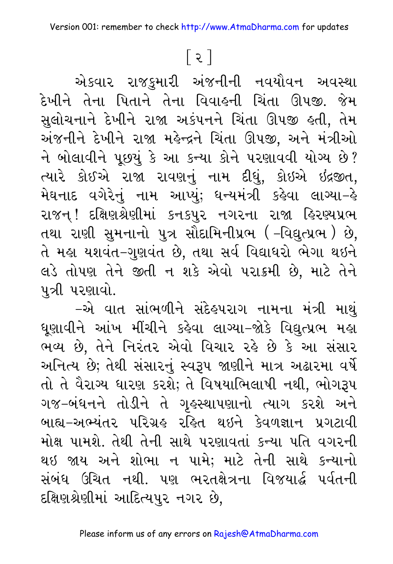## $\lceil z \rceil$

એકવાર રાજકુમારી અંજનીની નવયૌવન અવસ્થા દેખીને તેના પિતાને તેના વિવાહની ચિંતા ઊપજી. જેમ સુલોચનાને દેખીને રાજા અકંપનને ચિંતા ઊપજી હતી, તેમ અંજનીને દેખીને રાજા મહેન્દ્રને ચિંતા ઊપજી. અને મંત્રીઓ ને બોલાવીને પૂછયું કે આ કન્યા કોને પરણાવવી યોગ્ય છે? ત્યારે કોઈએ રાજા રાવણનું નામ દીધું, કોઇએ ઇંદ્રજીત, મેઘનાદ વગેરેનું નામ આપ્યું; ધન્યમંત્રી કહેવા લાગ્યા–હે રાજન્ ! દક્ષિણશ્રેણીમાં કનકપુર નગરના રાજા હિરણ્યપ્રભ તથા રાણી સુમનાનો પુત્ર સૌદામિનીપ્રભ ( –વિદ્યુત્પ્રભ ) છે, તે મહા યશવંત–ગુણવંત છે, તથા સર્વ વિદ્યાધરો ભેગા થઇને લડે તોપણ તેને જીતી ન શકે એવો પરાક્રમી છે, માટે તેને પુત્રી પરણાવો.

–એ વાત સાંભળીને સંદેહપરાગ નામના મંત્રી માથું ધૂણાવીને આંખ મીંચીને કહેવા લાગ્યા–જોકે વિદ્યુત્પ્રભ મહા ભવ્ય છે, તેને નિરંતર એવો વિચાર રહે છે કે આ સંસાર અનિત્ય છે; તેથી સંસારનું સ્વરૂપ જાણીને માત્ર અઢારમા વર્ષે તો તે વૈરાગ્ય ધારણ કરશે; તે વિષયાભિલાષી નથી, ભોગરૂપ ગજ-બંધનને તોડીને તે ગૃહસ્થાપણાનો ત્યાગ કરશે અને બાહ્ય-અભ્યંતર પરિગ્રહ રહિત થઇને કેવળજ્ઞાન પ્રગટાવી મોક્ષ પામશે. તેથી તેની સાથે પરણાવતાં કન્યા પતિ વગરની થઇ જાય અને શોભા ન પામે; માટે તેની સાથે કન્યાનો સંબંધ ઉચિત નથી. પણ ભરતક્ષેત્રના વિજયાર્દ્ધ પર્વતની દક્ષિણશ્રેણીમાં આદિત્યપુર નગર છે.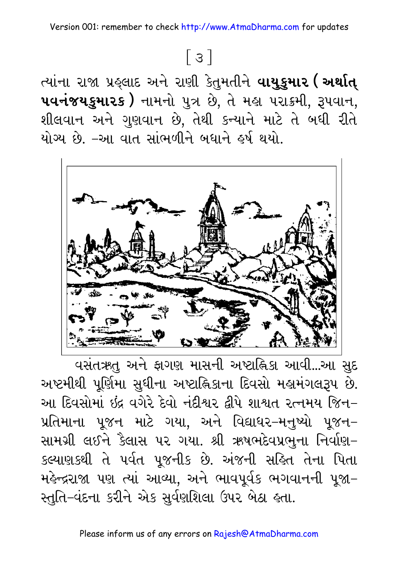ત્યાંના રાજા પ્રહ્લાદ અને રાણી કેતુમતીને **વાયુકુમાર ( અર્થાત્** uuનંજયકુમારક ) નામનો પુત્ર છે, તે મહા પરાક્રમી, રૂપવાન, શીલવાન અને ગુણવાન છે, તેથી કન્યાને માટે તે બધી રીતે યોગ્ય છે. –આ વાત સાંભળીને બધાને હર્ષ થયો.



વસંતઋતુ અને ફાગણ માસની અષ્ટાહ્નિકા આવી...આ સુદ અષ્ટમીથી પૂર્ણિમા સુધીના અષ્ટાહ્નિકાના દિવસો મહામંગલરૂપ છે. આ દિવસોમાં ઇંદ્ર વગેરે દેવો નંદીશ્વર દીપે શાશ્વત રત્નમય જિન– પ્રતિમાના પૂજન માટે ગયા, અને વિદ્યાધર–મનુષ્યો પૂજન– સામગ્રી લઈને કૈલાસ પર ગયા. શ્રી ઋષભદેવપ્રભુના નિર્વાણ-કલ્યાણકથી તે પર્વત પૂજનીક છે. અંજની સહિત તેના પિતા મહેન્દ્રરાજા પણ ત્યાં આવ્યા, અને ભાવપૂર્વક ભગવાનની પૂજા– સ્તુતિ–વંદના કરીને એક સુર્વણશિલા ઉપર બેઠા હતા.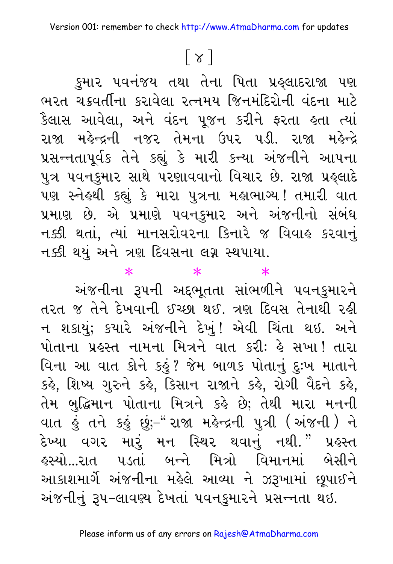# $\lceil \chi \rceil$

કુમાર પવનંજય તથા તેના પિતા પ્રહ્લાદરાજા પણ ભરત ચક્રવર્તીના કરાવેલા રત્નમય જિનમંદિરોની વંદના માટે કૈલાસ આવેલા, અને વંદન પૂજન કરીને ફરતા હતા ત્યાં રાજા મહેન્દ્રની નજર તેમના ઉપર પડી. રાજા મહેન્દ્રે પ્રસન્નતાપૂર્વક તેને કહ્યું કે મારી કન્યા અંજનીને આપના પુત્ર પવનકુમાર સાથે પરણાવવાનો વિચાર છે. રાજા પ્રહ્લાદે પણ સ્નેહથી કહ્યું કે મારા પુત્રના મહાભાગ્ય! તમારી વાત પ્રમાણ છે. એ પ્રમાણે પવન્ફુમાર અને અંજનીનો સંબંધ નક્કી થતાં, ત્યાં માનસરોવરના કિનારે જ વિવાહ કરવાનું નક્કી થયું અને ત્રણ દિવસના લગ્ન સ્થપાયા.

 $\ast$ 

 $\ast$ 

 $\ast$ 

અંજનીના રૂપની અદ્દભૂતતા સાંભળીને પવનકુમારને તરત જ તેને દેખવાની ઈચ્છા થઈ. ત્રણ દિવસ તેનાથી રહી ન શકાયું; કયારે અંજનીને દેખું! એવી ચિંતા થઇ. અને પોતાના પ્રહસ્ત નામના મિત્રને વાત કરી: હે સખા! તારા વિના આ વાત કોને કહું? જેમ બાળક પોતાનું દુઃખ માતાને કર્લ, શિષ્ય ગુરુને કહે, કિસાન રાજાને કહે, રોગી વૈદને કહે, તેમ બુદ્ધિમાન પોતાના મિત્રને કહે છે; તેથી મારા મનની વાત હું તને કહું છું;-"રાજા મહેન્દ્રની પુત્રી (અંજની) ને દેખ્યા વગર મારું મન સ્થિર થવાનું નથી." પ્રહસ્ત ફસ્યો...રાત પડતાં બન્ને મિત્રો વિમાનમાં બેસીને આકાશમાર્ગે અંજનીના મહેલે આવ્યા ને ઝરૂખામાં છૂપાઈને અંજનીનું રૂપ-લાવણ્ય દેખતાં પવનકુમારને પ્રસન્નતા થઇ.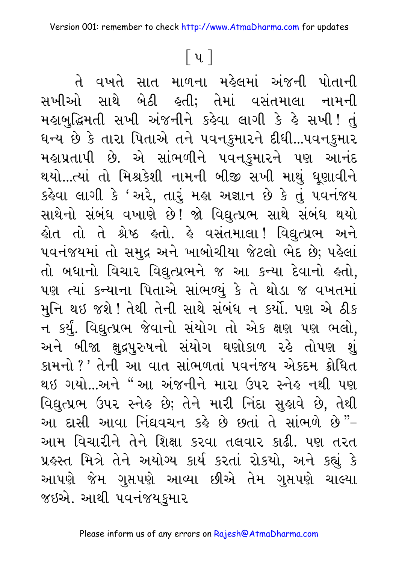## $\lceil \mathbf{u} \rceil$

તે વખતે સાત માળના મહેલમાં અંજની પોતાની સખીઓ સાથે બેઠી હતી; તેમાં વસંતમાલા નામની મહાબુદ્ધિમતી સખી અંજનીને કહેવા લાગી કે હે સખી! તું ધન્ય છે કે તારા પિતાએ તને પવનકુમારને દીધી...પવનકુમાર મહાપ્રતાપી છે. એ સાંભળીને પવનકુમારને પણ આનંદ થયો...ત્યાં તો મિશ્રકેશી નામની બીજી સખી માથું ધૂણાવીને કહેવા લાગી કે 'અરે, તારું મહા અજ્ઞાન છે કે તું પવનંજય સાથેનો સંબંધ વખાણે છે! જો વિદ્યુત્પ્રભ સાથે સંબંધ થયો હોત તો તે શ્રેષ્ઠ હતો. હે વસંતમાલા! વિદ્યુત્પ્રભ અને ૫વનંજયમાં તો સમુદ્ર અને ખાબોચીયા જેટલો ભેદ છે; પહેલાં તો બધાનો વિચાર વિદ્યુત્પ્રભને જ આ કન્યા દેવાનો હતો, પણ ત્યાં કન્યાના પિતાએ સાંભળ્યું કે તે થોડા જ વખતમાં મુનિ થઇ જશે ! તેથી તેની સાથે સંબંધ ન કર્યો. પણ એ ઠીક ન કર્યું. વિદ્યુત્પ્રભ જેવાનો સંયોગ તો એક ક્ષણ પણ ભલો, અને બીજા ક્ષુદ્રપુરુષનો સંયોગ ઘણોકાળ રહે તોપણ શું કામનો ?' તેની આ વાત સાંભળતાં પવનંજય એકદમ ક્રોધિત થઇ ગયો...અને "આ અંજનીને મારા ઉપર સ્નેઙ નથી પણ વિદ્યુત્પ્રભ ઉપર સ્નેહ છે; તેને મારી નિંદા સુહ્યવે છે, તેથી આ દાસી આવા નિંઘવચન કહે છે છતાં તે સાંભળે છે"-આમ વિચારીને તેને શિક્ષા કરવા તલવાર કાઢી. પણ તરત પ્રહસ્ત મિત્રે તેને અયોગ્ય કાર્ય કરતાં રોકયો, અને કહ્યું કે આપણે જેમ ગુપ્તપણે આવ્યા છીએ તેમ ગુપ્તપણે ચાલ્યા જઇએ. આથી પવનંજયકુમાર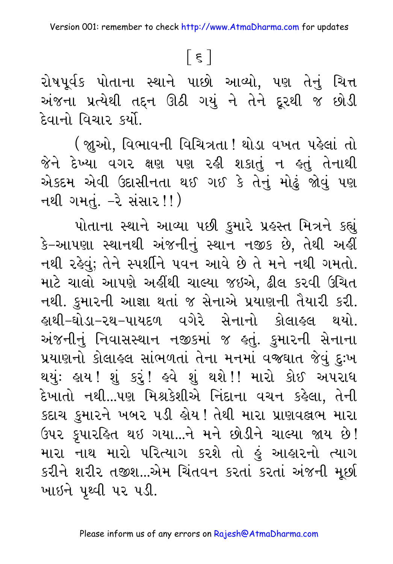## $\lceil \xi \rceil$

રોષપૂર્વક પોતાના સ્થાને પાછો આવ્યો, પણ તેનું ચિત્ત અંજના પ્રત્યેથી તદ્દન ઊઠી ગયું ને તેને દૂરથી જ છોડી દેવાનો વિચાર કર્યો.

(જ્ઞુઓ, વિભાવની વિચિત્રતા! થોડા વખત પહેલાં તો જેને દેખ્યા વગર ક્ષણ પણ રહી શકાતું ન હતું તેનાથી એકદમ એવી ઉદાસીનતા થઈ ગઈ કે તેનું મોઢું જોવું પણ નથી ગમતું. –રે સંસાર!!)

પોતાના સ્થાને આવ્યા પછી કુમારે પ્રહસ્ત મિત્રને કહ્યું કે–આપણા સ્થાનથી અંજનીનું સ્થાન નજીક છે, તેથી અહીં નથી રહેવું; તેને સ્પર્શીને પવન આવે છે તે મને નથી ગમતો. માટે ચાલો આપણે અહીંથી ચાલ્યા જઇએ. ઢીલ કરવી ઉચિત નથી. કુમારની આજ્ઞા થતાં જ સેનાએ પ્રયાણની તૈયારી કરી. ઙ્રાથી−ઘોડા−૨થ−પાયદળ વગેરે સેનાનો કોલાઙ્લ થયો. અંજનીનું નિવાસસ્થાન નજીકમાં જ હતું. કુમારની સેનાના પ્રયાણનો કોલાહલ સાંભળતાં તેના મનમાં વજઘાત જેવું દુઃખ થયુંઃ હાય !શું કરું ! હવે શું થશે ! ! મારો કોઈ અપરાધ દેખાતો નથી...પણ મિશ્રકેશીએ નિંદાના વચન કહેલા, તેની કદાચ કુમારને ખબર ૫ડી હોય! તેથી મારા પ્રાણવલ્રભ મારા ઉપર કૃપારહિત થઇ ગયા...ને મને છોડીને ચાલ્યા જાય છે! મારા નાથ મારો પરિત્યાગ કરશે તો હું આહારનો ત્યાગ કરીને શરીર તજીશ...એમ ચિંતવન કરતાં કરતાં અંજની મૂછી ખાઇને પૃથ્વી પર પડી.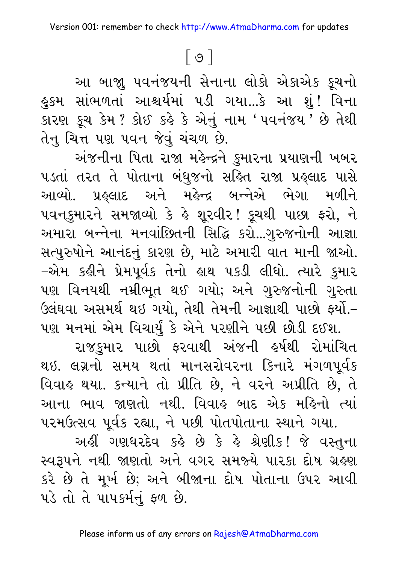$\lceil 0 \rceil$ 

આ બાજ્ય પવનંજયની સેનાના લોકો એકાએક કૂચનો હુકમ સાંભળતાં આશ્ચર્યમાં ૫ડી ગયા...કે આ શું! વિના કારણ કૂચ કેમ ? કોઈ કર્લ્ડ કે એનું નામ 'પવનંજય ' છે તેથી તેનુ ચિત્ત પણ પવન જેવું ચંચળ છે.

અંજનીના પિતા રાજા મહેન્દ્રને કુમારના પ્રયાણની ખબર પડતાં તરત તે પોતાના બંધુજનો સહિત રાજા પ્રહ્લાદ પાસે આવ્યો. પ્રહ્લાદ અને મહેન્દ્ર બન્નેએ ભેગા મળીને ૫વનકુમારને સમજાવ્યો કે હે શૂરવીર! કૂચથી પાછા ફરો, ને અમારા બન્નેના મનવાંછિતની સિદ્ધિ કરો...ગુરુજનોની આજ્ઞા સત્પુરુષોને આનંદનું કારણ છે, માટે અમારી વાત માની જાઓ. -એમ કહીને પ્રેમપૂર્વક તેનો હાથ પકડી લીધો. ત્યારે કુમાર પણ વિનયથી નમ્રીભૂત થઈ ગયો; અને ગુરુજનોની ગુરુતા ઉલંઘવા અસમર્થ થઇ ગયો, તેથી તેમની આજ્ઞાથી પાછો ફર્યો.-પણ મનમાં એમ વિચાર્યું કે એને પરણીને પછી છોડી દઈશ.

રાજકુમાર પાછો ફરવાથી અંજની હર્ષથી રોમાંચિત થઇ. લગ્નનો સમય થતાં માનસરોવરના કિનારે મંગળપૂર્વક વિવાહ થયા. કન્યાને તો પ્રીતિ છે, ને વરને અપ્રીતિ છે, તે આના ભાવ જાણતો નથી. વિવાહ બાદ એક મહિનો ત્યાં પરમઉત્સવ પૂર્વક રહ્યા, ને પછી પોતપોતાના સ્થાને ગયા.

અહીં ગણધરદેવ કહે છે કે હે શ્રેણીક! જે વસ્તુના સ્વરૂપને નથી જાણતો અને વગર સમજ્યે પારકા દોષ ગ્રહણ કરે છે તે મૂર્ખ છે; અને બીજાના દોષ પોતાના ઉપર આવી પડે તો તે પાપકર્મનું ફળ છે.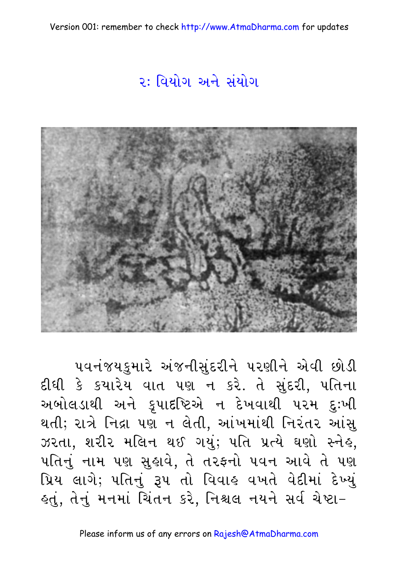Version 001: remember to check http://www.AtmaDharma.com for updates

#### ૨: વિયોગ અને સંયોગ



પવનંજયકુમારે અંજનીસુંદરીને પરણીને એવી છોડી દીધી કે કયારેય વાત પણ ન કરે. તે સુંદરી, પતિના અબોલડાથી અને કૃપાદષ્ટિએ ન દેખવાથી પરમ દુઃખી થતી; રાત્રે નિદ્રા પણ ન લેતી, આંખમાંથી નિરંતર આંસુ ઝરતા, શરીર મલિન થઈ ગયું; પતિ પ્રત્યે ઘણો સ્નેહ, પતિનું નામ પણ સુહ્રાવે, તે તરફનો પવન આવે તે પણ પ્રિય લાગે; પતિનું રૂપ તો વિવાહ વખતે વેદીમાં દેખ્યું લ્તું, તેનું મનમાં ચિંતન કરે, નિશ્ચલ નયને સર્વ ચેષ્ટા−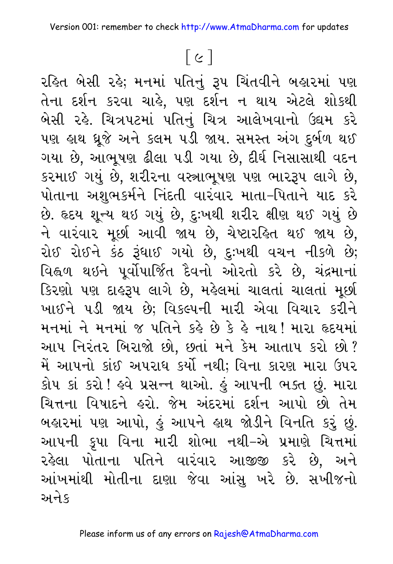# $[ c ]$

રહિત બેસી રહે; મનમાં પતિનું રૂપ ચિંતવીને બહારમાં પણ તેના દર્શન કરવા ચાહે, પણ દર્શન ન થાય એટલે શોકથી બેસી રહે. ચિત્રપટમાં પતિનું ચિત્ર આલેખવાનો ઉદ્યમ કરે પણ હાથ ધ્રૂજે અને કલમ ૫ડી જાય. સમસ્ત અંગ દુર્બળ થઈ ગયા છે, આભૂષણ ઢીલા ૫ડી ગયા છે, દીર્ઘ નિસાસાથી વદન કરમાઈ ગયું છે, શરીરના વસ્ત્રાભૂષણ પણ ભારરૂપ લાગે છે, પોતાના અશુભકર્મને નિંદતી વારંવાર માતા–પિતાને યાદ કરે છે. હૃદય શૂન્ય થઇ ગયું છે, દુઃખથી શરીર ક્ષીણ થઈ ગયું છે ને વારંવાર મૂર્છા આવી જાય છે, ચેષ્ટારહિત થઈ જાય છે, રોઈ રોઈને કંઠ રૂંધાઈ ગયો છે, દુઃખથી વચન નીકળે છે; વિહ્વળ થઇને પૂર્વોપાર્જિત દૈવનો ઓરતો કરે છે, ચંદ્રમાનાં કિરણો પણ દાહરૂપ લાગે છે, મહેલમાં ચાલતાં ચાલતાં મૂછી ખાઈને ૫ડી જાય છે; વિકલ્પની મારી એવા વિચાર કરીને મનમાં ને મનમાં જ પતિને કર્લ્ડ છે કે હે નાથ ! મારા હૃદયમાં આપ નિરંતર બિરાજો છો, છતાં મને કેમ આતાપ કરો છો? મેં આપનો કાંઈ અપરાધ કર્યો નથી; વિના કારણ મારા ઉપર કોપ કાં કરો ! હવે પ્રસન્ન થાઓ. હું આપની ભક્ત છું. મારા ચિત્તના વિષાદને હરો. જેમ અંદરમાં દર્શન આપો છો તેમ બહારમાં પણ આપો, હું આપને હાથ જોડીને વિનતિ કરું છું. આપની કૃપા વિના મારી શોભા નથી–એ પ્રમાણે ચિત્તમાં રહેલા પોતાના પતિને વારંવાર આજીજી કરે છે, અને આંખમાંથી મોતીના દાણા જેવા આંસુ ખરે છે. સખીજનો અનેક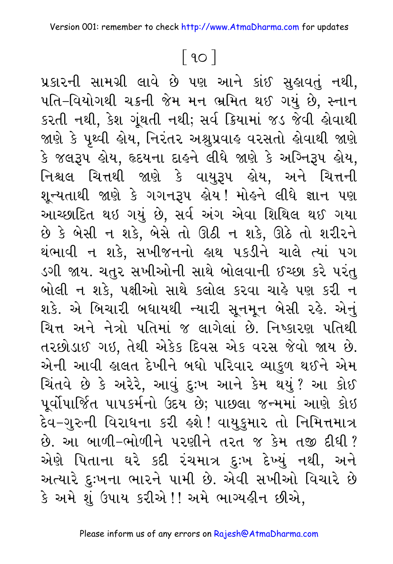## $\lceil 90 \rceil$

પ્રકારની સામગ્રી લાવે છે પણ આને કાંઈ સુહાવતું નથી, પતિ–વિયોગથી ચક્રની જેમ મન ભ્રમિત થઈ ગયું છે, સ્નાન કરતી નથી, કેશ ગૂંથતી નથી; સર્વ ક્રિયામાં જડ જેવી હોવાથી જાણે કે પૃથ્વી હોય, નિરંતર અશ્રુપ્રવાહ વરસતો હોવાથી જાણે કે જલરૂપ હોય, હૃદયના દાહને લીધે જાણે કે અગ્નિરૂપ હોય, નિશ્ચલ ચિત્તથી જાણે કે વાયુરૂપ હોય, અને ચિત્તની શૂન્યતાથી જાણે કે ગગનરૂપ હોય ! મોહને લીધે જ્ઞાન પણ આચ્છાદિત થઇ ગયું છે, સર્વ અંગ એવા શિથિલ થઈ ગયા છે કે બેસી ન શકે, બેસે તો ઊઠી ન શકે, ઊઠે તો શરીરને થંભાવી ન શકે, સખીજનનો હાથ પકડીને ચાલે ત્યાં પગ ડગી જાય. ચતુર સખીઓની સાથે બોલવાની ઈચ્છા કરે પરંતુ બોલી ન શકે, પક્ષીઓ સાથે કલોલ કરવા ચાહે પણ કરી ન શકે. એ બિચારી બધાયથી ન્યારી સૂનમૂન બેસી રહે. એનું ચિત્ત અને નેત્રો પતિમાં જ લાગેલાં છે. નિષ્કારણ પતિથી તરછોડાઈ ગઇ, તેથી એકેક દિવસ એક વરસ જેવો જાય છે. એની આવી હાલત દેખીને બધો પરિવાર વ્યાકુળ થઈને એમ ચિંતવે છે કે અરેરે, આવું દુઃખ આને કેમ થયું? આ કોઈ પૂર્વોપાર્જિત પાપકર્મનો ઉદય છે; પાછલા જન્મમાં આણે કોઇ દેવ–ગુરુની વિરાધના કરી <mark>હશે ! વાયુકુમાર તો નિમિત્તમાત્ર</mark> છે. આ બાળી-ભોળીને પરણીને તરત જ કેમ તજી દીધી ? એણે પિતાના ઘરે કદી રંચમાત્ર દુઃખ દેખ્યું નથી, અને અત્યારે દુઃખના ભારને પામી છે. એવી સખીઓ વિચારે છે કે અમે શું ઉપાય કરીએ !! અમે ભાગ્યહીન છીએ,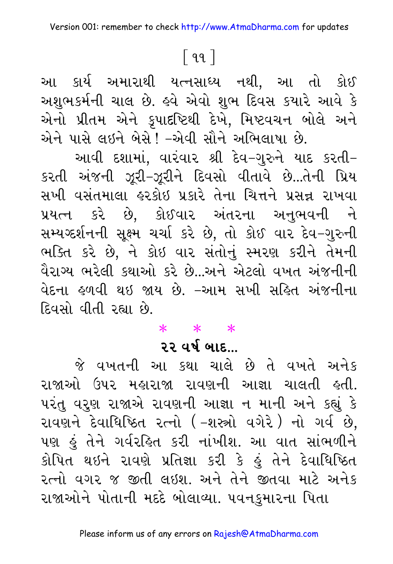#### <u>િ</u>૧૧ ]

આ કાર્ય અમારાથી યત્નસાધ્ય નથી, આ તો કોઈ અશુભકર્મની ચાલ છે. હવે એવો શુભ દિવસ કયારે આવે કે એનો પ્રીતમ એને કૃપાદષ્ટિથી દેખે, મિષ્ટવચન બોલે અને એને પાસે લઈને બેસે ! –એવી સૌને અભિલાષા છે.

આવી દશામાં, વારંવાર શ્રી દેવ–ગુરુને યાદ કરતી– કરતી અંજની ઝૂરી-ઝૂરીને દિવસો વીતાવે છે...તેની પ્રિય સખી વસંતમાલા હરકોઇ પ્રકારે તેના ચિત્તને પ્રસન્ન રાખવા પ્રયત્ન કરે છે, કોઈવાર અંતરના અનુભવની ને સમ્યગ્દર્શનની સૂક્ષ્મ ચર્ચા કરે છે, તો કોઈ વાર દેવ-ગુરુની ભક્તિ કરે છે, ને કોઇ વાર સંતોનું સ્મરણ કરીને તેમની વૈરાગ્ય ભરેલી કથાઓ કરે છે...અને એટલો વખત અંજનીની વેદના હળવી થઇ જાય છે. –આમ સખી સહિત અંજનીના દિવસો વીતી રહ્યા છે.

 $* * * *$ 

#### $22.99$   $915...$

જે વખતની આ કથા ચાલે છે તે વખતે અનેક રાજાઓ ઉપર મહારાજા રાવણની આજ્ઞા ચાલતી હતી. પરંતુ વરુણ રાજાએ રાવણની આજ્ઞા ન માની અને કહ્યું કે રાવણને દેવાધિષ્ઠિત રત્નો (-શસ્ત્રો વગેરે) નો ગર્વ છે, પણ હું તેને ગર્વરહિત કરી નાંખીશ. આ વાત સાંભળીને કોપિત થઇને રાવણે પ્રતિજ્ઞા કરી કે હું તેને દેવાધિષ્ઠિત રત્નો વગર જ જીતી લઇશ. અને તેને જીતવા માટે અનેક રાજાઓને પોતાની મદદે બોલાવ્યા. ૫વનકુમારના પિતા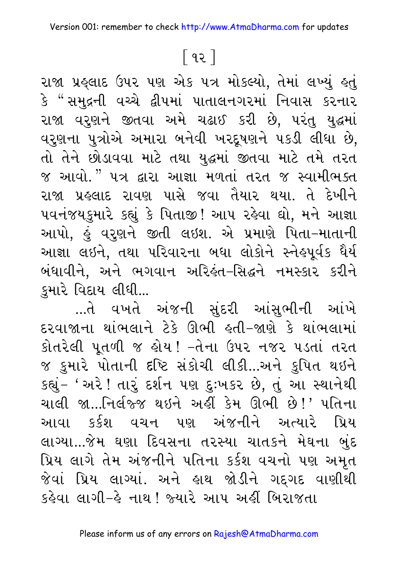## <u>િ</u> ૧૨ ]

રાજા પ્રહ્લાદ ઉપર પણ એક ૫ત્ર મોકલ્યો, તેમાં લખ્યું હતું કે "સમુદ્રની વચ્ચે દ્વીપમાં પાતાલનગરમાં નિવાસ કરનાર રાજા વરૂણને જીતવા અમે ચઢાઈ કરી છે, પરંતુ યુદ્ધમાં વરૂણના પુત્રોએ અમારા બનેવી ખરદૂષણને પકડી લીધા છે, તો તેને છોડાવવા માટે તથા યુદ્ધમાં જીતવા માટે તમે તરત જ આવો." પત્ર દ્વારા આજ્ઞા મળતાં તરત જ સ્વામીભક્ત રાજા પ્રહલાદ રાવણ પાસે જવા તૈયાર થયા. તે દેખીને ૫વનંજયકુમારે કહ્યું કે પિતાજી! આપ રહેવા ઘો, મને આજ્ઞા આપો, હું વરુણને જીતી લઇશ. એ પ્રમાણે પિતા-માતાની આજ્ઞા લઇને, તથા પરિવારના બધા લોકોને સ્નેહપૂર્વક ધૈર્ય બંધાવીને, અને ભગવાન અરિહંત-સિદ્ધને નમસ્કાર કરીને કુમારે વિદાય લીધી...

...તે વખતે અંજની સુંદરી આંસુભીની આંખે દરવાજાના થાંભલાને ટેકે ઊભી હતી-જાણે કે થાંભલામાં કોતરેલી પૂતળી જ હોય! -તેના ઉપર નજર પડતાં તરત જ કુમારે પોતાની દષ્ટિ સંકોચી લીકી...અને કુપિત થઇને કહ્યું- ' અરે ! તારું દર્શન પણ દુઃખકર છે, તું આ સ્થાનેથી ચાલી જા…નિર્લજ્જ થઇને અહીં કેમ ઊભી છે!' પતિના આવા કર્કશ વચન પણ અંજનીને અત્યારે પ્રિય લાગ્યા...જેમ ઘણા દિવસના તરસ્યા ચાતકને મેઘના બુંદ પ્રિય લાગે તેમ અંજનીને પતિના કર્કશ વચનો પણ અમૃત જેવાં પ્રિય લાગ્યાં. અને હાથ જોડીને ગદ્દગદ વાણીથી કઢેવા લાગી–ઢે નાથ ' જ્યારે આપ અહીં બિરાજતા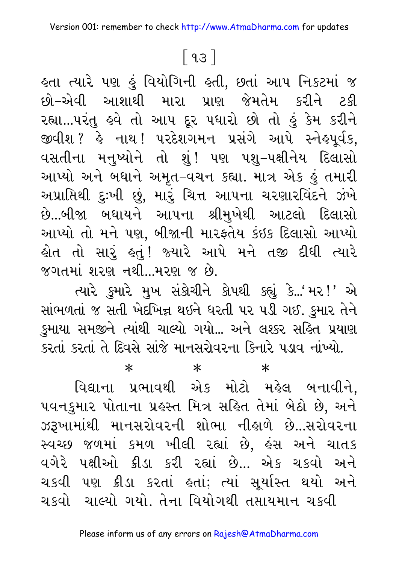#### $\lceil 93 \rceil$

લ્તા ત્યારે પણ કું વિયોગિની ક્લી, છતાં આપ નિકટમાં જ છો–એવી આશાથી મારા પ્રાણ જેમતેમ કરીને ટકી રહ્યા...પરંતુ હવે તો આપ દૂર પધારો છો તો હું કેમ કરીને જીવીશ ? હે નાથ ! પરદેશગમન પ્રસંગે આપે સ્નેહપૂર્વક, વસતીના મનુષ્યોને તો શું! પણ પશુ–પક્ષીનેય દિલાસો આપ્યો અને બધાને અમૃત–વચન કહ્યા. માત્ર એક હું તમારી અપ્રાપ્તિથી દુઃખી છું, મારું ચિત્ત આપના ચરણારવિંદને ઝંખે છે...બીજા બધાયને આપના શ્રીમુખેથી આટલો દિલાસો આપ્યો તો મને પણ, બીજાની મારફતેય કંઇક દિલાસો આપ્યો હોત તો સારું હતું! જ્યારે આપે મને તજી દીધી ત્યારે જગતમાં શરણ નથી...મરણ જ છે.

ત્યારે કુમારે મુખ સંકોચીને કોપથી કહ્યું કે...'મર!' એ સાંભળતાં જ સતી ખેદખિન્ન થઇને ઘરતી પર પડી ગઈ. કુમાર તેને કુમાયા સમજીને ત્યાંથી ચાલ્યો ગયો... અને લશ્કર સહિત પ્રયાણ કરતાં કરતાં તે દિવસે સાંજે માનસરોવરના કિનારે પડાવ નાંખ્યો.

 $\ast$ 

 $\ast$ 

 $\ast$ 

વિદ્યાના પ્રભાવથી એક મોટો મહેલ બનાવીને, ૫વનકુમાર પોતાના પ્રહસ્ત મિત્ર સહિત તેમાં બેઠો છે, અને ઝરૂખામાંથી માનસરોવરની શોભા નીહાળે છે...સરોવરના સ્વચ્છ જળમાં કમળ ખીલી રહ્યાં છે, હંસ અને ચાતક વગેરે પક્ષીઓ ક્રીડા કરી રહ્યાં છે... એક ચકવો અને ચકવી પણ ક્રીડા કરતાં હતાં; ત્યાં સૂર્યાસ્ત થયો અને ચકવો ચાલ્યો ગયો. તેના વિયોગથી તપ્તાયમાન ચકવી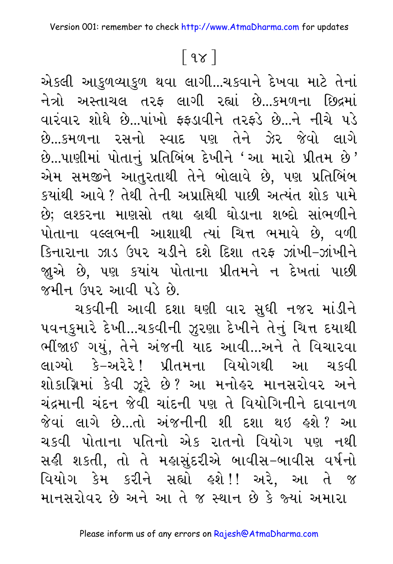## $\lceil 98 \rceil$

એકલી આકુળવ્યાકુળ થવા લાગી...ચકવાને દેખવા માટે તેનાં નેત્રો અસ્તાચલ તરફ લાગી રહ્યાં છે...કમળના છિદ્રમાં વારંવાર શોધે છે...પાંખો કકડાવીને તરફડે છે...ને નીચે પડે છે...કમળના રસનો સ્વાદ પણ તેને ઝેર જેવો લાગે છે...પાણીમાં પોતાનું પ્રતિબિંબ દેખીને 'આ મારો પ્રીતમ છે' એમ સમજીને આતુરતાથી તેને બોલાવે છે, પણ પ્રતિબિંબ કયાંથી આવે ? તેથી તેની અપ્રાપ્તિથી પાછી અત્યંત શોક પામે છે: લશ્કરના માણસો તથા હાથી ઘોડાના શબ્દો સાંભળીને પોતાના વલ્લભની આશાથી ત્યાં ચિત્ત ભમાવે છે, વળી કિનારાના ઝાડ ઉપર ચડીને દશે દિશા તરફ ઝાંખી-ઝાંખીને જ્ઞુએ છે, પણ કયાંય પોતાના પ્રીતમને ન દેખતાં પાછી જમીન ઉપર આવી પડે છે.

ચકવીની આવી દશા ઘણી વાર સુધી નજર માંડીને પવનકુમારે દેખી...ચકવીની ઝૂરણા દેખીને તેનું ચિત્ત દયાથી ભીંજાઈ ગયું, તેને અંજની યાદ આવી...અને તે વિચારવા લાગ્યો કે–અરેરે! પ્રીતમના વિયોગથી આ ચકવી શોકાગ્નિમાં કેવી ઝૂરે છે? આ મનોહર માનસરોવર અને ચંદ્રમાની ચંદન જેવી ચાંદની પણ તે વિયોગિનીને દાવાનળ જેવાં લાગે છે...તો અંજનીની શી દશા થઇ હશે? આ ચકવી પોતાના પતિનો એક રાતનો વિયોગ પણ નથી સહી શકતી, તો તે મહાસુંદરીએ બાવીસ-બાવીસ વર્ષનો વિયોગ કેમ કરીને સહ્યો કશે!! અરે, આ તે જ માનસરોવર છે અને આ તે જ સ્થાન છે કે જ્યાં અમારા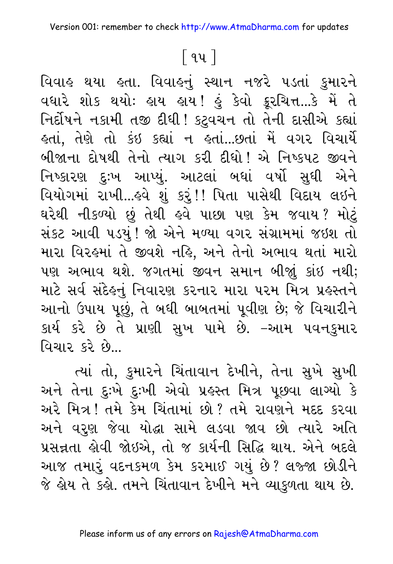## <u>િ</u>૧૫ ]

વિવાહ થયા હતા. વિવાહનું સ્થાન નજરે પડતાં કુમારને વધારે શોક થયોઃ હાય હાય! હું કેવો ક્રૂરચિત્ત...કે મેં તે નિર્દોષને નકામી તજી દીધી! કટુવચન તો તેની દાસીએ કહ્યાં હતાં, તેણે તો કંઇ કહ્યાં ન હતાં...છતાં મેં વગર વિચાર્યે બીજાના દોષથી તેનો ત્યાગ કરી દીધો! એ નિષ્કપટ જીવને નિષ્કારણ દુઃખ આપ્યું. આટલાં બધાં વર્ષો સુધી એને વિયોગમાં રાખી...હવે શું કરું!! પિતા પાસેથી વિદાય લઇને ઘરેથી નીકળ્યો છું તેથી હવે પાછા પણ કેમ જવાય? મોટું સંકટ આવી પડયું ! જો એને મળ્યા વગર સંગ્રામમાં જઇશ તો મારા વિરહમાં તે જીવશે નહિ, અને તેનો અભાવ થતાં મારો પણ અભાવ થશે. જગતમાં જીવન સમાન બીજાું કાંઇ નથી; માટે સર્વ સંદેહનું નિવારણ કરનાર મારા પરમ મિત્ર પ્રહસ્તને આનો ઉપાય પૂછું, તે બધી બાબતમાં પૂવીણ છે; જે વિચારીને કાર્ય કરે છે તે પ્રાણી સુખ પામે છે. –આમ પવનકુમાર વિચાર કરે છે...

ત્યાં તો, કુમારને ચિંતાવાન દેખીને, તેના સુખે સુખી અને તેના દુઃખે દુઃખી એવો પ્રહસ્ત મિત્ર પૂછવા લાગ્યો કે અરે મિત્ર! તમે કેમ ચિંતામાં છો? તમે રાવણને મદદ કરવા અને વરુણ જેવા યોદ્ધા સામે લડવા જાવ છો ત્યારે અતિ પ્રસન્નતા હોવી જોઇએ. તો જ કાર્યની સિદ્ધિ થાય. એને બદલે આજ તમારૂં વદનકમળ કેમ કરમાઈ ગયું છે? લજ્જા છોડીને જે લ્રેય તે કલ્રે. તમને ચિંતાવાન દેખીને મને વ્યાફળતા થાય છે.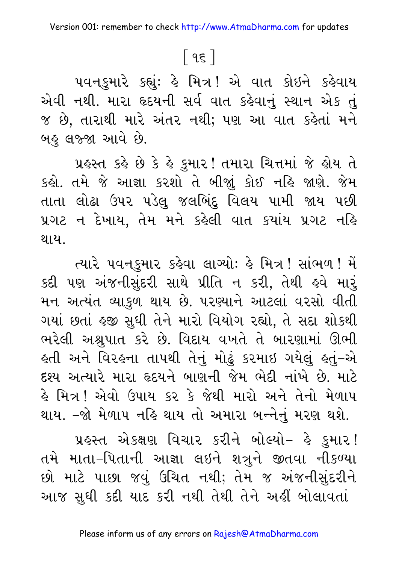## <u>િ</u> ૧૬ ]

૫વનકુમારે કહ્યું: હે મિત્ર! એ વાત કોઇને કહેવાય એવી નથી. મારા હૃદયની સર્વ વાત કહેવાનું સ્થાન એક તું જ છે, તારાથી મારે અંતર નથી; પણ આ વાત કહેતાં મને બહુ લજ્જા આવે છે.

પ્રહસ્ત કહે છે કે હે કુમાર! તમારા ચિત્તમાં જે હોય તે કહો. તમે જે આજ્ઞા કરશો તે બીજાું કોઈ નહિ જાણે. જેમ તાતા લોઢા ઉપર પડેલુ જલબિંદુ વિલય પામી જાય પછી પ્રગટ ન દેખાય, તેમ મને કહેલી વાત કયાંય પ્રગટ નહિ થાય.

ત્યારે પવનકુમાર કહેવા લાગ્યોઃ હે મિત્ર! સાંભળ! મેં કદી પણ અંજનીસુંદરી સાથે પ્રીતિ ન કરી, તેથી હવે મારું મન અત્યંત વ્યાકુળ થાય છે. પરણ્યાને આટલાં વરસો વીતી ગયાં છતાં હજી સુધી તેને મારો વિયોગ રહ્યો, તે સદા શોકથી ભરેલી અશ્રુપાત કરે છે. વિદાય વખતે તે બારણામાં ઊભી ફતી અને વિરફના તાપથી તેનું મોઢું કરમાઇ ગયેલું ફતું–એ દશ્ય અત્યારે મારા હૃદયને બાણની જેમ ભેદી નાંખે છે. માટે હે મિત્ર! એવો ઉપાય કર કે જેથી મારો અને તેનો મેળાપ થાય. –જો મેળાપ નહિ થાય તો અમારા બન્નેનું મરણ થશે.

પ્રહસ્ત એકક્ષણ વિચાર કરીને બોલ્યો- હે કુમાર! તમે માતા-પિતાની આજ્ઞા લઇને શત્રુને જીતવા નીકળ્યા છો માટે પાછા જવું ઉચિત નથી; તેમ જ અંજનીસુંદરીને આજ સુધી કદી યાદ કરી નથી તેથી તેને અહીં બોલાવતાં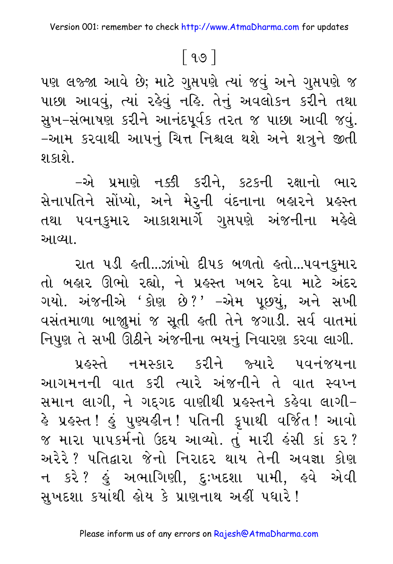## $\lceil 99 \rceil$

પણ લજ્જા આવે છે; માટે ગુપ્તપણે ત્યાં જવું અને ગુપ્તપણે જ પાછા આવવું, ત્યાં રહેવું નહિ. તેનું અવલોકન કરીને તથા સુખ-સંભાષણ કરીને આનંદપૂર્વક તરત જ પાછા આવી જવું. –આમ કરવાથી આપનું ચિત્ત નિશ્ચલ થશે અને શત્રુને જીતી શકાશે.

-એ પ્રમાણે નક્કી કરીને, કટકની રક્ષાનો ભાર સેનાપતિને સોંપ્યો, અને મેરુની વંદનાના બહારને પ્રહસ્ત તથા પવનકુમાર આકાશમાર્ગે ગુપ્તપણે અંજનીના મહેલે આવ્યા.

રાત પડી હતી...ઝાંખો દીપક બળતો હતો...પવનકુમાર તો બહાર ઊભો રહ્યો. ને પ્રહસ્ત ખબર દેવા માટે અંદર ગયો. અંજનીએ 'કોણ છે?' –એમ પૂછયું, અને સખી વસંતમાળા બાજાુમાં જ સૂતી હતી તેને જગાડી. સર્વ વાતમાં નિપુણ તે સખી ઊઠીને અંજનીના ભયનું નિવારણ કરવા લાગી.

પ્રહસ્તે નમસ્કાર કરીને જ્યારે પવનંજયના આગમનની વાત કરી ત્યારે અંજનીને તે વાત સ્વપ્ન સમાન લાગી, ને ગદ્દગદ વાણીથી પ્રહસ્તને કહેવા લાગી– હે પ્રહસ્ત! હું પુણ્યહીન! પતિની કૃપાથી વર્જિત<mark>!</mark> આવો જ મારા પાપકર્મનો ઉદય આવ્યો. તું મારી હંસી કાં કર ? અરેરે ? પતિદ્વારા જેનો નિરાદર થાય તેની અવજ્ઞા કોણ ન કરે ? હું અભાગિણી, દુઃખદશા પામી, હવે એવી સખદશા કયાંથી હોય કે પ્રાણનાથ અહીં પધારે!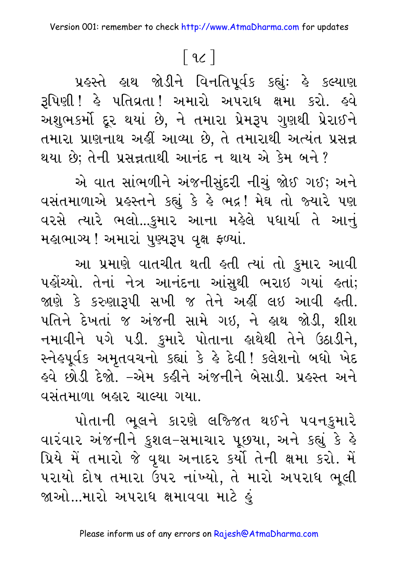## $\lceil 9c \rceil$

પ્રહસ્તે હાથ જોડીને વિનતિપૂર્વક કહ્યું: હે કલ્યાણ રૂપિણી ! હે પતિવ્રતા ! અમારો અપરાધ ક્ષમા કરો. હવે અશુભકર્મો દૂર થયાં છે, ને તમારા પ્રેમરૂપ ગુણથી પ્રેરાઈને તમારા પ્રાણનાથ અહીં આવ્યા છે, તે તમારાથી અત્યંત પ્રસન્ન થયા છે; તેની પ્રસન્નતાથી આનંદ ન થાય એ કેમ બને ?

એ વાત સાંભળીને અંજનીસુંદરી નીચું જોઈ ગઈ; અને વસંતમાળાએ પ્રહસ્તને કહ્યું કે હે ભદ્ર! મેઘ તો જ્યારે પણ વરસે ત્યારે ભલો...કુમાર આના મહેલે પધાર્યા તે આનું મહાભાગ્ય ! અમારાં પુણ્યરૂપ વૃક્ષ ફળ્યાં.

આ પ્રમાણે વાતચીત થતી હતી ત્યાં તો કુમાર આવી પહોંચ્યો. તેનાં નેત્ર આનંદના આંસુથી ભરાઇ ગયાં હતાં; જાણે કે કરુણારૂપી સખી જ તેને અહીં લઇ આવી હતી. પતિને દેખતાં જ અંજની સામે ગઇ, ને હાથ જોડી, શીશ નમાવીને પગે પડી. કુમારે પોતાના હાથેથી તેને ઉઠાડીને, સ્નેહપૂર્વક અમૃતવચનો કહ્યાં કે હે દેવી! કલેશનો બધો ખેદ હવે છોડી દેજો. –એમ કહીને અંજનીને બેસાડી, પ્રહસ્ત અને વસંતમાળા બહાર ચાલ્યા ગયા.

પોતાની ભૂલને કારણે લજ્જિત થઈને પવનકુમારે વારંવાર અંજનીને કુશલ-સમાચાર પૂછયા, અને કહ્યું કે હે પ્રિયે મેં તમારો જે વૃથા અનાદર કર્યો તેની ક્ષમા કરો. મેં પરાયો દોષ તમારા ઉપર નાંખ્યો, તે મારો અપરાધ ભૂલી જાઓ...મારો અપરાધ ક્ષમાવવા માટે ઙં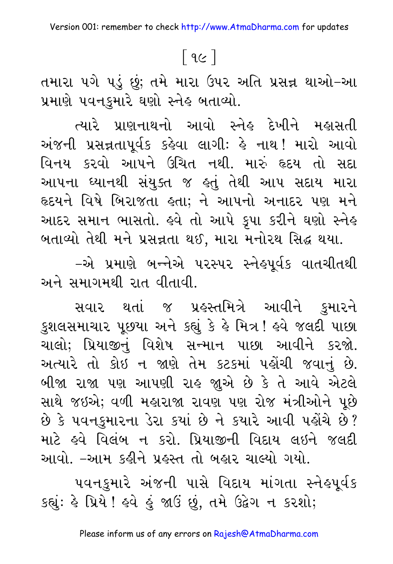## $\lceil$  9 $\epsilon$  ]

તમારા ૫ગે પડું છું; તમે મારા ઉપર અતિ પ્રસન્ન થાઓ–આ પ્રમાણે પવનકુમારે ઘણો સ્નેહ બતાવ્યો.

ત્યારે પ્રાણનાથનો આવો સ્નેહ દેખીને મહાસતી અંજની પ્રસન્નતાપૂર્વક કહેવા લાગીઃ હે નાથ! મારો આવો વિનય કરવો આપને ઉચિત નથી. મારું હૃદય તો સદા આપના ધ્યાનથી સંયુક્ત જ હતું તેથી આપ સદાય મારા હૃદયને વિષે બિરાજતા હતા; ને આપનો અનાદર પણ મને આદર સમાન ભાસતો. હવે તો આપે કૃપા કરીને ઘણો સ્નેહ બતાવ્યો તેથી મને પ્રસન્નતા થઈ, મારા મનોરથ સિદ્ધ થયા.

–એ પ્રમાણે બન્નેએ પરસ્પર સ્નેહપૂર્વક વાતચીતથી અને સમાગમથી રાત વીતાવી.

સવાર થતાં જ પ્રહસ્તમિત્રે આવીને કુમારને કુશલસમાચાર પૂછયા અને કહ્યું કે હે મિત્ર! હવે જલદી પાછા ચાલો; પ્રિયાજીનું વિશેષ સન્માન પાછા આવીને કરજો. અત્યારે તો કોઇ ન જાણે તેમ કટકમાં પહોંચી જવાનું છે. બીજા રાજા પણ આપણી રાહ જાુએ છે કે તે આવે એટલે સાથે જઇએ; વળી મહારાજા રાવણ પણ રોજ મંત્રીઓને પૂછે છે કે ૫વનકુમારના ડેરા કયાં છે ને કયારે આવી ૫હોંચે છે? માટે ઙ્વે વિલંબ ન કરો. પ્રિયાજીની વિદાય લઇને જલદી આવો. –આમ કઢીને પ્રહસ્ત તો બહાર ચાલ્યો ગયો.

૫વનકુમારે અંજની પાસે વિદાય માંગતા સ્નેહપૂર્વક કહ્યું: કે પ્રિયે ! કવે કું જાઉં છું, તમે ઉદ્વેગ ન કરશો;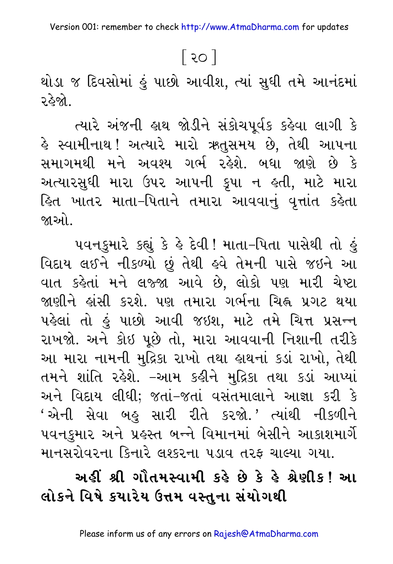## િર૦ ગ

થોડા જ દિવસોમાં હું પાછો આવીશ, ત્યાં સુધી તમે આનંદમાં ર હેજો..

ત્યારે અંજની હાથ જોડીને સંકોચપૂર્વક કહેવા લાગી કે હે સ્વામીનાથ! અત્યારે મારો ઋતુસમય છે, તેથી આપના સમાગમથી મને અવશ્ય ગર્ભ રહેશે. બધા જાણે છે કે અત્યારસુધી મારા ઉપર આપની કૃપા ન હતી, માટે મારા િકત ખાતર માતા–પિતાને તમારા આવવાનું વૃત્તાંત કહેતા જાઓ .

પવનકુમારે કહ્યું કે હે દેવી! માતા-પિતા પાસેથી તો હું વિદાય લઈને નીકળ્યો છું તેથી હવે તેમની પાસે જઇને આ વાત કહેતાં મને લજ્જા આવે છે. લોકો પણ મારી ચેષ્ટા જાણીને હાંસી કરશે. પણ તમારા ગર્ભના ચિહ્ન પ્રગટ થયા પહેલાં તો હું પાછો આવી જઇશ, માટે તમે ચિત્ત પ્રસન્ન રાખજો. અને કોઇ પૂછે તો, મારા આવવાની નિશાની તરીકે આ મારા નામની મુદ્રિકા રાખો તથા હાથનાં કડાં રાખો, તેથી તમને શાંતિ રહેશે. –આમ કહીને મુદ્રિકા તથા કડાં આપ્યાં અને વિદાય લીધી; જતાં-જતાં વસંતમાલાને આજ્ઞા કરી કે 'એની સેવા બહુ સારી રીતે કરજો.' ત્યાંથી નીકળીને પવનકુમાર અને પ્રહસ્ત બન્ને વિમાનમાં બેસીને આકાશમાર્ગે માનસરોવરના કિનારે લશ્કરના પડાવ તરફ ચાલ્યા ગયા.

## અહીં શ્રી ગૌતમસ્વામી કહે છે કે હે શ્રેણીક! આ લોકને વિષે કયારેય ઉત્તમ વસ્તના સંયોગથી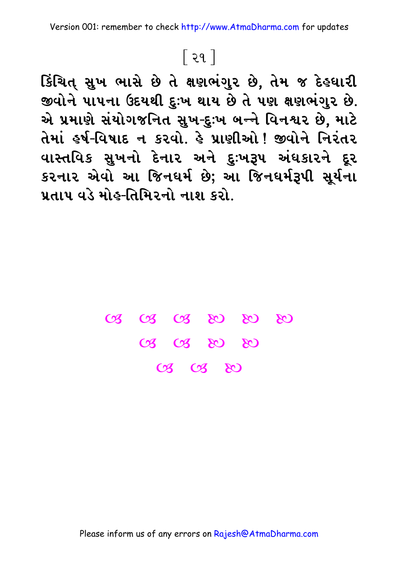## $\lceil$  ૨૧ $\rceil$

કિંચિત્ સુખ ભાસે છે તે ક્ષણભંગુર છે, તેમ જ દે**હ**ધારી જીવોને પાપના ઉદયથી દુઃખ થાય છે તે પણ ક્ષણભંગુર છે. એ પ્રમાણે સંયોગજનિત સુખ-દુઃખ બન્ને વિન**શર છે. મા**ટે તેમાં હર્ષ-વિષાદ ન કરવો, હે પ્રાણીઓ <sup>1</sup> જીવોને નિરંતર વાસ્તવિક સુખનો દેનાર અને દુઃખરૂપ અંઘકારને દૂર કરનાર એવો આ જિન**ઘર્મ છે; આ જિન**ઘર્મરૂપી સૂર્યના <u>પ્રતાપ વડે મોહ-તિમિરનો નાશ કરો.</u>

> **3** 3 3 3 3 3 3 CB CB & & & **C3 C3 &**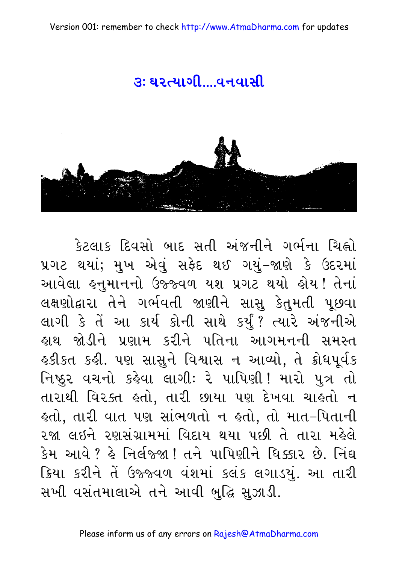#### $3:92$   $-210$   $-949$



કેટલાક દિવસો બાદ સતી અંજનીને ગર્ભના ચિહ્નો પ્રગટ થયાં; મુખ એવું સફેદ થઈ ગયું-જાણે કે ઉદરમાં આવેલા હનુમાનનો ઉજ્જ્વળ યશ પ્રગટ થયો હોય! તેનાં લક્ષણોદ્વારા તેને ગર્ભવતી જાણીને સાસુ કેતુમતી પૂછવા લાગી કે તેં આ કાર્ય કોની સાથે કર્યું? ત્યારે અંજનીએ હાથ જોડીને પ્રણામ કરીને પતિના આગમનની સમસ્ત હકીકત કહી. પણ સાસુને વિશ્વાસ ન આવ્યો, તે ક્રોધપૂર્વક નિષ્ઠુર વચનો કહેવા લાગી: રે પાપિણી! મારો પુત્ર તો તારાથી વિરક્ત હતો. તારી છાયા પણ દેખવા ચાહતો ન લ્તો, તારી વાત પણ સાંભળતો ન લ્તો, તો માત-પિતાની ૨જા લઇને રણસંગ્રામમાં વિદાય થયા પછી તે તારા મહેલે કેમ આવે ? કે નિર્લજ્જા ! તને પાપિણીને ધિક્કાર છે. નિંદ્ય ક્રિયા કરીને તેં ઉજ્જ્વળ વંશમાં કલંક લગાડયું. આ તારી સખી વસંતમાલાએ તને આવી બુદ્ધિ સુઝાડી.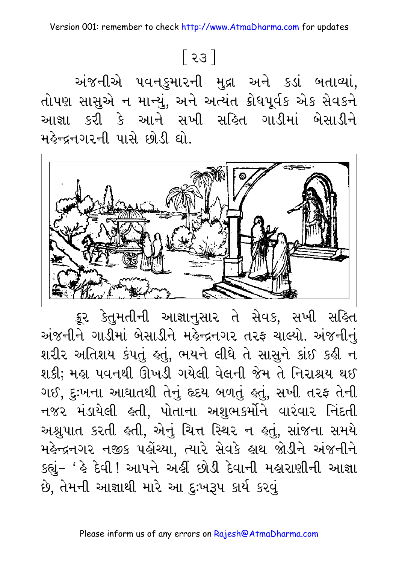Version 001: remember to check http://www.AtmaDharma.com for updates

# $\lceil$  २३  $\rceil$

અંજનીએ પવનકુમારની મુદ્રા અને કડાં બતાવ્યાં, તોપણ સાસુએ ન માન્યું, અને અત્યંત ક્રોધપૂર્વક એક સેવકને આજ્ઞા કરી કે આને સખી સહિત ગાડીમાં બેસાડીને મહેન્દ્રનગરની પાસે છોડી ઘો.



ક્રૂર કેતુમતીની આજ્ઞાનુસાર તે સેવક, સખી સહિત અંજનીને ગાડીમાં બેસાડીને મહેન્દ્રનગર તરફ ચાલ્યો. અંજનીનું શરીર અતિશય કંપતું હતું, ભયને લીધે તે સાસુને કાંઈ કહી ન શકી; મહા પવનથી ઊખડી ગયેલી વેલની જેમ તે નિરાશ્રય થઈ ગઈ, દુઃખના આઘાતથી તેનું હૃદય બળતું હતું, સખી તરફ તેની નજર મંડાયેલી હતી, પોતાના અશુભકર્મોને વારંવાર નિંદતી અશ્રુપાત કરતી હતી, એનું ચિત્ત સ્થિર ન હતું, સાંજના સમયે મહેન્દ્રનગર નજીક પહોંચ્યા, ત્યારે સેવકે હાથ જોડીને અંજનીને કહ્યું- ' હે દેવી ! આપને અહીં છોડી દેવાની મહારાણીની આજ્ઞા છે, તેમની આજ્ઞાથી મારે આ દુઃખરૂપ કાર્ય કરવું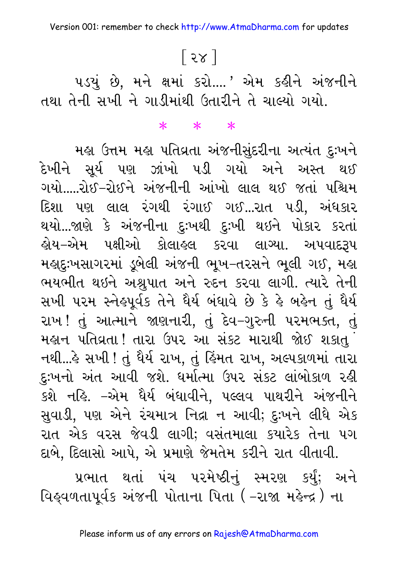# [ २४ ]

૫ડયું છે, મને ક્ષમાં કરો....' એમ કહીને અંજનીને તથા તેની સખી ને ગાડીમાંથી ઉતારીને તે ચાલ્યો ગયો.

#### $*$  \*

મહા ઉત્તમ મહા પતિવ્રતા અંજનીસુંદરીના અત્યંત દુઃખને દેખીને સૂર્ય પણ ઝાંખો પડી ગયો અને અસ્ત થઈ ગયો.....રોઈ-રોઈને અંજનીની આંખો લાલ થઈ જતાં પશ્ચિમ દિશા પણ લાલ રંગથી રંગાઈ ગઈ...રાત પડી, અંધકાર થયો...જાણે કે અંજનીના દુઃખથી દુઃખી થઇને પોકાર કરતાં ઙ્રોય−એમ પક્ષીઓ કોલાઙલ કરવા લાગ્યા. અપવાદ<mark>રૂ</mark>પ મહાદુઃખસાગરમાં ડૂબેલી અંજની ભૂખ-તરસને ભૂલી ગઈ, મહા ભયભીત થઇને અશ્રુપાત અને રુદન કરવા લાગી. ત્યારે તેની સખી પરમ સ્નેહપૂર્વક તેને ઘૈર્ય બંધાવે છે કે હે બહેન તું ઘૈર્ય રાખ! તું આત્માને જાણનારી, તું દેવ-ગુરુની પરમભક્ત, તું મહાન પતિવ્રતા ! તારા ઉપર આ સંકટ મારાથી જોઈ શકાતુ ં નથી...કે સખી ! તું ધૈર્ય રાખ, તું કિંમત રાખ, અલ્પકાળમાં તારા દુઃખનો અંત આવી જશે. ધર્માત્મા ઉપર સંકટ લાંબોકાળ રહી કશે નહિ. –એમ ધૈર્ય બંધાવીને, પલ્લવ પાથરીને અંજનીને સુવાડી, પણ એને રંચમાત્ર નિદ્રા ન આવી; દુઃખને લીધે એક રાત એક વરસ જેવડી લાગી; વસંતમાલા કયારેક તેના ૫ગ દાબે, દિલાસો આપે, એ પ્રમાણે જેમતેમ કરીને રાત વીતાવી.

પ્રભાત થતાં પંચ પરમેષ્ઠીનું સ્મરણ કર્યું; અને વિહ્વળતાપૂર્વક અંજની પોતાના પિતા (-રાજા મહેન્દ્ર) ના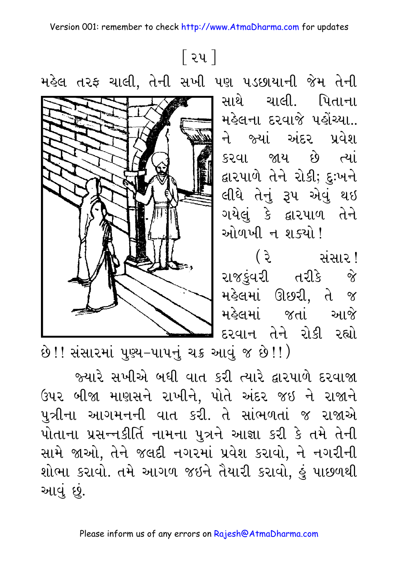<u>િર</u>૫ ]

મહેલ તરફ ચાલી, તેની સખી પણ પડછાયાની જેમ તેની ચાલી. પિતાના સાથે મહેલના દરવાજે પહોંચ્યા.. ને જ્યાં અંદર પ્રવેશ કરવા જાય છે ત્યાં દ્વારપાળે તેને રોકી; દુઃખને લીધે તેનું રૂપ એવું થઇ ગયેલું કે દ્વારપાળ તેને ઓળખી ન શક્યો ! ( રે સંસાર! રાજકુંવરી તરીકે જે મહેલમાં ઊછરી, તે જ મહેલમાં જતાં આજે દરવાન તેને રોકી રહ્યો

છે!! સંસારમાં પુણ્ય-પાપનું ચક્ર આવું જ છે!!)

જ્યારે સખીએ બધી વાત કરી ત્યારે દ્વારપાળે દરવાજા ઉપર બીજા માણસને રાખીને, પોતે અંદર જઇ ને રાજાને પુત્રીના આગમનની વાત કરી. તે સાંભળતાં જ રાજાએ પોતાના પ્રસન્નકીર્તિ નામના પુત્રને આજ્ઞા કરી કે તમે તેની સામે જાઓ, તેને જલદી નગરમાં પ્રવેશ કરાવો, ને નગરીની શોભા કરાવો. તમે આગળ જઇને તૈયારી કરાવો, હું પાછળથી આવું છું.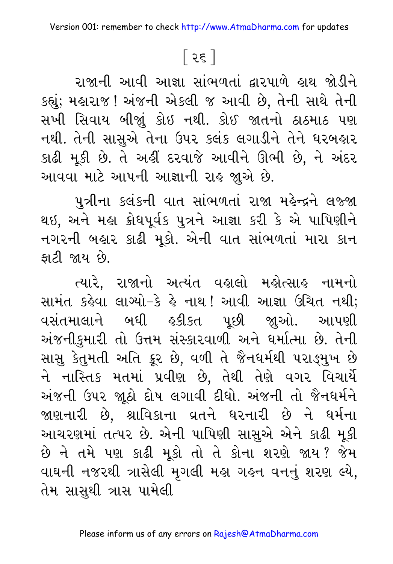# $\lceil$  २६  $\rceil$

રાજાની આવી આજ્ઞા સાંભળતાં દ્વારપાળે હાથ જોડીને કહ્યું; મહારાજ ! અંજની એકલી જ આવી છે, તેની સાથે તેની સખી સિવાય બીજાું કોઇ નથી. કોઈ જાતનો ઠાઠમાઠ પણ નથી. તેની સાસુએ તેના ઉપર કલંક લગાડીને તેને ધરબહાર કાઢી મૂકી છે. તે અહીં દરવાજે આવીને ઊભી છે, ને અંદર આવવા માટે આપની આજ્ઞાની રાહ જાુએ છે.

પુત્રીના કલંકની વાત સાંભળતાં રાજા મહેન્દ્રને લજ્જા થઇ, અને મહા ક્રોધપૂર્વક પુત્રને આજ્ઞા કરી કે એ પાપિણીને નગરની બહાર કાઢી મૂકો. એની વાત સાંભળતાં મારા કાન કાટી જાય છે.

ત્યારે, રાજાનો અત્યંત વહાલો મહોત્સાહ નામનો સામંત કહેવા લાગ્યો-કે હે નાથ! આવી આજ્ઞા ઉચિત નથી; વસંતમાલાને બધી હકીકત પછી જાઓ. આપણી અંજનીકુમારી તો ઉત્તમ સંસ્કારવાળી અને ધર્માત્મા છે. તેની સાસુ કેતુમતી અતિ ક્રૂર છે, વળી તે જૈનધર્મથી પરાઙ્મુખ છે ને નાસ્તિક મતમાં પ્રવીણ છે, તેથી તેણે વગર વિચાર્યે અંજની ઉપર જાૂઠો દોષ લગાવી દીધો. અંજની તો જૈનધર્મને જાણનારી છે, શ્રાવિકાના વ્રતને ધરનારી છે ને ધર્મના આચરણમાં તત્પર છે. એની પાપિણી સાસુએ એને કાઢી મૂકી છે ને તમે પણ કાઢી મૂકો તો તે કોના શરણે જાય? જેમ વાઘની નજરથી ત્રાસેલી મૃગલી મહ્ય ગહન વનનું શરણ લ્યે, તેમ સાસુથી ત્રાસ પામેલી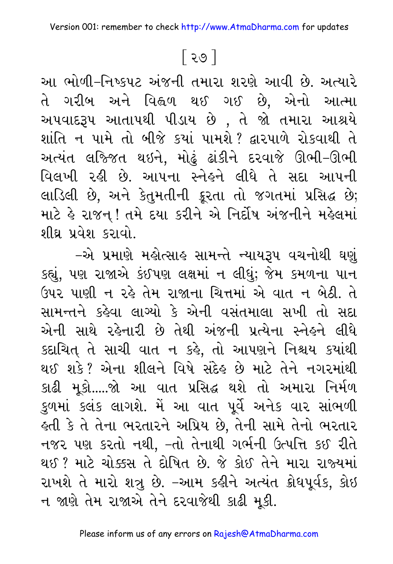## <u>િર૭ |</u>

આ ભોળી–નિષ્કપટ અંજની તમારા શરણે આવી છે. અત્યારે તે ગરીબ અને વિહ્વળ થઈ ગઈ છે. એનો આત્મા અપવાદરૂપ આતાપથી પીડાય છે , તે જો તમારા આશ્રયે શાંતિ ન પામે તો બીજે કયાં પામશે ? દ્વારપાળે રોકવાથી તે અત્યંત લજ્જિત થઇને, મોઢું ઢાંકીને દરવાજે ઊભી–ઊભી વિલખી રહી છે. આપના સ્નેહને લીધે તે સદા આપની લાડિલી છે, અને કેતુમતીની ક્રૂરતા તો જગતમાં પ્રસિદ્ધ છે; માટે હે રાજન્! તમે દયા કરીને એ નિર્દોષ અંજનીને મહેલમાં શીઘ્ર પ્રવેશ કરાવો.

–એ પ્રમાણે મહોત્સાહ સામન્તે ન્યાયરૂપ વચનોથી ઘણં કહ્યું, પણ રાજાએ કંઈપણ લક્ષમાં ન લીધું; જેમ કમળના પાન ઉપર પાણી ન રહે તેમ રાજાના ચિત્તમાં એ વાત ન બેઠી. તે સામન્તને કહેવા લાગ્યો કે એની વસંતમાલા સખી તો સદા એની સાથે રહેનારી છે તેથી અંજની પ્રત્યેના સ્નેહને લીધે કદાચિત તે સાચી વાત ન કહે, તો આપણને નિશ્ચય કયાંથી થઈ શકે? એના શીલને વિષે સંદેહ છે માટે તેને નગરમાંથી કાઢી મૂકો.....જો આ વાત પ્રસિદ્ધ થશે તો અમારા નિર્મળ કુળમાં કલંક લાગશે. મેં આ વાત પૂર્વે અનેક વાર સાંભળી હતી કે તે તેના ભરતારને અપ્રિય છે, તેની સામે તેનો ભરતાર નજર પણ કરતો નથી, –તો તેનાથી ગર્ભની ઉત્પત્તિ કઈ રીતે થઈ ? માટે ચોક્કસ તે દોષિત છે. જે કોઈ તેને મારા રાજ્યમાં રાખશે તે મારો શત્રુ છે. -આમ કહીને અત્યંત ક્રોધપૂર્વક, કોઇ ન જાણે તેમ રાજાએ તેને દરવાજેથી કાઢી મૂકી.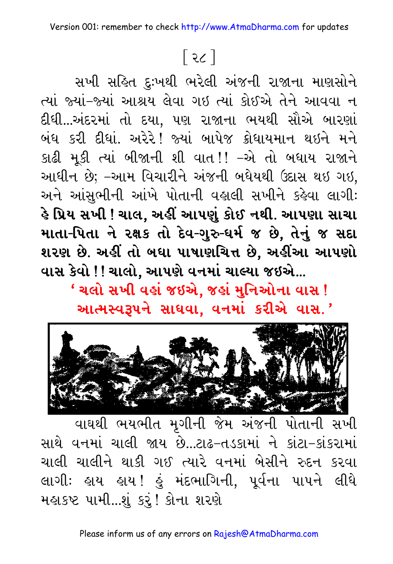# $\lceil 36 \rceil$

સખી સહિત દુઃખથી ભરેલી અંજની રાજાના માણસોને ત્યાં જ્યાં-જ્યાં આશ્રય લેવા ગઇ ત્યાં કોઈએ તેને આવવા ન દીધી...અંદરમાં તો દયા, પણ રાજાના ભયથી સૌએ બારણાં બંધ કરી દીધાં. અરેરે! જ્યાં બાપેજ ક્રોધાયમાન થઇને મને કાઢી મૂકી ત્યાં બીજાની શી વાત!! –એ તો બધાય રાજાને આધીન છે; –આમ વિચારીને અંજની બધેયથી ઉદાસ થઇ ગઇ. અને આંસુભીની આંખે પોતાની વહાલી સખીને કહેવા લાગી: હે પ્રિય સખી ! ચાલ, અહીં આપણું કોઈ નથી. આપણા સાચા માતા-પિતા ને રક્ષક તો દેવ-ગુરુ-ધર્મ જ છે, તેનું જ સદા શરણ છે. અહીં તો બધા પાષાણચિત્ત છે, અહીંઆ આપણો વાસ કેવો !! ચાલો, આપણે વનમાં ચાલ્યા જઇએ...

' ચલો સખી વહાં જઇએ, જહાં મુનિઓના વાસ ! આત્મસ્વરૂપને સાધવા, વનમાં કરીએ વાસ.'



વાઘથી ભયભીત મૃગીની જેમ અંજની પોતાની સખી સાથે વનમાં ચાલી જાય છે...ટાઢ-તડકામાં ને કાંટા-કાંકરામાં ચાલી ચાલીને થાકી ગઈ ત્યારે વનમાં બેસીને રુદન કરવા લાગીઃ હાય હાય ! હું મંદભાગિની, પૂર્વના પાપને લીધે મહાકષ્ટ પામી...શું કરું! કોના શરણે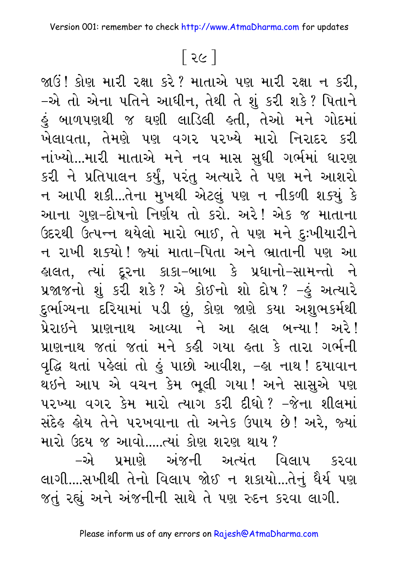## (29)

 $\mathfrak{A}$ ઉં! કોણ મારી રક્ષા કરે? માતાએ પણ મારી રક્ષા ન કરી, –એ તો એના પતિને આધીન, તેથી તે શું કરી શકે? પિતાને કું બાળપણથી જ ઘણી લાડિલી હતી, તેઓ મને ગોદમાં ખેલાવતા, તેમણે પણ વગર પરખ્યે મારો નિરાદર કરી નાંખ્યો...મારી માતાએ મને નવ માસ સુધી ગર્ભમાં ધારણ કરી ને પ્રતિપાલન કર્યું, પરંતુ અત્યારે તે પણ મને આશરો ન આપી શકી...તેના મુખથી એટલું પણ ન નીકળી શક્યું કે આના ગુણ–દોષનો નિર્ણય તો કરો. અરે! એક જ માતાના ઉદરથી ઉત્પન્ન થયેલો મારો ભાઈ, તે પણ મને દુઃખીયારીને ન રાખી શક્યો! જ્યાં માતા–પિતા અને ભ્રાતાની પણ આ કાલત, ત્યાં દૂરના કાકા–બાબા કે પ્રધાનો–સામન્તો ને પ્રજાજનો શું કરી શકે? એ કોઈનો શો દોષ? −હું અત્યારે દુર્ભાગ્યના દરિયામાં ૫ડી છું, કોણ જાણે કયા અશુભકર્મથી પ્રેરાઇને પ્રાણનાથ આવ્યા ને આ હાલ બન્યા! અરે! પ્રાણનાથ જતાં જતાં મને કહી ગયા હતા કે તારા ગર્ભની વૃદ્ધિ થતાં પહેલાં તો હું પાછો આવીશ, –હા નાથ ! દયાવાન થઇને આપ એ વચન કેમ ભૂલી ગયા! અને સાસુએ પણ પરખ્યા વગર કેમ મારો ત્યાગ કરી દીધો? –જેના શીલમાં સંદેહ હોય તેને પરખવાના તો અનેક ઉપાય છે! અરે, જ્યાં મારો ઉદય જ આવો.....ત્યાં કોણ શરણ થાય ?

–એ પ્રમાણે અંજની અત્યંત વિલાપ કરવા લાગી....સખીથી તેનો વિલાપ જોઈ ન શકાયો...તેનું ધૈર્ય પણ જતું રહ્યું અને અંજનીની સાથે તે પણ રુદન કરવા લાગી.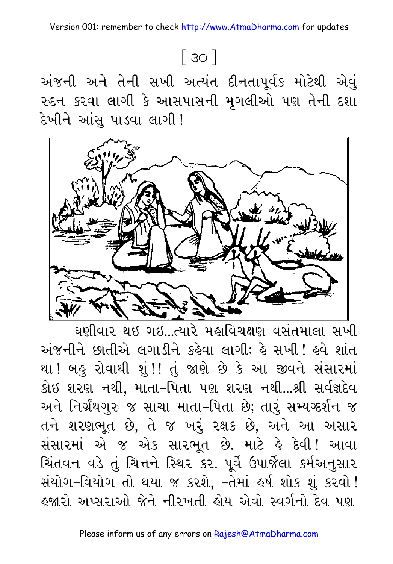# $\lceil 30 \rceil$

અંજની અને તેની સખી અત્યંત દીનતાપૂર્વક મોટેથી એવું રુદન કરવા લાગી કે આસપાસની મુગલીઓ પણ તેની દશા દેખીને આંસ પાડવા લાગી !



ઘણીવાર થઇ ગઇ...ત્યારે મહાવિચક્ષણ વસંતમાલા સખી અંજનીને છાતીએ લગાડીને કહેવા લાગી: હે સખી ! હવે શાંત થા ! બહુ રોવાથી શું !! તું જાણે છે કે આ જીવને સંસારમાં કોઇ શરણ નથી, માતા-પિતા પણ શરણ નથી...શ્રી સર્વજ્ઞદેવ અને નિર્ગ્રંથગુરુ જ સાચા માતા-પિતા છે; તારું સમ્યગ્દર્શન જ તને શરણભૂત છે, તે જ ખરું રક્ષક છે, અને આ અસાર સંસારમાં એ જ એક સારભૂત છે. માટે કે દેવી! આવા ચિંતવન વડે તું ચિત્તને સ્થિર કર. પૂર્વે ઉપાર્જેલા કર્મઅનુસાર સંયોગ-વિયોગ તો થયા જ કરશે, -તેમાં હર્ષ શોક શું કરવો ! <u>કજારો અપ્સરાઓ જેને નીરખતી કોય એવો સ્વર્ગનો દેવ પણ</u>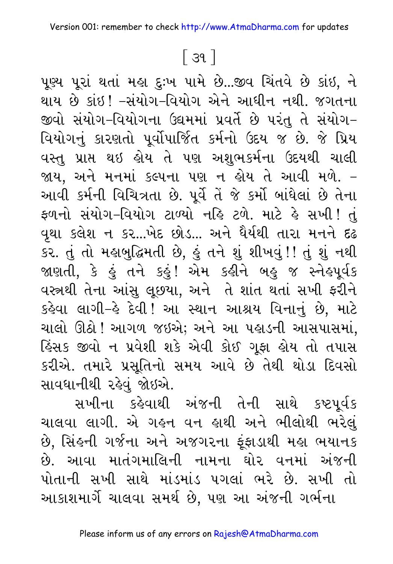### $\lceil$  39  $\rceil$

પૂચ્ય પૂરાં થતાં મહા દુઃખ પામે છે...જીવ ચિંતવે છે કાંઇ, ને થાય છે કાંઇ! –સંયોગ–વિયોગ એને આધીન નથી. જગતના જીવો સંયોગ–વિયોગના ઉદ્યમમાં પ્રવર્તે છે પરંતુ તે સંયોગ– વિયોગનું કારણતો પૂર્વોપાર્જિત કર્મનો ઉદય જ છે. જે પ્રિય વસ્તુ પ્રાપ્ત થઇ હોય તે પણ અશુભકર્મના ઉદયથી ચાલી જાય, અને મનમાં કલ્પના પણ ન હોય તે આવી મળે. – આવી કર્મની વિચિત્રતા છે. પૂર્વે તેં જે કર્મો બાંધેલાં છે તેના ફળનો સંયોગ-વિયોગ ટાળ્યો નહિ ટળે. માટે હે સખી! તું વૃથા કલેશ ન કર...ખેદ છોડ... અને ધૈર્યથી તારા મનને દઢ કર. તું તો મહાબુદ્ધિમતી છે, હું તને શું શીખવું!! તું શું નથી જાણતી, કે હું તને કહું! એમ કહીને બહુ જ સ્નેહપૂર્વક વસ્ત્રથી તેના આંસુ લૂછયા, અને તે શાંત થતાં સખી ફરીને કહેવા લાગી–હે દેવી! આ સ્થાન આશ્રય વિનાનું છે. માટે ચાલો ઊઠો ! આગળ જઇએ; અને આ પહાડની આસપાસમાં. હિંસક જીવો ન પ્રવેશી શકે એવી કોઈ ગૂફા હોય તો તપાસ કરીએ. તમારે પ્રસૂતિનો સમય આવે છે તેથી થોડા દિવસો સાવધાનીથી રહેવું જોઇએ.

સખીના કહેવાથી અંજની તેની સાથે કષ્ટપૂર્વક ચાલવા લાગી. એ ગહન વન હાથી અને ભીલોથી ભરેલું છે, સિંહની ગર્જના અને અજગરના ફૂંફાડાથી મહા ભયાનક છે. આવા માતંગમાલિની નામના ઘોર વનમાં અંજની પોતાની સખી સાથે માંડમાંડ પગલાં ભરે છે. સખી તો આકાશમાર્ગે ચાલવા સમર્થ છે. પણ આ અંજની ગર્ભના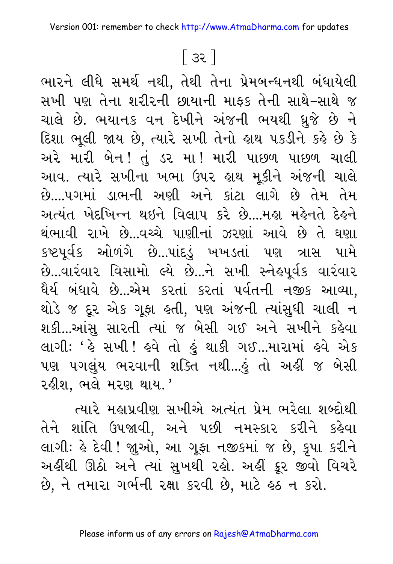### િકર ન

ભારને લીધે સમર્થ નથી, તેથી તેના પ્રેમબન્ધનથી બંધાયેલી સખી પણ તેના શરીરની છાયાની માફક તેની સાથે-સાથે જ ચાલે છે. ભયાનક વન દેખીને અંજની ભયથી ઘુજે છે ને દિશા ભૂલી જાય છે, ત્યારે સખી તેનો હાથ ૫કડીને કહે છે કે અરે મારી બેન! તું ડર મા! મારી પાછળ પાછળ ચાલી આવ. ત્યારે સખીના ખભા ઉપર હાથ મૂકીને અંજની ચાલે છે....પગમાં ડાભની અણી અને કાંટા લાગે છે તેમ તેમ અત્યંત ખેદખિન્ન થઇને વિલાપ કરે છે...મહા મહેનતે દેહને થંભાવી રાખે છે...વચ્ચે પાણીનાં ઝરણાં આવે છે તે ઘણા કષ્ટપૂર્વક ઓળંગે છે...પાંદડું ખખડતાં પણ ત્રાસ પામે છે...વારંવાર વિસામો લ્યે છે...ને સખી સ્નેહપૂર્વક વારંવાર ધૈર્ય બંધાવે છે...એમ કરતાં કરતાં પર્વતની નજીક આવ્યા, થોડે જ દૂર એક ગૂફા હતી, પણ અંજની ત્યાંસુધી ચાલી ન શકી...આંસુ સારતી ત્યાં જ બેસી ગઈ અને સખીને કહેવા લાગી: ' હે સખી ! હવે તો હું થાકી ગઈ...મારામાં હવે એક પણ પગલુંય ભરવાની શક્તિ નથી...હું તો અહીં જ બેસી રહીશ, ભલે મરણ થાય.'

ત્યારે મહાપ્રવીણ સખીએ અત્યંત પ્રેમ ભરેલા શબ્દોથી તેને શાંતિ ઉપજાવી. અને પછી નમસ્કાર કરીને કહેવા લાગી: હે દેવી ! જાુઓ, આ ગૂફા નજીકમાં જ છે, કૃપા કરીને અહીંથી ઊઠો અને ત્યાં સુખથી રહો. અહીં ક્રૂર જીવો વિચરે છે, ને તમારા ગર્ભની રક્ષા કરવી છે, માટે હઠ ન કરો.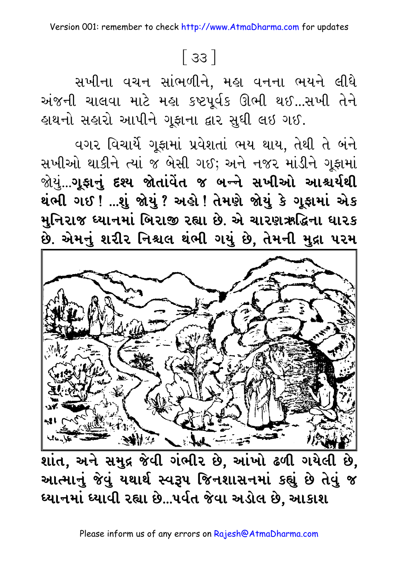# $\lceil$  33  $\rceil$

સખીના વચન સાંભળીને, મહા વનના ભયને લીધે અંજની ચાલવા માટે મહા કષ્ટપૂર્વક ઊભી થઈ...સખી તેને હાથનો સહારો આપીને ગૂફાના દ્વાર સુધી લઇ ગઈ.

વગર વિચાર્યે ગૂફામાં પ્રવેશતાં ભય થાય, તેથી તે બંને સખીઓ થાકીને ત્યાં જ બેસી ગઈ; અને નજર માંડીને ગુફામાં જોયું...**ગૂફાનું દશ્ય જોતાંવેત જ બ**ન્ને સખીઓ આશ્ચર્<mark>યથી</mark> થંભી ગઈ ! ...શું જોયું ? અહો ! તેમણે જોયું કે ગૂફામાં એક મુનિરાજ ધ્યાનમાં બિરાજી રહ્યા છે. એ ચારણઋદ્ધિના ધારક છે. એમનું શરીર નિશ્ચલ થંભી ગયું છે, તેમની મુદ્રા ૫૨મ



શાંત, અને સમુદ્ર જેવી ગંભીર છે, આંખો ઢળી ગયેલી છે, આત્માનું જેવું યથાર્થ સ્વરૂપ જિનશાસનમાં કહ્યું છે તેવું જ ધ્યાનમાં ધ્યાવી રહ્યા છે...પર્વત જેવા અડોલ છે. આકાશ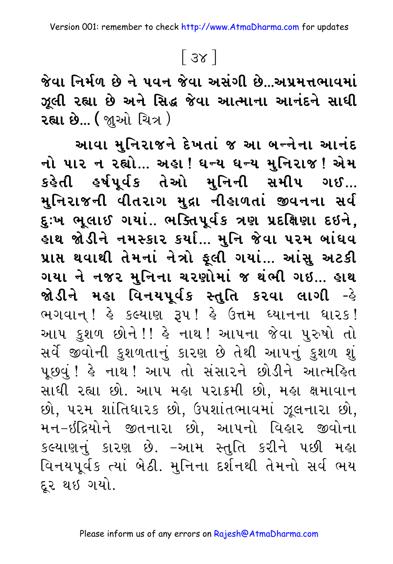# $\lceil 3x \rceil$

જેવા નિર્મળ છે ને પવન જેવા અસંગી છે...અપ્રમત્તભાવમાં ઝૂલી રહ્યા છે અને સિદ્ધ જેવા આત્માના આનંદને સાધી **રહ્યા છે... (** જાુઓ ચિત્ર )

આવા મુનિરાજને દેખતાં જ આ બન્નેના આનંદ નો પાર ન રહ્યો... અહા ! ધન્ય ધન્ય મુનિરાજ ! એમ કહેતી હર્ષપૂર્વક તેઓ મુનિની સમીપ ગઈ... મુનિરાજની વીતરાગ મુદ્રા નીહાળતાં જીવનના સર્વ દુઃખ ભૂલાઈ ગયાં.. ભક્તિપૂર્વક ત્રણ પ્રદક્ષિણા દઇને, હાથ જોડીને નમસ્કાર કર્યા... મુનિ જેવા ૫૨મ બાંઘવ પ્રાપ્ત થવાથી તેમનાં નેત્રો ફૂલી ગયાં... આંસુ અટકી ગયા ને નજર મુનિના ચરણોમાં જ થંભી ગઇ... હાથ જોડીને મહા વિનયપૂર્વક સ્તુતિ કરવા લાગી -હે ભગવાન્ ! હે કલ્યાણ રૂપ ! હે ઉત્તમ ઘ્યાનના ઘારક ! આપ કુશળ છોને!! હે નાથ! આપના જેવા પુરુષો તો સર્વે જીવોની કુશળતાનું કારણ છે તેથી આપનું કુશળ શું પૂછવું ! હે નાથ ! આપ તો સંસારને છોડીને આત્મહિત સાધી રહ્યા છો. આપ મહા પરાક્રમી છો, મહા ક્ષમાવાન છો, પરમ શાંતિધારક છો, ઉપશાંતભાવમાં ઝૂલનારા છો, મન-ઇંદ્રિયોને જીતનારા છો, આપનો વિહાર જીવોના કલ્યાણનું કારણ છે. –આમ સ્તુતિ કરીને પછી મહા વિનયપૂર્વક ત્યાં બેઠી. મુનિના દર્શનથી તેમનો સર્વ ભય દર થઇ ગયો.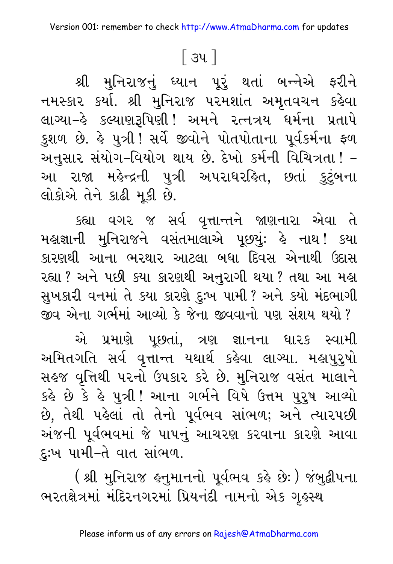### <u>િ</u>ડપ ી

શ્રી મુનિરાજનું ધ્યાન પૂરું થતાં બન્નેએ ફરીને નમસ્કાર કર્યા. શ્રી મુનિરાજ પરમશાંત અમૃતવચન કહેવા લાગ્યા–હે કલ્યાણરૂપિણી! અમને રત્નત્રય ધર્મના પ્રતાપે કુશળ છે. હે પુત્રી !સર્વે જીવોને પોતપોતાના પૂર્વકર્મના ફળ અનુસાર સંયોગ-વિયોગ થાય છે. દેખો કર્મની વિચિત્રતા ! -આ રાજા મહેન્દ્રની પુત્રી અપરાધરહિત, છતાં <u>કુટું</u>બના લોકોએ તેને કાઢી મુકી છે.

કહ્યા વગર જ સર્વ વૃત્તાન્તને જાણનારા એવા તે મહાજ્ઞાની મુનિરાજને વસંતમાલાએ પૂછયું: હે નાથ! કયા કારણથી આના ભરથાર આટલા બધા દિવસ એનાથી ઉદાસ રહ્યા ? અને પછી કયા કારણથી અનુરાગી થયા ? તથા આ મહા સુખકારી વનમાં તે કયા કારણે દુઃખ પામી ? અને કયો મંદભાગી જીવ એના ગર્ભમાં આવ્યો કે જેના જીવવાનો પણ સંશય થયો ?

એ પ્રમાણે પૂછતાં, ત્રણ જ્ઞાનના ધારક સ્વામી અમિતગતિ સર્વ વૃત્તાન્ત યથાર્થ કહેવા લાગ્યા. મહાપુરુુષો સહજ વૃત્તિથી પરનો ઉપકાર કરે છે. મુનિરાજ વસંત માલાને કહે છે કે હે પુત્રી ! આના ગર્ભને વિષે ઉત્તમ પુરુષ આવ્યો છે, તેથી પહેલાં તો તેનો પૂર્વભવ સાંભળ; અને ત્યારપછી અંજની પૂર્વભવમાં જે પાપનું આચરણ કરવાના કારણે આવા દુઃખ પામી-તે વાત સાંભળ.

( શ્રી મુનિરાજ હનુમાનનો પૂર્વભવ કહે છેઃ ) જંબુદ્વીપના ભરતક્ષેત્રમાં મંદિરનગરમાં પ્રિયનંદી નામનો એક ગૃહસ્થ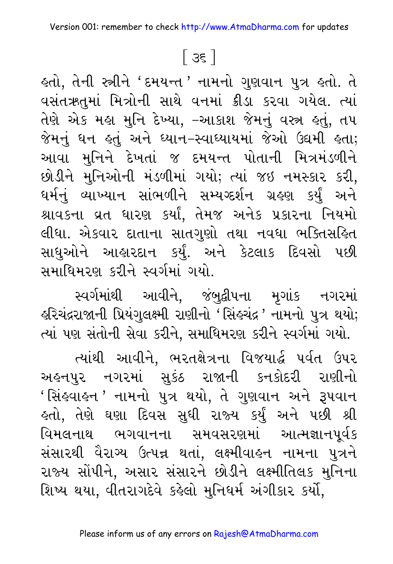### $\lceil 3\xi \rceil$

ફતો, તેની સ્ત્રીને 'દમયન્ત*'* નામનો ગુણવાન પુત્ર ફતો. તે વસંતઋતુમાં મિત્રોની સાથે વનમાં ક્રીડા કરવા ગયેલ. ત્યાં તેણે એક મહા મુનિ દેખ્યા, –આકાશ જેમનું વસ્ત્ર હતું, તપ જેમનું ધન હતું અને ધ્યાન–સ્વાધ્યાયમાં જેઓ ઉદ્યમી હતા; આવા મુનિને દેખતાં જ દમયન્ત પોતાની મિત્રમંડળીને છોડીને મુનિઓની મંડળીમાં ગયો; ત્યાં જઇ નમસ્કાર કરી, ઘર્મનું વ્યાખ્યાન સાંભળીને સમ્યગ્દર્શન ગ્રહણ કર્યું અને શ્રાવકના વ્રત ધારણ કર્યાં, તેમજ અનેક પ્રકારના નિયમો લીધા. એકવાર દાતાના સાતગુણો તથા નવધા ભક્તિસહિત સાધુઓને આહારદાન કર્યું. અને કેટલાક દિવસો પછી સમાધિમરણ કરીને સ્વર્ગમાં ગયો.

સ્વર્ગમાંથી આવીને, જંબુદ્વીપના મૃગાંક નગરમાં કરિચંદ્રરાજાની પ્રિયંગુલક્ષ્મી રાણીનો 'સિંકચંદ્ર ' નામનો પુત્ર થયો; ત્યાં પણ સંતોની સેવા કરીને, સમાધિમરણ કરીને સ્વર્ગમાં ગયો.

ત્યાંથી આવીને, ભરતક્ષેત્રના વિજયાર્દ્ધ પર્વત ઉપર અહનપુર નગરમાં સુકંઠ રાજાની કનકોદરી રાણીનો 'સિંહવાહન 'નામનો પુત્ર થયો, તે ગુણવાન અને રૂપવાન હતો, તેણે ઘણા દિવસ સુધી રાજ્ય કર્યું અને પછી શ્રી વિમલનાથ ભગવાનના સમવસરણમાં આત્મજ્ઞાનપૂર્વક સંસારથી વૈરાગ્ય ઉત્પન્ન થતાં, લક્ષ્મીવાહન નામના પુત્રને રાજ્ય સોંપીને, અસાર સંસારને છોડીને લક્ષ્મીતિલક મુનિના શિષ્ય થયા, વીતરાગદેવે કહેલો મુનિધર્મ અંગીકાર કર્યો,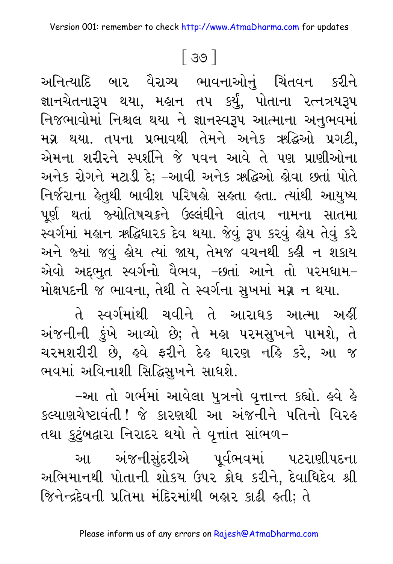### ြ ၁၀ ါ

અનિત્યાદિ બાર વૈરાગ્ય ભાવનાઓનું ચિંતવન કરીને જ્ઞાનચેતનારૂપ થયા, મહાન તપ કર્યું, પોતાના રત્નત્રયરૂપ નિજભાવોમાં નિશ્ચલ થયા ને જ્ઞાનસ્વરૂપ આત્માના અનુભવમાં મગ્ન થયા. તપના પ્રભાવથી તેમને અનેક ઋદ્ધિઓ પ્રગટી, એમના શરીરને સ્પર્શીને જે પવન આવે તે પણ પ્રાણીઓના અનેક રોગને મટાડી દે; –આવી અનેક ઋદ્ધિઓ હોવા છતાં પોતે નિર્જરાના કેતુથી બાવીશ પરિષહો સહતા હતા. ત્યાંથી આયુષ્ય પૂર્ણ થતાં જ્યોતિષચક્રને ઉલ્લંઘીને લાંતવ નામના સાતમા સ્વર્ગમાં મહાન ઋદ્ધિધારક દેવ થયા. જેવું રૂપ કરવું હોય તેવું કરે અને જ્યાં જવું હોય ત્યાં જાય, તેમજ વચનથી કહી ન શકાય એવો અદ્દભુત સ્વર્ગનો વૈભવ, –છતાં આને તો પરમઘામ– મોક્ષપદની જ ભાવના, તેથી તે સ્વર્ગના સુખમાં મગ્ન ન થયા.

તે સ્વર્ગમાંથી ચવીને તે આરાધક આત્મા અહીં અંજનીની કુંખે આવ્યો છે; તે મહા પરમસુખને પામશે, તે ચરમશરીરી છે, હવે ફરીને દેહ ધારણ નહિ કરે, આ જ ભવમાં અવિનાશી સિદ્ધિસુખને સાધશે.

–આ તો ગર્ભમાં આવેલા પુત્રનો વૃત્તાન્ત કહ્યો. હવે હે કલ્યાણચેષ્ટાવંતી ! જે કારણથી આ અંજનીને પતિનો વિરહ તથા કુટુંબદ્વારા નિરાદર થયો તે વૃત્તાંત સાંભળ-

આ અંજનીસુંદરીએ પૂર્વભવમાં પટરાણીપદના અભિમાનથી પોતાની શોકય ઉપર ક્રોધ કરીને, દેવાધિદેવ શ્રી જિનેન્દદેવની પ્રતિમા મંદિરમાંથી બહાર કાઢી હતી; તે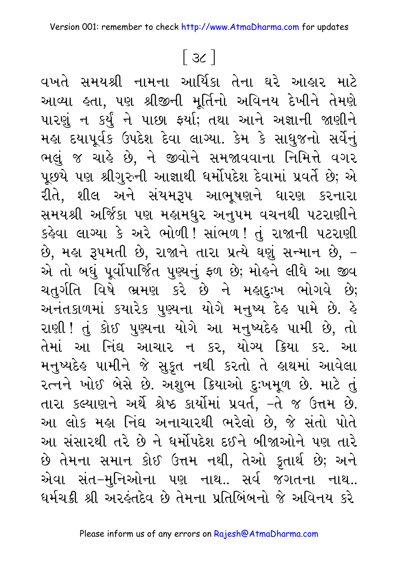# $\lceil 3c \rceil$

વખતે સમયશ્રી નામના આર્યિકા તેના ઘરે આહાર માટે આવ્યા હતા, પણ શ્રીજીની મૂર્તિનો અવિનય દેખીને તેમણે પારણું ન કર્યું ને પાછા ફર્યા; તથા આને અજ્ઞાની જાણીને મહા દયાપૂર્વક ઉપદેશ દેવા લાગ્યા. કેમ કે સાધુજનો સર્વેનું ભલું જ ચાહે છે, ને જીવોને સમજાવવાના નિમિત્તે વગર પૂછયે પણ શ્રીગુરુની આજ્ઞાથી ધર્મોપદેશ દેવામાં પ્રવર્તે છે; એ રીતે, શીલ અને સંયમરૂપ આભૂષણને ધારણ કરનારા સમયશ્રી અર્જિકા પણ મહામધુર અનુપમ વચનથી પટરાણીને કહેવા લાગ્યા કે અરે ભોળી! સાંભળ! તું રાજાની પટરાણી છે, મહા રૂપમતી છે, રાજાને તારા પ્રત્યે ઘણું સન્માન છે, – એ તો બઘું પૂર્વોપાર્જિત પુણ્યનું ફળ છે; મોહને લીધે આ જીવ ચતુર્ગતિ વિષે ભ્રમણ કરે છે ને મહાદુઃખ ભોગવે છે; અનંતકાળમાં કયારેક પુણ્યના યોગે મનુષ્ય દેહ પામે છે. હે રાણી ! તું કોઈ પુણ્યના યોગે આ મનુષ્યદેહ પામી છે, તો તેમાં આ નિંઘ આચાર ન કર, યોગ્ય ક્રિયા કર. આ મનુષ્યદેહ પામીને જે સુકૃત નથી કરતો તે હાથમાં આવેલા રત્નને ખોઈ બેસે છે. અશુભ ક્રિયાઓ દુઃખમૂળ છે. માટે તું તારા કલ્યાણને અર્થે શ્રેષ્ઠ કાર્યોમાં પ્રવર્ત, -તે જ ઉત્તમ છે. આ લોક મહા નિંદ્ય અનાચારથી ભરેલો છે, જે સંતો પોતે આ સંસારથી તરે છે ને ધર્મોપદેશ દઈને બીજાઓને પણ તારે છે તેમના સમાન કોઈ ઉત્તમ નથી, તેઓ કૂતાર્થ છે; અને એવા સંત–મુનિઓના પણ નાથ.. સર્વ જગતના નાથ.. ધર્મચક્રી શ્રી અરહંતદેવ છે તેમના પ્રતિબિંબનો જે અવિનય કરે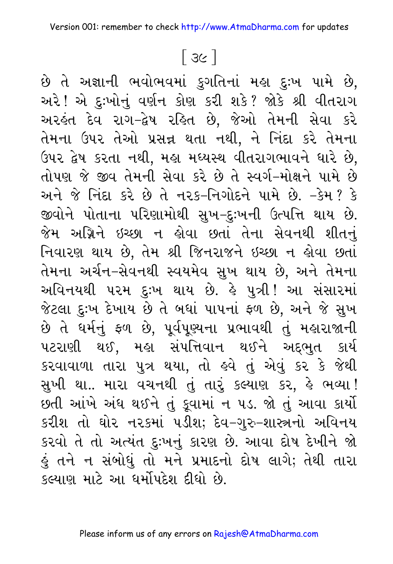## $\lceil 3c \rceil$

છે તે અજ્ઞાની ભવોભવમાં કુગતિનાં મહા દુઃખ પામે છે, અરે! એ દુઃખોનું વર્ણન કોણ કરી શકે? જોકે શ્રી વીતરાગ અરહંત દેવ રાગ-દ્વેષ રહિત છે, જેઓ તેમની સેવા કરે તેમના ઉપર તેઓ પ્રસન્ન થતા નથી, ને નિંદા કરે તેમના ઉપર દ્વેષ કરતા નથી, મહા મધ્યસ્થ વીતરાગભાવને ધારે છે, તોપણ જે જીવ તેમની સેવા કરે છે તે સ્વર્ગ-મોક્ષને પામે છે અને જે નિંદા કરે છે તે નરક-નિગોદને પામે છે. -કેમ? કે જીવોને પોતાના પરિણામોથી સુખ–દુઃખની ઉત્પત્તિ થાય છે. જેમ અગ્નિને ઇચ્છા ન હોવા છતાં તેના સેવનથી શીતનું નિવારણ થાય છે, તેમ શ્રી જિનરાજને ઇચ્છા ન હોવા છતાં તેમના અર્ચન–સેવનથી સ્વયમેવ સુખ થાય છે, અને તેમના અવિનયથી પરમ દુઃખ થાય છે. કે પુત્રી! આ સંસારમાં જેટલા દુઃખ દેખાય છે તે બધાં પાપનાં ફળ છે, અને જે સુખ છે તે ધર્મનું ફળ છે, પૂર્વપુચ્યના પ્રભાવથી તું મહારાજાની પટરાણી થઈ, મહા સંપત્તિવાન થઈને અદ્દભુત કાર્ય કરવાવાળા તારા પુત્ર થયા, તો હવે તું એવું કર કે જેથી સુખી થા.. મારા વચનથી તું તારું કલ્યાણ કર, હે ભવ્યા ! છતી આંખે અંધ થઈને તું કૂવામાં ન ૫ડ. જો તું આવા કાર્યો કરીશ તો ઘોર નરકમાં પડીશ; દેવ-ગુરુ-શાસ્ત્રનો અવિનય કરવો તે તો અત્યંત દુઃખનું કારણ છે. આવા દોષ દેખીને જો હું તને ન સંબોધું તો મને પ્રમાદનો દોષ લાગે; તેથી તારા કલ્યાણ માટે આ ધર્મોપદેશ દીધો છે.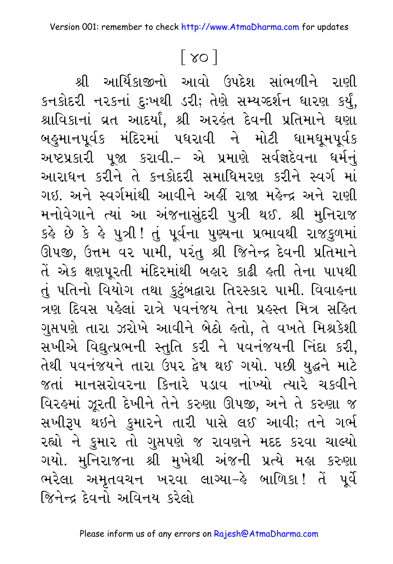### $\lceil 80 \rceil$

શ્રી આર્યિકાજીનો આવો ઉપદેશ સાંભળીને રાણી કનકોદરી નરકનાં દુઃખથી ડરી; તેણે સમ્યગ્દર્શન ધારણ કર્યું, શ્રાવિકાનાં વ્રત આદર્યાં, શ્રી અરહંત દેવની પ્રતિમાને ઘણા બહુમાનપૂર્વક મંદિરમાં પધરાવી ને મોટી ધામધૂમપૂર્વક અષ્ટપ્રકારી પૂજા કરાવી.– એ પ્રમાણે સર્વજ્ઞદેવના ધર્મનું આરાધન કરીને તે કનકોદરી સમાધિમરણ કરીને સ્વર્ગ માં ગઇ. અને સ્વર્ગમાંથી આવીને અહીં રાજા મહેન્દ્ર અને રાણી મનોવેગાને ત્યાં આ અંજનાસુંદરી પુત્રી થઈ. શ્રી મુનિરાજ કર્લ્ડ છે કે હે પુત્રી ! તું પૂર્વના પુણ્યના પ્રભાવથી રાજકુળમાં ઊપજી, ઉત્તમ વર પામી, પરંતુ શ્રી જિનેન્દ્ર દેવની પ્રતિમાને તેં એક ક્ષણપૂરતી મંદિરમાંથી બહાર કાઢી હતી તેના પાપથી તું પતિનો વિયોગ તથા કુટુંબદ્વારા તિરસ્કાર પામી. વિવાહના ત્રણ દિવસ પહેલાં રાત્રે પવનંજય તેના પ્રહસ્ત મિત્ર સહિત ગુપ્તપણે તારા ઝરોખે આવીને બેઠો હતો, તે વખતે મિશ્રકેશી સખીએ વિદ્યુત્પ્રભની સ્તુતિ કરી ને પવનંજયની નિંદા કરી, તેથી પવનંજયને તારા ઉપર દ્વેષ થઈ ગયો. પછી યુદ્ધને માટે જતાં માનસરોવરના કિનારે ૫ડાવ નાંખ્યો ત્યારે ચકવીને વિરહમાં ઝૂરતી દેખીને તેને કરુણા ઊપજી, અને તે કરુણા જ સખીરૂપ થઇને કુમારને તારી પાસે લઈ આવી; તને ગર્ભ રહ્યો ને કુમાર તો ગુપ્તપણે જ રાવણને મદદ કરવા ચાલ્યો ગયો. મુનિરાજના શ્રી મુખેથી અંજની પ્રત્યે મહા કરુણા ભરેલા અમૃતવચન ખરવા લાગ્યા–હે બાળિકા! તેં પૂર્વે જિનેન્દ્ર દેવનો અવિનય કરેલો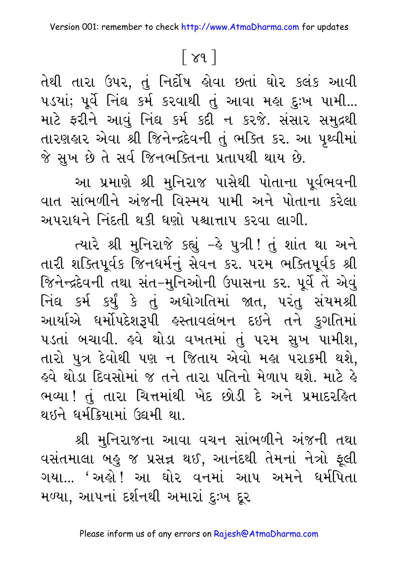# $\lceil 89 \rceil$

તેથી તારા ઉપર, તું નિર્દોષ હોવા છતાં ઘોર કલંક આવી ૫ડયાં; પૂર્વે નિંદ્ય કર્મ કરવાથી તું આવા મહા દુઃખ પામી... માટે ફરીને આવું નિંઘ કર્મ કદી ન કરજે. સંસાર સમુદ્રથી તારણહાર એવા શ્રી જિનેન્દ્રદેવની તું ભક્તિ કર. આ પૃથ્વીમાં જે સુખ છે તે સર્વ જિનભક્તિના પ્રતાપથી થાય છે.

આ પ્રમાણે શ્રી મુનિરાજ પાસેથી પોતાના પૂર્વભવની વાત સાંભળીને અંજની વિસ્મય પામી અને પોતાના કરેલા અપરાધને નિંદતી થકી ઘણો પશ્ચાત્તાપ કરવા લાગી.

ત્યારે શ્રી મુનિરાજે કહ્યું - કે પુત્રી! તું શાંત થા અને તારી શક્તિપૂર્વક જિનધર્મનું સેવન કર. ૫૨મ ભક્તિપૂર્વક શ્રી જિનેન્દ્રદેવની તથા સંત–મુનિઓની ઉપાસના કર. પૂર્વે તેં એવું નિંઘ કર્મ કર્યું કે તું અઘોગતિમાં જાત, પરંતુ સંયમશ્રી આર્યાએ ધર્મોપદેશરૂપી હસ્તાવલંબન દઇને તને કુગતિમાં પડતાં બચાવી. હવે થોડા વખતમાં તું પરમ સુખ પામીશ, તારો પુત્ર દેવોથી પણ ન જિતાય એવો મહા પરાક્રમી થશે, ફવે થોડા દિવસોમાં જ તને તારા પતિનો મેળાપ થશે. માટે કે ભવ્યા ! તું તારા ચિત્તમાંથી ખેદ છોડી દે અને પ્રમાદરહિત થઇને ધર્મક્રિયામાં ઉદ્યમી થા.

શ્રી મુનિરાજના આવા વચન સાંભળીને અંજની તથા વસંતમાલા બહુ જ પ્રસન્ન થઈ, આનંદથી તેમનાં નેત્રો ફૂલી ગયા... 'અહો ! આ ઘોર વનમાં આપ અમને ધર્મપિતા મળ્યા. આપનાં દર્શનથી અમારાં દઃખ દર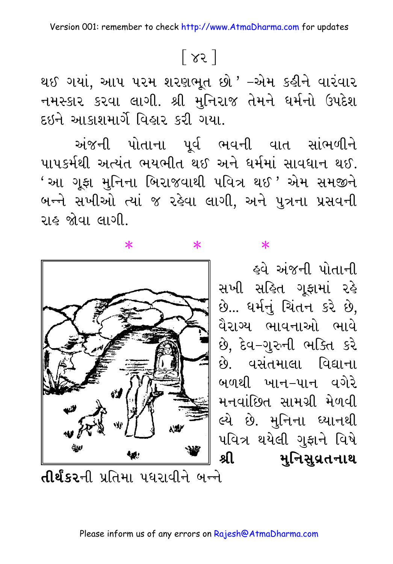# $\lceil 85 \rceil$

થઈ ગયાં, આપ પરમ શરણભૂત છો ' –એમ કહીને વારંવાર નમસ્કાર કરવા લાગી. શ્રી મુનિરાજ તેમને ધર્મનો ઉપદેશ દઇને આકાશમાર્ગે વિહાર કરી ગયા.

અંજની પોતાના પૂર્વ ભવની વાત સાંભળીને પાપકર્મથી અત્યંત ભયભીત થઈ અને ધર્મમાં સાવધાન થઈ. ' આ ગૂફા મુનિના બિરાજવાથી પવિત્ર થઈ ' એમ સમજીને બન્ને સખીઓ ત્યાં જ રહેવા લાગી, અને પુત્રના પ્રસવની રાહ જોવા લાગી.

 $\ast$ 



 $\ast$ 

 $\ast$ 

\_<br>કવે અંજની પોતાની સખી સહિત ગુફામાં રહે છે... ધર્મનું ચિંતન કરે છે, વૈરાગ્ય ભાવનાઓ ભાવે છે, દેવ-ગુરુની ભક્તિ કરે છે વસંતમાલા વિદ્યાના બળથી ખાન–પાન વગેરે મનવાંછિત સામગ્રી મેળવી લ્યે છે. મુનિના ધ્યાનથી પવિત્ર થયેલી ગુફાને વિષે கி મુનિસુવ્રતનાથ

**તીર્થંકર**ની પ્રતિમા પઘરાવીને બન્ને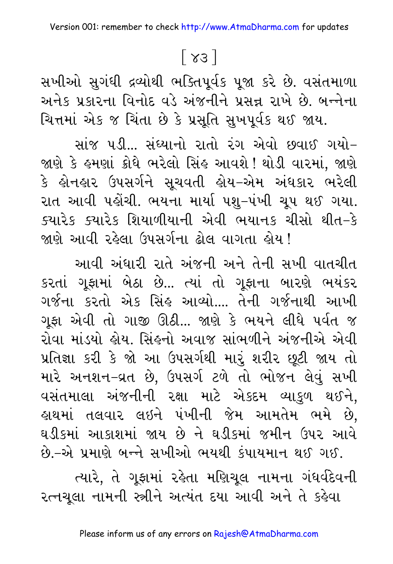# $\lceil 83 \rceil$

સખીઓ સુગંધી દ્રવ્યોથી ભક્તિપૂર્વક પૂજા કરે છે. વસંતમાળા અનેક પ્રકારના વિનોદ વડે અંજનીને પ્રસન્ન રાખે છે. બન્નેના ચિત્તમાં એક જ ચિંતા છે કે પ્રસૂતિ સુખપૂર્વક થઈ જાય.

સાંજ પડી… સંઘ્યાનો રાતો રંગ એવો છવાઈ ગયો-જાણે કે હમણાં ક્રોધે ભરેલો સિંહ આવશે ! થોડી વારમાં, જાણે કે હોનહાર ઉપસર્ગને સૂચવતી હોય–એમ અંધકાર ભરેલી રાત આવી પહોંચી. ભયના માર્યા પશુ–પંખી ચૂપ થઈ ગયા. ક્યારેક ક્યારેક શિયાળીયાની એવી ભયાનક ચીસો થીત–કે જાણે આવી રહેલા ઉપસર્ગના ઢોલ વાગતા હોય !

આવી અંધારી રાતે અંજની અને તેની સખી વાતચીત કરતાં ગૂફામાં બેઠા છે... ત્યાં તો ગૂફાના બારણે ભયંકર ગર્જના કરતો એક સિંહ આવ્યો.... તેની ગર્જનાથી આખી ગૂફા એવી તો ગાજી ઊઠી... જાણે કે ભયને લીધે પર્વત જ રોવા માંડયો લોય. સિંહનો અવાજ સાંભળીને અંજનીએ એવી પ્રતિજ્ઞા કરી કે જો આ ઉપસર્ગથી મારું શરીર છૂટી જાય તો મારે અનશન-વ્રત છે, ઉપસર્ગ ટળે તો ભોજન લેવું સખી વસંતમાલા અંજનીની રક્ષા માટે એકદમ વ્યાકુળ થઈને, હાથમાં તલવાર લઇને પંખીની જેમ આમતેમ ભમે છે, ઘડીકમાં આકાશમાં જાય છે ને ઘડીકમાં જમીન ઉપર આવે છે.–એ પ્રમાણે બન્ને સખીઓ ભયથી કંપાયમાન થઈ ગઈ.

ત્યારે, તે ગૂફામાં રહેતા મણિચૂલ નામના ગંધર્વદેવની રત્નચૂલા નામની સ્ત્રીને અત્યંત દયા આવી અને તે કહેવા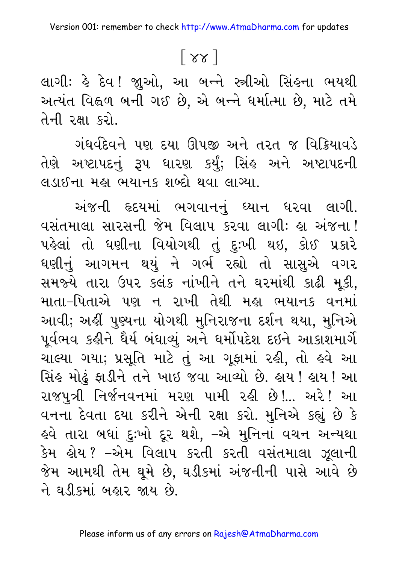### $\lceil 88 \rceil$

લાગી: હે દેવ ! જાુઓ, આ બન્ને સ્ત્રીઓ સિંહના ભયથી અત્યંત વિહ્વળ બની ગઈ છે, એ બન્ને ધર્માત્મા છે, માટે તમે તેની રક્ષા કરો.

ગંધર્વદેવને પણ દયા ઊપજી અને તરત જ વિક્રિયાવડે તેણે અષ્ટાપદનું રૂપ ધારણ કર્યું; સિંહ અને અષ્ટાપદની લડાઈના મહા ભયાનક શબ્દો થવા લાગ્યા.

અંજની હૃદયમાં ભગવાનનં ઘ્યાન ધરવા લાગી. વસંતમાલા સારસની જેમ વિલાપ કરવા લાગી: હા અંજના ! પહેલાં તો ધણીના વિયોગથી તું દુઃખી થઇ, કોઈ પ્રકારે ઘણીનું આગમન થયું ને ગર્ભ રહ્યો તો સાસુએ વગર સમજ્યે તારા ઉપર કલંક નાંખીને તને ઘરમાંથી કાઢી મૂકી, માતા–પિતાએ પણ ન રાખી તેથી મહા ભયાનક વનમાં આવી; અહીં પુણ્યના યોગથી મુનિરાજના દર્શન થયા, મુનિએ પૂર્વભવ કહીને ઘૈર્ય બંધાવ્યું અને ધર્મોપદેશ દઇને આકાશમાર્ગે ચાલ્યા ગયા; પ્રસૂતિ માટે તું આ ગૂફામાં રહી, તો હવે આ સિંહ મોઢું ફાડીને તને ખાઇ જવા આવ્યો છે. હાય ! હાય ! આ રાજપુત્રી નિર્જનવનમાં મરણ પામી રહી છે!... અરે! આ વનના દેવતા દયા કરીને એની રક્ષા કરો. મુનિએ કહ્યું છે કે ઙ્વે તારા બઘાં દુઃખો દૂર થશે, −એ મુનિનાં વચન અન્યથા કેમ હોય? –એમ વિલાપ કરતી કરતી વસંતમાલા ઝૂલાની જેમ આમથી તેમ ઘુમે છે, ઘડીકમાં અંજનીની પાસે આવે છે ને ઘડીકમાં બહાર જાય છે.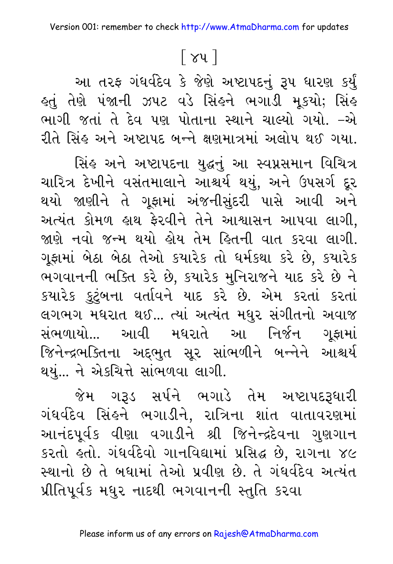### $\lceil 84 \rceil$

આ તરફ ગંધર્વદેવ કે જેણે અષ્ટાપદનું રૂપ ધારણ કર્યું હતું તેણે પંજાની ઝપટ વડે સિંહને ભગાડી મૂકયો; સિંહ ભાગી જતાં તે દેવ પણ પોતાના સ્થાને ચાલ્યો ગયો. –એ રીતે સિંહ અને અષ્ટાપદ બન્ને ક્ષણમાત્રમાં અલોપ થઈ ગયા.

સિંહ અને અષ્ટાપદના યુદ્ધનું આ સ્વપ્નસમાન વિચિત્ર ચારિત્ર દેખીને વસંતમાલાને આશ્ચર્ય થયું, અને ઉપસર્ગ દૂર થયો જાણીને તે ગૂફામાં અંજનીસુંદરી પાસે આવી અને અત્યંત કોમળ હાથ ફેરવીને તેને આશ્વાસન આપવા લાગી, જાણે નવો જન્મ થયો લોય તેમ હિતની વાત કરવા લાગી. ગૂફામાં બેઠા બેઠા તેઓ કયારેક તો ધર્મકથા કરે છે, કયારેક ભગવાનની ભક્તિ કરે છે, કયારેક મુનિરાજને યાદ કરે છે ને કયારેક કુટુંબના વર્તાવને યાદ કરે છે. એમ કરતાં કરતાં લગભગ મધરાત થઈ... ત્યાં અત્યંત મધુર સંગીતનો અવાજ સંભળાયો... આવી મઘરાતે આ નિર્જન ગુફામાં જિનેન્દ્રભક્તિના અદ્દભુત સૂર સાંભળીને બન્નેને આશ્ચર્ય થયું... ને એકચિત્તે સાંભળવા લાગી.

જેમ ગરૂડ સર્પને ભગાડે તેમ અષ્ટાપદરૂધારી ગંધર્વદેવ સિંહને ભગાડીને, રાત્રિના શાંત વાતાવરણમાં આનંદપૂર્વક વીણા વગાડીને શ્રી જિનેન્દ્રદેવના ગુણગાન કરતો હતો. ગંધર્વદેવો ગાનવિદ્યામાં પ્રસિદ્ધ છે, રાગના ૪૯ સ્થાનો છે તે બધામાં તેઓ પ્રવીણ છે. તે ગંધર્વદેવ અત્યંત પ્રીતિપૂર્વક મધુર નાદથી ભગવાનની સ્તુતિ કરવા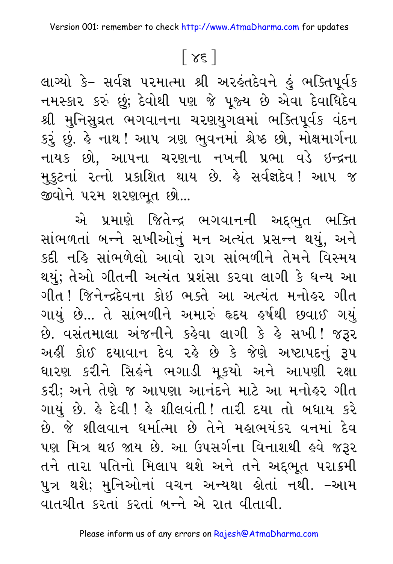### $\lceil 3 \varepsilon \rceil$

લાગ્યો કે– સર્વજ્ઞ પરમાત્મા શ્રી અરહંતદેવને હું ભક્તિપૂર્વક નમસ્કાર કરું છું; દેવોથી પણ જે પૂજ્ય છે એવા દેવાધિદેવ શ્રી મુનિસુવ્રત ભગવાનના ચરણયુગલમાં ભક્તિપૂર્વક વંદન કરું છું. હે નાથ ! આપ ત્રણ ભુવનમાં શ્રેષ્ઠ છો, મોક્ષમાર્ગના નાયક છો, આપના ચરણના નખની પ્રભા વડે ઇન્દ્રના મુકુટનાં રત્નો પ્રકાશિત થાય છે. કે સર્વજ્ઞદેવ! આપ જ જીવોને પરમ શરણભૂત છો...

એ પ્રમાણે જિતેન્દ્ર ભગવાનની અદ્દભુત ભક્તિ સાંભળતાં બન્ને સખીઓનું મન અત્યંત પ્રસન્ન થયું, અને કદી નહિ સાંભળેલો આવો રાગ સાંભળીને તેમને વિસ્મય થયું; તેઓ ગીતની અત્યંત પ્રશંસા કરવા લાગી કે ધન્ય આ ગીત ! જિનેન્દ્રદેવના કોઇ ભક્તે આ અત્યંત મનોહર ગીત ગાયું છે... તે સાંભળીને અમારું હૃદય હર્ષથી છવાઈ ગયું છે. વસંતમાલા અંજનીને કહેવા લાગી કે હે સખી! જરૂર અહીં કોઈ દયાવાન દેવ રહે છે કે જેણે અષ્ટાપદનું રૂપ ધારણ કરીને સિહંને ભગાડી મૂકયો અને આપણી રક્ષા કરી; અને તેણે જ આપણા આનંદને માટે આ મનોહર ગીત ગાયું છે. કે દેવી ! કે શીલવંતી ! તારી દયા તો બધાય કરે છે. જે શીલવાન ધર્માત્મા છે તેને મહાભયંકર વનમાં દેવ પણ મિત્ર થઇ જાય છે. આ ઉપસર્ગના વિનાશથી હવે જરૂર તને તારા પતિનો મિલાપ થશે અને તને અદ્દભૂત પરાક્રમી પુત્ર થશે; મુનિઓનાં વચન અન્યથા હોતાં નથી. –આમ વાતચીત કરતાં કરતાં બન્ને એ રાત વીતાવી.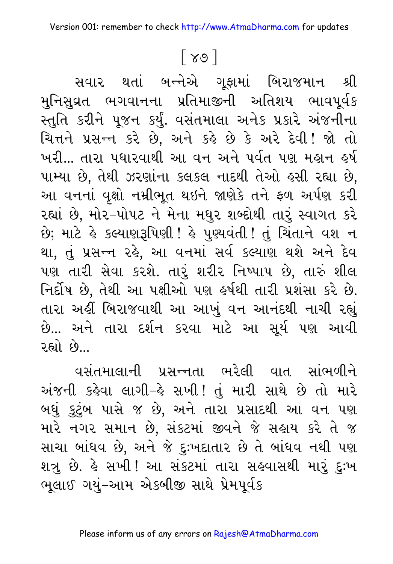### $\lceil 89 \rceil$

સવાર થતાં બન્નેએ ગૂફામાં બિરાજમાન શ્રી મુનિસુવ્રત ભગવાનના પ્રતિમાજીની અતિશય ભાવપૂર્વક સ્તુતિ કરીને પૂજન કર્યું. વસંતમાલા અનેક પ્રકારે અંજનીના ચિત્તને પ્રસન્ન કરે છે. અને કહે છે કે અરે દેવી! જો તો ખરી... તારા પધારવાથી આ વન અને પર્વત પણ મહાન હર્ષ પામ્યા છે, તેથી ઝરણાંના કલકલ નાદથી તેઓ હસી રહ્યા છે, આ વનનાં વૃક્ષો નમ્રીભૂત થઇને જાણેકે તને ફળ અર્પણ કરી રહ્યાં છે, મોર–પોપટ ને મેના મધુર શબ્દોથી તારું સ્વાગત કરે છે; માટે કે કલ્યાણરૂપિણી ! કે પુણ્યવંતી ! તું ચિંતાને વશ ન થા, તું પ્રસન્ન ૨૬ે, આ વનમાં સર્વ કલ્યાણ થશે અને દેવ પણ તારી સેવા કરશે. તારું શરીર નિષ્પાપ છે, તારું શીલ નિર્દોષ છે, તેથી આ પક્ષીઓ પણ ઙર્ષથી તારી પ્રશંસા કરે છે. તારા અહીં બિરાજવાથી આ આખું વન આનંદથી નાચી રહ્યું છે... અને તારા દર્શન કરવા માટે આ સૂર્ય પણ આવી રહ્યો છે.

વસંતમાલાની પ્રસન્નતા ભરેલી વાત સાંભળીને અંજની કહેવા લાગી-હે સખી! તું મારી સાથે છે તો મારે બધું કુટુંબ પાસે જ છે, અને તારા પ્રસાદથી આ વન પણ મારે નગર સમાન છે, સંકટમાં જીવને જે સહાય કરે તે જ સાચા બાંધવ છે, અને જે દુઃખદાતાર છે તે બાંધવ નથી પણ શત્રુ છે. હે સખી ! આ સંકટમાં તારા સહવાસથી મારું દુઃખ ભૂલાઈ ગયું-આમ એકબીજી સાથે પ્રેમપૂર્વક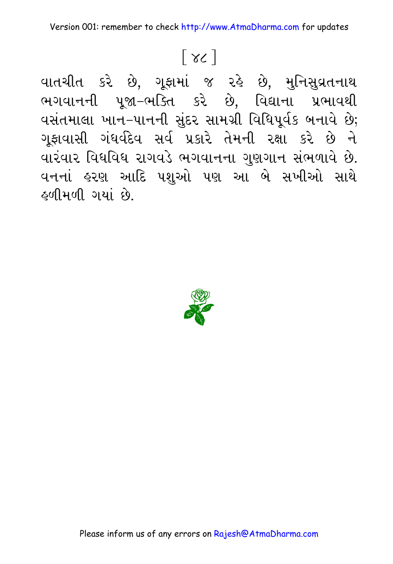# $\lceil 36 \rceil$

વાતચીત કરે છે, ગૂફામાં જ રહે છે, મુનિસુવ્રતનાથ ભગવાનની પૂજા-ભક્તિ કરે છે, વિદ્યાના પ્રભાવથી વસંતમાલા ખાન–પાનની સુંદર સામગ્રી વિધિપૂર્વક બનાવે છે; ગૂફાવાસી ગંધર્વદેવ સર્વ પ્રકારે તેમની રક્ષા કરે છે ને વારંવાર વિધવિધ રાગવડે ભગવાનના ગુણગાન સંભળાવે છે. વનનાં હરણ આદિ પશુઓ પણ આ બે સખીઓ સાથે ફળીમળી ગયાં છે.



Please inform us of any errors on Rajesh@AtmaDharma.com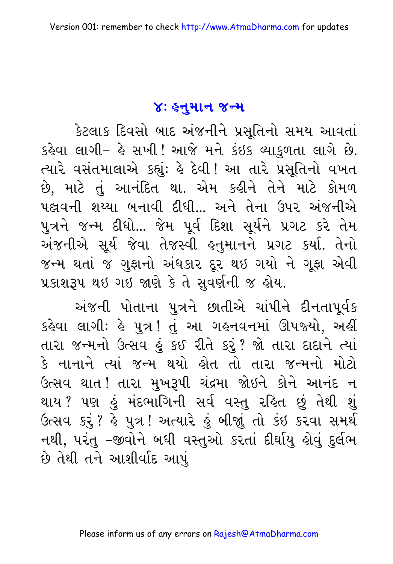#### ४: इनुभान ४न्म

કેટલાક દિવસો બાદ અંજનીને પ્રસૂતિનો સમય આવતાં કહેવા લાગી- હે સખી! આજે મને કંઇક વ્યાકુળતા લાગે છે. ત્યારે વસંતમાલાએ કહ્યું: હે દેવી ! આ તારે પ્રસૂતિનો વખત છે, માટે તું આનંદિત થા. એમ કહીને તેને માટે કોમળ પહ્લવની શય્યા બનાવી દીધી... અને તેના ઉપર અંજનીએ પુત્રને જન્મ દીધો... જેમ પૂર્વ દિશા સૂર્યને પ્રગટ કરે તેમ અંજનીએ સૂર્ય જેવા તેજસ્વી હનુમાનને પ્રગટ કર્યા. તેનો જન્મ થતાં જ ગુફાનો અંધકાર દૂર થઇ ગયો ને ગૂફા એવી પ્રકાશરૂપ થઇ ગઇ જાણે કે તે સુવર્ણની જ હોય.

અંજની પોતાના પુત્રને છાતીએ ચાંપીને દીનતાપૂર્વક કહેવા લાગી: હે પુત્ર ! તું આ ગહનવનમાં ઊપજ્યો, અહીં તારા જન્મનો ઉત્સવ હું કઈ રીતે કરું? જો તારા દાદાને ત્યાં કે નાનાને ત્યાં જન્મ થયો હોત તો તારા જન્મનો મોટો ઉત્સવ થાત !તારા મુખરૂપી ચંદ્રમા જોઇને કોને આનંદ ન થાય ? પણ હું મંદભાગિની સર્વ વસ્તુ રહિત છું તેથી શું ઉત્સવ કરું ? હે પુત્ર ! અત્યારે હું બીજાું તો કંઇ કરવા સમર્થ નથી, પરંતુ –જીવોને બધી વસ્તુઓ કરતાં દીર્ઘાયુ હોવું દુર્લભ છે તેથી તને આશીર્વાદ આપું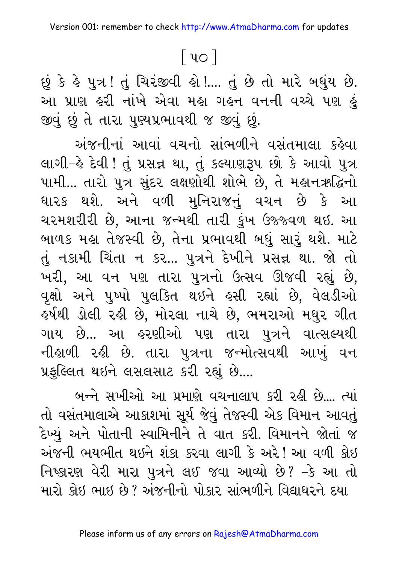### 

છું કે હે પુત્ર! તું ચિરંજીવી હો !.... તું છે તો મારે બઘુંય છે. આ પ્રાણ હરી નાંખે એવા મહા ગહન વનની વચ્ચે પણ હું જીવું છું તે તારા પુણ્યપ્રભાવથી જ જીવું છું.

અંજનીનાં આવાં વચનો સાંભળીને વસંતમાલા કહેવા લાગી–હે દેવી ! તું પ્રસન્ન થા, તું કલ્યાણરૂપ છો કે આવો પુત્ર પામી... તારો પુત્ર સુંદર લક્ષણોથી શોભે છે, તે મહાનઋદ્ધિનો ધારક થશે. અને વળી મુનિરાજનું વચન છે કે આ ચરમશરીરી છે, આના જન્મથી તારી કુંખ ઉજ્જ્વળ થઇ. આ બાળક મહા તેજસ્વી છે, તેના પ્રભાવથી બધું સારું થશે. માટે તું નકામી ચિંતા ન કર... પુત્રને દેખીને પ્રસન્ન થા. જો તો ખરી, આ વન પણ તારા પુત્રનો ઉત્સવ ઊજવી રહ્યું છે, વૃક્ષો અને પુષ્પો પુલકિત થઇને હસી રહ્યાં છે, વેલડીઓ ઙર્ષથી ડોલી રહી છે, મોરલા નાચે છે, ભમરાઓ મધુર ગીત ગાય છે... આ હરણીઓ પણ તારા પુત્રને વાત્સલ્યથી નીહાળી રહી છે. તારા પુત્રના જન્મોત્સવથી આખું વન પ્રફુલ્લિત થઇને લસલસાટ કરી રહ્યું છે....

બન્ને સખીઓ આ પ્રમાણે વચનાલાપ કરી રહી છે.... ત્યાં તો વસંતમાલાએ આકાશમાં સૂર્ય જેવું તેજસ્વી એક વિમાન આવતું દેખ્યું અને પોતાની સ્વામિનીને તે વાત કરી. વિમાનને જોતાં જ અંજની ભયભીત થઇને શંકા કરવા લાગી કે અરે! આ વળી કોઇ નિષ્કારણ વેરી મારા પુત્રને લઈ જવા આવ્યો છે? –કે આ તો મારો કોઈ ભાઈ છે? અંજનીનો પોકાર સાંભળીને વિદ્યાધરને દયા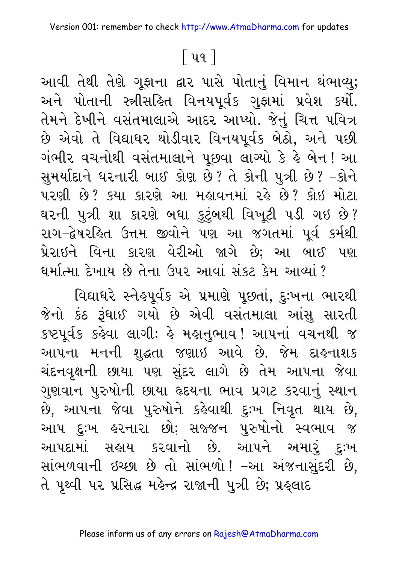# <u>િ</u>પ૧ |

આવી તેથી તેણે ગૂફાના દ્વાર પાસે પોતાનું વિમાન થંભાવ્યુ; અને પોતાની સ્ત્રીસહિત વિનયપૂર્વક ગુફામાં પ્રવેશ કર્યો. તેમને દેખીને વસંતમાલાએ આદર આપ્યો. જેનું ચિત્ત પવિત્ર છે એવો તે વિદ્યાધર થોડીવાર વિનયપૂર્વક બેઠો, અને પછી ગંભીર વચનોથી વસંતમાલાને પૂછવા લાગ્યો કે હે બેન! આ સુમર્યાદાને ઘરનારી બાઈ કોણ છે? તે કોની પુત્રી છે? -કોને પરણી છે? કયા કારણે આ મહાવનમાં રહે છે? કોઈ મોટા ઘરની પુત્રી શા કારણે બધા કુટુંબથી વિખૂટી ૫ડી ગઇ છે? રાગ-દ્વેષરહિત ઉત્તમ જીવોને પણ આ જગતમાં પૂર્વ કર્મથી પ્રેરાઇને વિના કારણ વેરીઓ જાગે છે; આ બાઈ પણ ધર્માત્મા દેખાય છે તેના ઉપર આવાં સંકટ કેમ આવ્યાં ?

વિદ્યાધરે સ્નેહપૂર્વક એ પ્રમાણે પૂછતાં, દુઃખના ભારથી જેનો કંઠ રૂંધાઈ ગયો છે એવી વસંતમાલા આંસુ સારતી કષ્ટપૂર્વક કહેવા લાગીઃ હે મહાનુભાવ ! આપનાં વચનથી જ આપના મનની શુદ્ધતા જણાઇ આવે છે. જેમ દાહનાશક ચંદનવૃક્ષની છાયા પણ સુંદર લાગે છે તેમ આપના જેવા ગુણવાન પુરુષોની છાયા હૃદયના ભાવ પ્રગટ કરવાનું સ્થાન છે, આપના જેવા પુરુષોને કહેવાથી દુઃખ નિવૃત થાય છે, આપ દુઃખ હરનારા છો; સજ્જન પુરુષોનો સ્વભાવ જ આપદામાં સહ્રાય કરવાનો છે. આપને અમારું દુઃખ સાંભળવાની ઇચ્છા છે તો સાંભળો! -આ અંજનાસુંદરી છે, તે પૃથ્વી ૫૨ પ્રસિદ્ધ મહેન્દ્ર રાજાની પુત્રી છે; પ્રહ્લાદ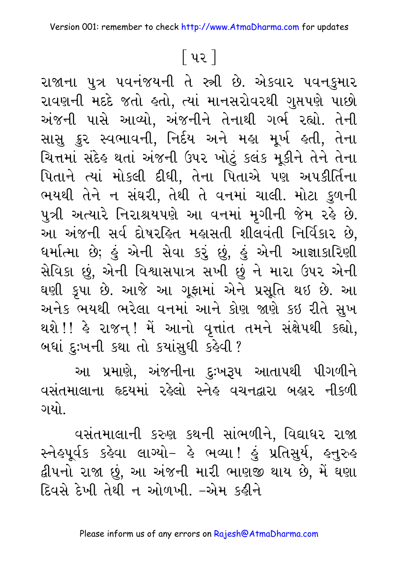### <u>િ</u>પર ]

રાજાના પુત્ર પવનંજયની તે સ્ત્રી છે. એકવાર પવનકુમાર રાવણની મદદે જતો હતો, ત્યાં માનસરોવરથી ગુપ્તપણે પાછો અંજની પાસે આવ્યો, અંજનીને તેનાથી ગર્ભ રહ્યો. તેની સાસુ ક્રુર સ્વભાવની, નિર્દય અને મહા મૂર્ખ હતી, તેના ચિત્તમાં સંદેહ થતાં અંજની ઉપર ખોટું કલંક મૂકીને તેને તેના પિતાને ત્યાં મોકલી દીધી, તેના પિતાએ પણ અપકીર્તિના ભયથી તેને ન સંઘરી, તેથી તે વનમાં ચાલી. મોટા કુળની પુત્રી અત્યારે નિરાશ્રયપણે આ વનમાં મૃગીની જેમ રહે છે. આ અંજની સર્વ દોષરહિત મહાસતી શીલવંતી નિર્વિકાર છે, ધર્માત્મા છે; હું એની સેવા કરું છું, હું એની આજ્ઞાકારિણી સેવિકા છું, એની વિશ્વાસપાત્ર સખી છું ને મારા ઉપર એની ઘણી કૃપા છે. આજે આ ગૂફામાં એને પ્રસૂતિ થઇ છે. આ અનેક ભયથી ભરેલા વનમાં આને કોણ જાણે કઇ રીતે સુખ થશે !! હે રાજન્ ! મેં આનો વૃત્તાંત તમને સંક્ષેપથી કહ્યો, બધાં દુઃખની કથા તો કયાંસુધી કહેવી ?

આ પ્રમાણે, અંજનીના દુઃખરૂપ આતાપથી પીગળીને વસંતમાલાના હૃદયમાં રહેલો સ્નેહ વચનદ્વારા બહાર નીકળી ગયો.

વસંતમાલાની કરુણ કથની સાંભળીને, વિદ્યાધર રાજા સ્નેહપૂર્વક કહેવા લાગ્યો- હે ભવ્યા! હું પ્રતિસુર્ય, હનુરુહ દ્વીપનો રાજા છું, આ અંજની મારી ભાણજી થાય છે, મેં ઘણા દિવસે દેખી તેથી ન ઓળખી. –એમ કહીને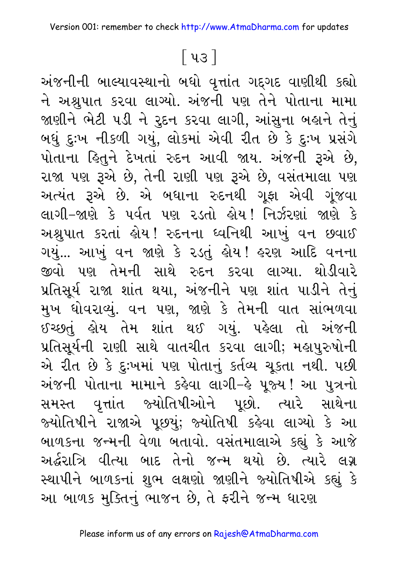### 

અંજનીની બાલ્યાવસ્થાનો બધો વૃત્તાંત ગદ્ગદ વાણીથી કહ્યો ને અશ્રુપાત કરવા લાગ્યો. અંજની પણ તેને પોતાના મામા જાણીને ભેટી પડી ને રુદન કરવા લાગી, આંસુના બહાને તેનું બધું દુઃખ નીકળી ગયું, લોકમાં એવી રીત છે કે દુઃખ પ્રસંગે પોતાના હિતુને દેખતાં રુદન આવી જાય. અંજની રૂએ છે, રાજા પણ રૂએ છે, તેની રાણી પણ રૂએ છે, વસંતમાલા પણ અત્યંત રૂએ છે. એ બધાના રુદનથી ગૂફા એવી ગૂંજવા લાગી–જાણે કે પૂર્વત પણ રડતો લેયુ! નિર્ઝરણાં જાણે કે અશ્રુપાત કરતાં હોય !રદનના ધ્વનિથી આખું વન છવાઈ ગયું... આખું વન જાણે કે ૨ડતું હોય ! હરણ આદિ વનના જીવો પણ તેમની સાથે રુદન કરવા લાગ્યા. થોડીવારે પ્રતિસૂર્ય રાજા શાંત થયા, અંજનીને પણ શાંત પાડીને તેનું મુખ ધોવરાવ્યું. વન પણ, જાણે કે તેમની વાત સાંભળવા ઈચ્છતું હોય તેમ શાંત થઈ ગયું. પહેલા તો અંજની પ્રતિસૂર્યની રાણી સાથે વાતચીત કરવા લાગી; મહાપુરુષોની એ રીત છે કે દુઃખમાં પણ પોતાનું કર્તવ્ય ચૂકતા નથી. પછી અંજની પોતાના મામાને કહેવા લાગી–હે પૂજ્ય ! આ પુત્રનો સમસ્ત વૃત્તાંત જ્યોતિષીઓને પૂછો. ત્યારે સાથેના જ્યોતિષીને રાજાએ પૂછયું; જ્યોતિષી કહેવા લાગ્યો કે આ બાળકના જન્મની વેળા બતાવો. વસંતમાલાએ કહ્યું કે આજે અર્દ્ધરાત્રિ વીત્યા બાદ તેનો જન્મ થયો છે. ત્યારે લગ્ન સ્થાપીને બાળકનાં શુભ લક્ષણો જાણીને જ્યોતિષીએ કહ્યું કે આ બાળક મુક્તિનું ભાજન છે, તે ફરીને જન્મ ધારણ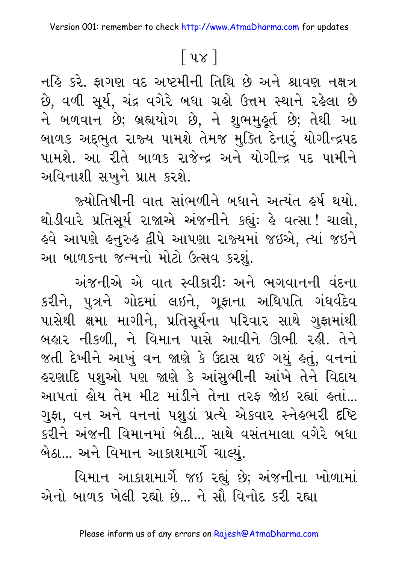# <u>િ</u>પ૪ ો

નહિ કરે. ફાગણ વદ અષ્ટમીની તિથિ છે અને શ્રાવણ નક્ષત્ર છે, વળી સૂર્ય, ચંદ્ર વગેરે બધા ગ્રહો ઉત્તમ સ્થાને રહેલા છે ને બળવાન છે; બ્રહ્યયોગ છે, ને શુભમુહૂર્ત છે; તેથી આ બાળક અદ્દભુત રાજ્ય પામશે તેમજ મુક્તિ દેનારું યોગીન્દ્રપદ પામશે. આ રીતે બાળક રાજેન્દ્ર અને યોગીન્દ્ર પદ પામીને અવિનાશી સખુને પ્રાપ્ત કરશે.

જ્યોતિષીની વાત સાંભળીને બધાને અત્યંત ઙર્ષ થયો. થોડીવારે પ્રતિસૂર્ય રાજાએ અંજનીને કહ્યું: હે વત્સા! ચાલો, હવે આપણે હનુરુહ દ્વીપે આપણા રાજ્યમાં જઇએ, ત્યાં જઇને આ બાળકના જન્મનો મોટો ઉત્સવ કરશું.

અંજનીએ એ વાત સ્વીકારી: અને ભગવાનની વંદના કરીને, પુત્રને ગોદમાં લઇને, ગૂફાના અધિપતિ ગંધર્વદેવ પાસેથી ક્ષમા માગીને, પ્રતિસૂર્યના પરિવાર સાથે ગુફામાંથી બહાર નીકળી, ને વિમાન પાસે આવીને ઊભી રહી. તેને જતી દેખીને આખું વન જાણે કે ઉદાસ થઈ ગયું હતું, વનનાં *હર*ણાદિ પશુઓ પણ જાણે કે આંસુભીની આંખે તેને વિદાય આપતાં હોય તેમ મીટ માંડીને તેના તરફ જોઇ રહ્યાં હતાં... ગુફા, વન અને વનનાં પશુડાં પ્રત્યે એકવાર સ્નેહભરી દષ્ટિ કરીને અંજની વિમાનમાં બેઠી... સાથે વસંતમાલા વગેરે બધા બેઠા... અને વિમાન આકાશમાર્ગે ચાલ્યું.

વિમાન આકાશમાર્ગે જઇ રહ્યું છે; અંજનીના ખોળામાં એનો બાળક ખેલી રહ્યો છે. ને સૌ વિનોદ કરી રહ્યા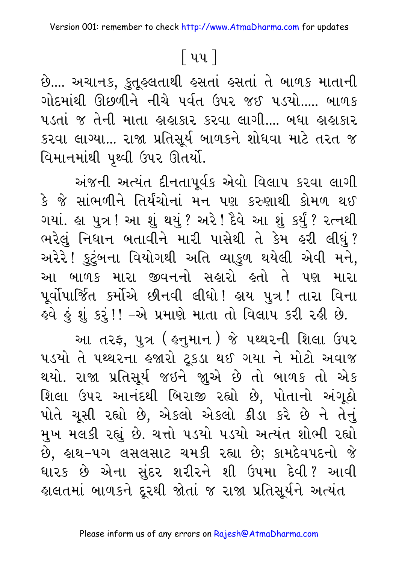### $\lceil$  ૫૫  $\rceil$

છે.... અચાનક, કુતૂહલતાથી હસતાં હસતાં તે બાળક માતાની ગોદમાંથી ઊછળીને નીચે પર્વત ઉપર જઈ પડયો..... બાળક પડતાં જ તેની માતા હાહાકાર કરવા લાગી.... બધા હાહાકાર કરવા લાગ્યા... રાજા પ્રતિસૂર્ય બાળકને શોધવા માટે તરત જ વિમાનમાંથી પૃથ્વી ઉપર ઊતર્યો.

અંજની અત્યંત દીનતાપૂર્વક એવો વિલાપ કરવા લાગી કે જે સાંભળીને તિર્યંચોનાં મન પણ કરુણાથી કોમળ થઈ ગયાં. હા પુત્ર ! આ શું થયું ? અરે ! દૈવે આ શું કર્યું ? રત્નથી ભરેલું નિધાન બતાવીને મારી પાસેથી તે કેમ હરી લીધું? અરેરે ! કુટુંબના વિયોગથી અતિ વ્યાકુળ થયેલી એવી મને, આ બાળક મારા જીવનનો સહારો હતો તે પણ મારા પૂર્વોપાર્જિત કર્મોએ છીનવી લીધો ! હાય પુત્ર ! તારા વિના ઙ્વે કું શું કરું!! –એ પ્રમાણે માતા તો વિલાપ કરી રહી છે.

આ તરફ, પુત્ર ( હનુમાન ) જે પથ્થરની શિલા ઉપર ૫ડયો તે પથ્થરના હજારો ટૂકડા થઈ ગયા ને મોટો અવાજ થયો. રાજા પ્રતિસૂર્ય જઇને જ્ઞુએ છે તો બાળક તો એક શિલા ઉપર આનંદથી બિરાજી રહ્યો છે, પોતાનો અંગૂઠો પોતે ચૂસી રહ્યો છે, એકલો એકલો ક્રીડા કરે છે ને તેનું મુખ મલકી રહ્યું છે. ચત્તો ૫ડયો ૫ડયો અત્યંત શોભી રહ્યો છે, હાથ-૫ગ લસલસાટ ચમકી રહ્યા છે; કામદેવપદનો જે ધારક છે એના સુંદર શરીરને શી ઉપમા દેવી? આવી હાલતમાં બાળકને દૂરથી જોતાં જ રાજા પ્રતિસૂર્યને અત્યંત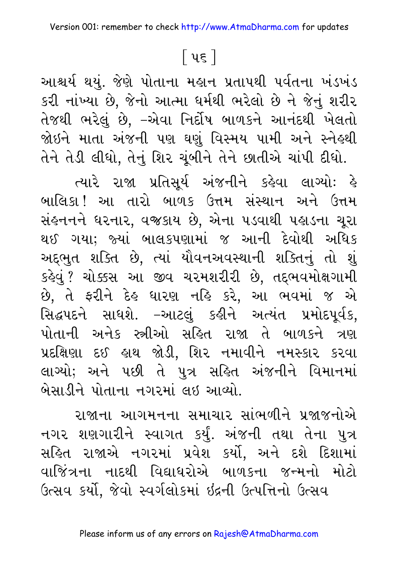### <u>િ</u> પદ ]

આશ્ચર્ય થયું. જેણે પોતાના મહાન પ્રતાપથી પર્વતના ખંડખંડ કરી નાંખ્યા છે, જેનો આત્મા ધર્મથી ભરેલો છે ને જેનું શરીર તેજથી ભરેલું છે, –એવા નિર્દોષ બાળકને આનંદથી ખેલતો જોઇને માતા અંજની પણ ઘણું વિસ્મય પામી અને સ્નેહ્થી તેને તેડી લીધો, તેનું શિર ચૂંબીને તેને છાતીએ ચાંપી દીધો.

ત્યારે રાજા પ્રતિસૂર્ય અંજનીને કહેવા લાગ્યોઃ હે બાલિકા ! આ તારો બાળક ઉત્તમ સંસ્થાન અને ઉત્તમ સંહનનને ધરનાર, વજકાય છે, એના પડવાથી પહાડના ચૂરા થઈ ગયા; જ્યાં બાલકપણામાં જ આની દેવોથી અધિક અદ્દભુત શક્તિ છે, ત્યાં યૌવનઅવસ્થાની શક્તિનું તો શું કહેવું ? ચોક્કસ આ જીવ ચરમશરીરી છે, તદ્દભવમોક્ષગામી છે, તે ફરીને દેહ ધારણ નહિ કરે, આ ભવમાં જ એ સિદ્ધપદને સાધશે. –આટલું કહીને અત્યંત પ્રમોદપૂર્વક, પોતાની અનેક સ્ત્રીઓ સહિત રાજા તે બાળકને ત્રણ પ્રદક્ષિણા દઈ હાથ જોડી, શિર નમાવીને નમસ્કાર કરવા લાગ્યો; અને પછી તે પુત્ર સહિત અંજનીને વિમાનમાં બેસાડીને પોતાના નગરમાં લઇ આવ્યો.

રાજાના આગમનના સમાચાર સાંભળીને પ્રજાજનોએ નગર શણગારીને સ્વાગત કર્યું. અંજની તથા તેના પુત્ર સહિત રાજાએ નગરમાં પ્રવેશ કર્યો, અને દશે દિશામાં વાજિંત્રના નાદથી વિદ્યાધરોએ બાળકના જન્મનો મોટો ઉત્સવ કર્યો, જેવો સ્વર્ગલોકમાં ઇંદ્રની ઉત્પત્તિનો ઉત્સવ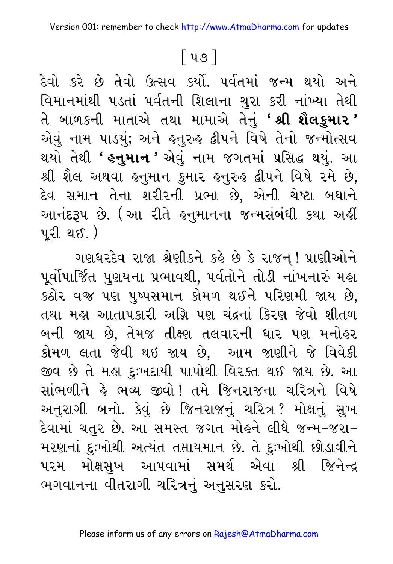### <u>િ</u>પ૭ |

દેવો કરે છે તેવો ઉત્સવ કર્યો. ૫ર્વતમાં જન્મ થયો અને વિમાનમાંથી ૫ડતાં ૫ર્વતની શિલાના ચુરા કરી નાંખ્યા તેથી તે બાળકની માતાએ તથા મામાએ તેનું **' શ્રી શૈલકુમાર '** એવું નામ પાડયું; અને હ્નુરુહ દ્વીપને વિષે તેનો જન્મોત્સવ થયો તેથી **' હનુમાન '** એવું નામ જગતમાં પ્રસિદ્ધ થયું. આ શ્રી શૈલ અથવા હનુમાન કુમાર હનુરુહ દ્વીપને વિષે રમે છે, દેવ સમાન તેના શરીરની પ્રભા છે, એની ચેષ્ટા બધાને આનંદરૂપ છે. (આ રીતે હનુમાનના જન્મસંબંધી કથા અહીં <u>પરી થઈ. )</u>

ગણધરદેવ રાજા શ્રેણીકને કર્લ્ડ છે કે રાજન્! પ્રાણીઓને પૂર્વોપાર્જિત પુણયના પ્રભાવથી, પર્વતોને તોડી નાંખનારું મહા કઠોર વજી પણ પુષ્પસમાન કોમળ થઈને પરિણમી જાય છે, તથા મહા આતાપકારી અગ્નિ પણ ચંદ્રનાં કિરણ જેવો શીતળ બની જાય છે, તેમજ તીક્ષ્ણ તલવારની ધાર પણ મનોલ્રર કોમળ લતા જેવી થઇ જાય છે, આમ જાણીને જે વિવેકી જીવ છે તે મહા દુઃખદાયી પાપોથી વિરક્ત થઈ જાય છે. આ સાંભળીને હે ભવ્ય જીવો! તમે જિનરાજના ચરિત્રને વિષે અનુરાગી બનો. કેવું છે જિનરાજનું ચરિત્ર? મોક્ષનું સુખ દેવામાં ચતુર છે. આ સમસ્ત જગત મોહને લીધે જન્મ−જરા− મરણનાં દુઃખોથી અત્યંત તપ્તાયમાન છે. તે દુઃખોથી છોડાવીને પરમ મોક્ષસુખ આપવામાં સમર્થ એવા શ્રી જિનેન્દ્ર ભગવાનના વીતરાગી ચરિત્રનું અનુસરણ કરો.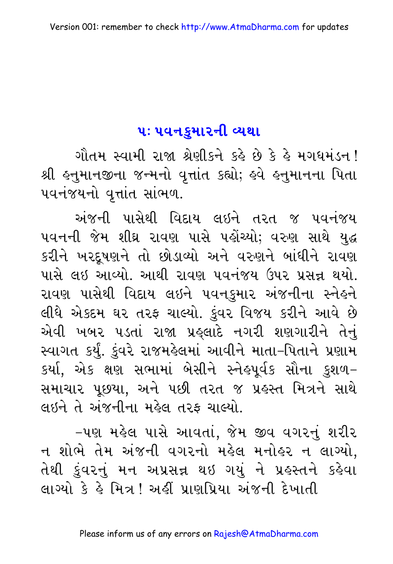#### <u>પઃ ૫વનકુમારની વ્યથા</u>

ગૌતમ સ્વામી રાજા શ્રેણીકને કહે છે કે હે મગધમંડન ! શ્રી હનુમાનજીના જન્મનો વૃત્તાંત કહ્યો; હવે હનુમાનના પિતા ૫વનંજયનો વૃત્તાંત સાંભળ.

અંજની પાસેથી વિદાય લઇને તરત જ પવનંજય પવનની જેમ શીઘ્ર રાવણ પાસે પહોંચ્યો; વરુણ સાથે યુદ્ધ કરીને ખરદૂષણને તો છોડાવ્યો અને વરુણને બાંધીને રાવણ પાસે લઇ આવ્યો. આથી રાવણ પવનંજય ઉપર પ્રસન્ન થયો. રાવણ પાસેથી વિદાય લઇને પવનકુમાર અંજનીના સ્નેહને લીધે એકદમ ઘર તરફ ચાલ્યો. કુંવર વિજય કરીને આવે છે એવી ખબર પડતાં રાજા પ્રહ્લાદે નગરી શણગારીને તેનું સ્વાગત કર્યું. કુંવરે રાજમહેલમાં આવીને માતા–પિતાને પ્રણામ કર્યા, એક ક્ષણ સભામાં બેસીને સ્નેહપૂર્વક સૌના કુશળ– સમાચાર પૂછયા, અને પછી તરત જ પ્રહસ્ત મિત્રને સાથે લઇને તે અંજનીના મહેલ તરફ ચાલ્યો.

-પણ મહેલ પાસે આવતાં, જેમ જીવ વગરનું શરીર ન શોભે તેમ અંજની વગરનો મહેલ મનોહર ન લાગ્યો, તેથી કુંવરનું મન અપ્રસન્ન થઇ ગયું ને પ્રહસ્તને કહેવા લાગ્યો કે હે મિત્ર ! અહીં પ્રાણપ્રિયા અંજની દેખાતી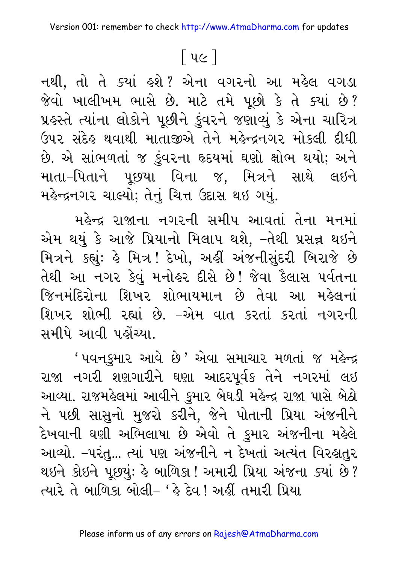### <u>િ</u>પ૯ ]

નથી, તો તે ક્યાં હશે? એના વગરનો આ મહેલ વગડા જેવો ખાલીખમ ભાસે છે. માટે તમે પૂછો કે તે ક્યાં છે? પ્રહસ્તે ત્યાંના લોકોને પૂછીને કુંવરને જણાવ્યું કે એના ચારિત્ર ઉપર સંદેહ થવાથી માતાજીએ તેને મહેન્દ્રનગર મોકલી દીધી છે. એ સાંભળતાં જ કુંવરના હૃદયમાં ઘણો ક્ષોભ થયો; અને માતા–પિતાને પૂછયા વિના જ, મિત્રને સાથે લઇને મહેન્દ્રનગર ચાલ્યો; તેનું ચિત્ત ઉદાસ થઇ ગયું.

મહેન્દ્ર રાજાના નગરની સમીપ આવતાં તેના મનમાં એમ થયું કે આજે પ્રિયાનો મિલાપ થશે, –તેથી પ્રસન્ન થઇને મિત્રને કહ્યું: હે મિત્ર! દેખો, અહીં અંજનીસુંદરી બિરાજે છે તેથી આ નગર કેવું મનોહર દીસે છે! જેવા કૈલાસ પર્વતના જિનમંદિરોના શિખર શોભાયમાન છે તેવા આ મહેલનાં શિખર શોભી રહ્યાં છે. –એમ વાત કરતાં કરતાં નગરની સમીપે આવી પહોંચ્યા

' પવનકુમાર આવે છે' એવા સમાચાર મળતાં જ મહેન્દ્ર રાજા નગરી શણગારીને ઘણા આદરપૂર્વક તેને નગરમાં લઇ આવ્યા. રાજમહેલમાં આવીને કુમાર બેઘડી મહેન્દ્ર રાજા પાસે બેઠો ને પછી સાસુનો મુજરો કરીને, જેને પોતાની પ્રિયા અંજનીને દેખવાની ઘણી અભિલાષા છે એવો તે કુમાર અંજનીના મહેલે આવ્યો. –પરંતુ... ત્યાં પણ અંજનીને ન દેખતાં અત્યંત વિરહાતુર થઇને કોઇને પૂછયું: હે બાળિકા ! અમારી પ્રિયા અંજના ક્યાં છે ? ત્યારે તે બાળિકા બોલી– 'હે દેવ ! અહીં તમારી પ્રિયા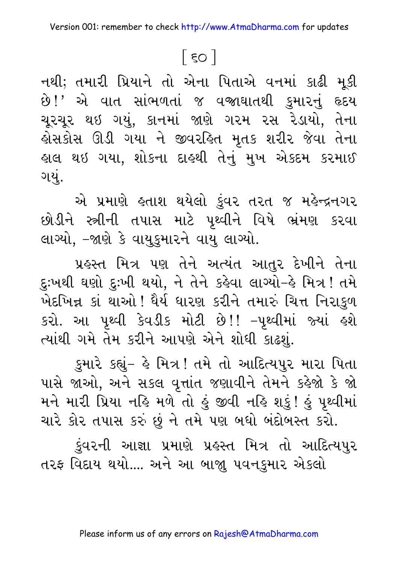### $\lceil$  so  $\rceil$

નથી; તમારી પ્રિયાને તો એના પિતાએ વનમાં કાઢી મૂકી છે!' એ વાત સાંભળતાં જ વજાઘાતથી કુમારનું હૃદય ચૂરચૂર થઇ ગયું, કાનમાં જાણે ગરમ રસ રેડાયો, તેના લોસકોસ ઊડી ગયા ને જીવરહિત મૃતક શરીર જેવા તેના હાલ થઇ ગયા, શોકના દાહથી તેનું મુખ એકદમ કરમાઈ ગયં.

એ પ્રમાણે હતાશ થયેલો કુંવર તરત જ મહેન્દ્રનગર છોડીને સ્ત્રીની તપાસ માટે પૃથ્વીને વિષે ભ્રંમણ કરવા લાગ્યો, -જાણે કે વાયુકુમારને વાયુ લાગ્યો.

પ્રહસ્ત મિત્ર પણ તેને અત્યંત આતુર દેખીને તેના દુઃખથી ઘણો દુઃખી થયો, ને તેને કહેવા લાગ્યો–હે મિત્ર ! તમે ખેદખિન્ન કાં થાઓ ! ધૈર્ય ધારણ કરીને તમારું ચિત્ત નિરાકુળ કરો. આ પૃથ્વી કેવડીક મોટી છે!! -પૃથ્વીમાં જ્યાં હશે ત્યાંથી ગમે તેમ કરીને આપણે એને શોધી કાઢશું.

કુમારે કહ્યું- હે મિત્ર! તમે તો આદિત્યપુર મારા પિતા પાસે જાઓ, અને સકલ વૃત્તાંત જણાવીને તેમને કહેજો કે જો મને મારી પ્રિયા નહિ મળે તો હું જીવી નહિ શકું! હું પૃથ્વીમાં ચારે કોર તપાસ કરું છું ને તમે પણ બધો બંદોબસ્ત કરો.

ડુંવરની આજ્ઞા પ્રમાણે પ્રહસ્ત મિત્ર તો આદિત્યપુર તરફ વિદાય થયો.... અને આ બાજા પવનકુમાર એકલો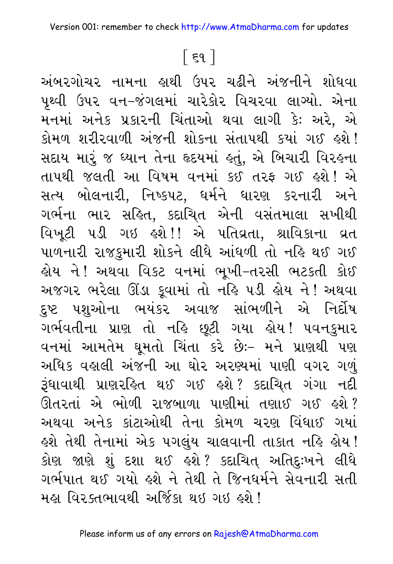### <u>િદ</u>૧ ]

અંબરગોચર નામના હાથી ઉપર ચઢીને અંજનીને શોધવા પૃથ્વી ઉપર વન–જંગલમાં ચારેકોર વિચરવા લાગ્યો. એના મનમાં અનેક પ્રકારની ચિંતાઓ થવા લાગી કેઃ અરે, એ કોમળ શરીરવાળી અંજની શોકના સંતાપથી કયાં ગઈ હશે! સદાય મારું જ ધ્યાન તેના હૃદયમાં હતું, એ બિચારી વિરહના તાપથી જલતી આ વિષમ વનમાં કઈ તરફ ગઈ હશે! એ સત્ય બોલનારી, નિષ્કપટ, ધર્મને ધારણ કરનારી અને ગર્ભના ભાર સહિત, કદાચિત એની વસંતમાલા સખીથી વિખૂટી ૫ડી ગઇ ઙ્શે!! એ ૫તિવ્રતા, શ્રાવિકાના વ્રત પાળનારી રાજકુમારી શોકને લીધે આંધળી તો નહિ થઈ ગઈ હોય ને! અથવા વિકટ વનમાં ભૂખી–તરસી ભટકતી કોઈ અજગર ભરેલા ઊંડા કૂવામાં તો નહિ ૫ડી હોય ને ! અથવા દુષ્ટ પશુઓના ભયંકર અવાજ સાંભળીને એ નિર્દોષ ગર્ભવતીના પ્રાણ તો નહિ છૂટી ગયા હોય! પવનકુમાર વનમાં આમતેમ ઘૂમતો ચિંતા કરે છેઃ– મને પ્રાણથી પણ અધિક વહાલી અંજની આ ઘોર અરણ્યમાં પાણી વગર ગળું રૂંધાવાથી પ્રાણરહિત થઈ ગઈ હશે? કદાચિત ગંગા નદી ઊતરતાં એ ભોળી રાજબાળા પાણીમાં તણાઈ ગઈ કશે? અથવા અનેક કાંટાઓથી તેના કોમળ ચરણ વિંધાઈ ગયાં ફશે તેથી તેનામાં એક પગલુંય ચાલવાની તાકાત નહિ ફોય ! કોણ જાણે શું દશા થઈ હશે? કદાચિત્ અતિદુઃખને લીધે ગર્ભપાત થઈ ગયો હશે ને તેથી તે જિનધર્મને સેવનારી સતી મહા વિરક્તભાવથી અર્જિકા થઇ ગઇ હશે !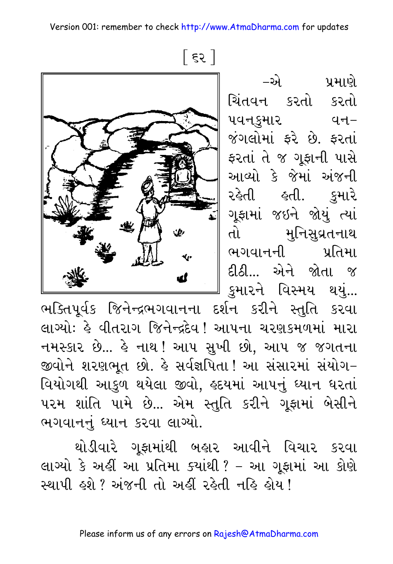Version 001: remember to check http://www.AtmaDharma.com for updates

 $55$ 

 $-\mathfrak{D}$ ા પ્રમાણે ચિંતવન કરતો કરતો પવનકમાર વન– જંગલોમાં ફરે છે. ફરતાં ફરતાં તે જ ગુફાની પાસે આવ્યો કે જેમાં અંજની રહેતી હતી. કમારે ગૂફામાં જઇને જોયું ત્યાં તો મુનિસુવ્રતનાથ | ભગવાનની પ્રતિમા દીઠી... એને જોતા જ કુમારને વિસ્મય થયું...

ભક્તિપૂર્વક જિનેન્દ્રભગવાનના દર્શન કરીને સ્તુતિ કરવા લાગ્યોઃ કે વીતરાગ જિનેન્દ્રદેવ ! આપના ચરણકમળમાં મારા નમસ્કાર છે... કે નાથ ! આપ સુખી છો, આપ જ જગતના જીવોને શરણભૂત છો. કે સર્વજ્ઞપિતા! આ સંસારમાં સંયોગ– વિયોગથી આકુળ થયેલા જીવો, હૃદયમાં આપનું ધ્યાન ધરતાં પરમ શાંતિ પામે છે... એમ સ્તુતિ કરીને ગૂફામાં બેસીને ભગવાનનું ધ્યાન કરવા લાગ્યો.

થોડીવારે ગૂફામાંથી બહાર આવીને વિચાર કરવા લાગ્યો કે અહીં આ પ્રતિમા ક્યાંથી ? – આ ગૂફામાં આ કોણે સ્થાપી હશે ? અંજની તો અહીં રહેતી નહિ હોય !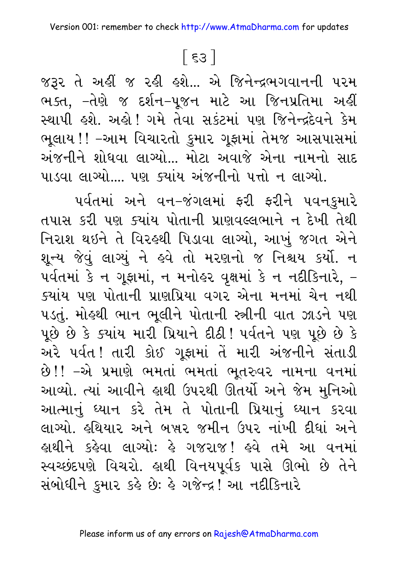### $55$

જરૂર તે અહીં જ રહી હશે... એ જિનેન્દ્રભગવાનની પરમ ભક્ત, –તેણે જ દર્શન–પૂજન માટે આ જિનપ્રતિમા અહીં સ્થાપી હશે. અહો! ગમે તેવા સકંટમાં પણ જિનેન્દ્રદેવને કેમ ભૂલાય !! –આમ વિચારતો કુમાર ગૂફામાં તેમજ આસપાસમાં અંજનીને શોધવા લાગ્યો... મોટા અવાજે એના નામનો સાદ પાડવા લાગ્યો.... પણ ક્યાંય અંજનીનો પત્તો ન લાગ્યો.

પર્વતમાં અને વન–જંગલમાં ફરી ફરીને પવનકુમારે તપાસ કરી પણ ક્યાંય પોતાની પ્રાણવલ્લભાને ન દેખી તેથી નિરાશ થઇને તે વિરહથી પિડાવા લાગ્યો, આખું જગત એને શૂન્ય જેવું લાગ્યું ને હવે તો મરણનો જ નિશ્ચય કર્યો. ન પર્વતમાં કે ન ગૂફામાં, ન મનોહર વૃક્ષમાં કે ન નદીકિનારે, – ક્યાંય પણ પોતાની પ્રાણપ્રિયા વગર એના મનમાં ચેન નથી ૫ડતું. મોહથી ભાન ભૂલીને પોતાની સ્ત્રીની વાત ઝાડને પણ પૂછે છે કે ક્યાંય મારી પ્રિયાને દીઠી! પર્વતને પણ પૂછે છે કે અરે પર્વત! તારી કોઈ ગુફામાં તેં મારી અંજનીને સંતાડી છે!! –એ પ્રમાણે ભમતાં ભમતાં ભૂતરુવર નામના વનમાં આવ્યો. ત્યાં આવીને હાથી ઉપરથી ઊતર્યો અને જેમ મુનિઓ આત્માનું ધ્યાન કરે તેમ તે પોતાની પ્રિયાનું ધ્યાન કરવા લાગ્યો. હથિયાર અને બુર્સર જમીન ઉપર નાંખી દીધાં અને હાથીને કહેવા લાગ્યોઃ હે ગજરાજ! હવે તમે આ વનમાં સ્વચ્છંદપણે વિચરો. હાથી વિનયપૂર્વક પાસે ઊભો છે તેને સંબોધીને કુમાર કહે છેઃ હે ગજેન્દ્ર! આ નદીકિનારે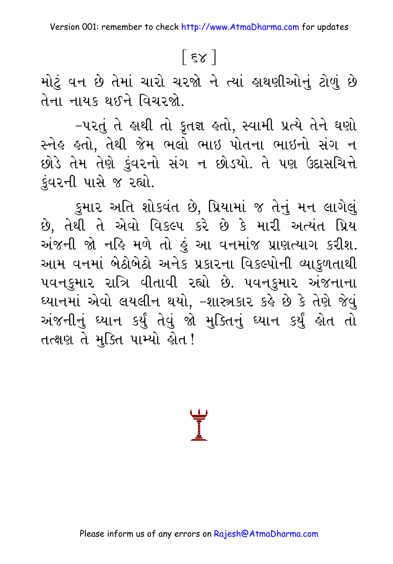# $[58]$

મોટું વન છે તેમાં ચારો ચરજો ને ત્યાં હાથણીઓનું ટોળું છે તેના નાયક થઈને વિચરજો.

-પરતું તે હાથી તો કૃતજ્ઞ હતો, સ્વામી પ્રત્યે તેને ઘણો સ્નેહ હતો, તેથી જેમ ભલો ભાઇ પોતના ભાઇનો સંગ ન છોડે તેમ તેણે કુંવરનો સંગ ન છોડયો. તે પણ ઉદાસચિત્તે કુંવરની પાસે જ રહ્યો.

કુમાર અતિ શોકવંત છે, પ્રિયામાં જ તેનું મન લાગેલું છે, તેથી તે એવો વિકલ્પ કરે છે કે મારી અત્યંત પ્રિય અંજની જો નહિ મળે તો હું આ વનમાંજ પ્રાણત્યાગ કરીશ. આમ વનમાં બેઠોબેઠો અનેક પ્રકારના વિકલ્પોની વ્યાકુળતાથી પવનકુમાર રાત્રિ વીતાવી રહ્યો છે. પવનકુમાર અંજનાના ઘ્યાનમાં એવો લયલીન થયો, –શાસ્ત્રકાર કર્લ છે કે તેણે જેવું અંજનીનું ઘ્યાન કર્યું તેવું જો મુક્તિનું ઘ્યાન કર્યું હોત તો તત્ક્ષણ તે મુક્તિ પામ્યો હોત!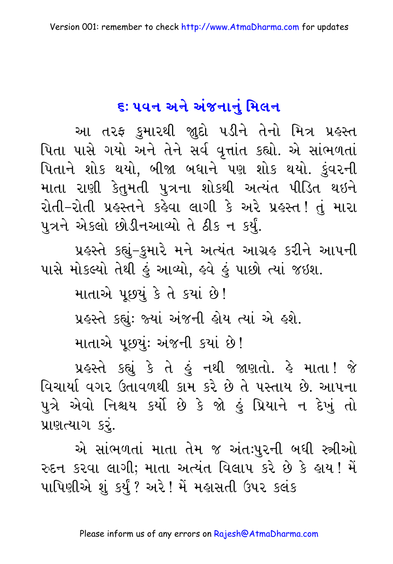# ૬: ૫વન અને અંજનાનં મિલન

આ તરફ કુમારથી જ્ઞુદો પડીને તેનો મિત્ર પ્રહસ્ત પિતા પાસે ગયો અને તેને સર્વ વૃત્તાંત કહ્યો. એ સાંભળતાં પિતાને શોક થયો, બીજા બધાને પણ શોક થયો. કુંવરની માતા રાણી કેતુમતી પુત્રના શોકથી અત્યંત પીડિત થઇને રોતી-રોતી પ્રહસ્તને કહેવા લાગી કે અરે પ્રહસ્ત! તું મારા પુત્રને એકલો છોડીનઆવ્યો તે ઠીક ન કર્યું.

પ્રહસ્તે કહ્યું–કુમારે મને અત્યંત આગ્રહ કરીને આપની પાસે મોકલ્યો તેથી કું આવ્યો, ક્ષ્વે કું પાછો ત્યાં જઇશ.

માતાએ પૂછયું કે તે કયાં છે!

પ્રહસ્તે કહ્યું: જ્યાં અંજની હોય ત્યાં એ હશે.

માતાએ પૂછયું: અંજની કયાં છે!

પ્રહસ્તે કહ્યું કે તે હું નથી જાણતો. હે માતા! જે વિચાર્યા વગર ઉતાવળથી કામ કરે છે તે પસ્તાય છે. આપના પુત્રે એવો નિશ્ચય કર્યો છે કે જો હું પ્રિયાને ન દેખું તો પ્રાણત્યાગ કરૂં.

એ સાંભળતાં માતા તેમ જ અંતઃપુરની બધી સ્ત્રીઓ રુદન કરવા લાગી; માતા અત્યંત વિલાપ કરે છે કે હાય! મેં પાપિણીએ શું કર્યું ? અરે ! મેં મહાસતી ઉપર કલંક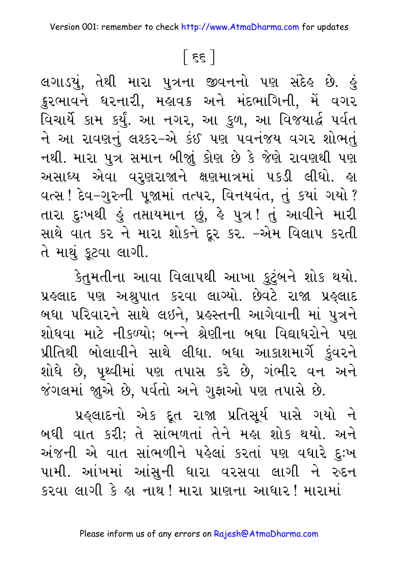# $\lceil$  हह  $\rceil$

લગાડયું, તેથી મારા પુત્રના જીવનનો પણ સંદેહ છે. હું ક્રુરભાવને ઘરનારી, મહાવક અને મંદભાગિની, મેં વગર વિચાર્યે કામ કર્યું. આ નગર, આ કુળ, આ વિજયાર્દ્ધ પર્વત ને આ રાવણનું લશ્કર-એ કંઈ પણ પવનંજય વગર શોભતું નથી. મારા પુત્ર સમાન બીજાું કોણ છે કે જેણે રાવણથી પણ અસાધ્ય એવા વરૂણરાજાને ક્ષણમાત્રમાં ૫કડી લીધો. હા વત્સ! દેવ-ગુરુની પૂજામાં તત્પર, વિનયવંત, તું કયાં ગયો ? તારા દુઃખથી હું તપ્તાયમાન છું, હે પુત્ર! તું આવીને મારી સાથે વાત કર ને મારા શોકને દૂર કર. -એમ વિલાપ કરતી તે માથું કૂટવા લાગી.

કેતુમતીના આવા વિલાપથી આખા કુટુંબને શોક થયો. પ્રહલાદ પણ અશ્રુપાત કરવા લાગ્યો. છેવટે રાજા પ્રહ્લાદ બઘા પરિવારને સાથે લઇને, પ્રહસ્તની આગેવાની માં પુત્રને શોધવા માટે નીકળ્યો; બન્ને શ્રેણીના બધા વિદ્યાધરોને પણ પ્રીતિથી બોલાવીને સાથે લીધા. બધા આકાશમાર્ગે કુંવરને શોધે છે, પૃથ્વીમાં પણ તપાસ કરે છે, ગંભીર વન અને જંગલમાં જાુએ છે, પર્વતો અને ગુફાઓ પણ તપાસે છે.

પ્રહ્લાદનો એક દૂત રાજા પ્રતિસૂર્ય પાસે ગયો ને બધી વાત કરી; તે સાંભળતાં તેને મહા શોક થયો. અને અંજની એ વાત સાંભળીને પહેલાં કરતાં પણ વધારે દુઃખ પામી. આંખમાં આંસુની ધારા વરસવા લાગી ને રુદન કરવા લાગી કે હા નાથ ! મારા પ્રાણના આધાર ! મારામાં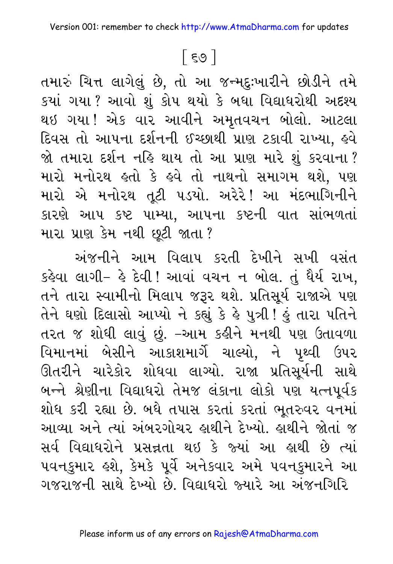### [ ૬૭ ]

તમારું ચિત્ત લાગેલું છે, તો આ જન્મદુઃખારીને છોડીને તમે કયાં ગયા ? આવો શું કોપ થયો કે બધા વિદ્યાધરોથી અદશ્ય થઇ ગયા! એક વાર આવીને અમૃતવચન બોલો. આટલા દિવસ તો આપના દર્શનની ઈચ્છાથી પ્રાણ ટકાવી રાખ્યા, હવે જો તમારા દર્શન નહિ થાય તો આ પ્રાણ મારે શું કરવાના? મારો મનોરથ હતો કે હવે તો નાથનો સમાગમ થશે, પણ મારો એ મનોરથ તૂટી પડયો. અરેરે! આ મંદભાગિનીને કારણે આપ કષ્ટ પામ્યા, આપના કષ્ટની વાત સાંભળતાં મારા પ્રાણ કેમ નથી છૂટી જાતા?

અંજનીને આમ વિલાપ કરતી દેખીને સખી વસંત કહેવા લાગી- હે દેવી ! આવાં વચન ન બોલ. તું ધૈર્ય રાખ. તને તારા સ્વામીનો મિલાપ જરૂર થશે. પ્રતિસૂર્ય રાજાએ પણ તેને ઘણો દિલાસો આપ્યો ને કહ્યું કે હે પુત્રી ! હું તારા પતિને તરત જ શોધી લાવું છું. –આમ કહીને મનથી પણ ઉતાવળા વિમાનમાં બેસીને આકાશમાર્ગે ચાલ્યો, ને પૃથ્વી ઉપર ઊતરીને ચારેકોર શોધવા લાગ્યો. રાજા પ્રતિસૂર્યની સાથે બન્ને શ્રેણીના વિદ્યાધરો તેમજ લંકાના લોકો પણ યત્નપૂર્વક શોધ કરી રહ્યા છે. બધે તપાસ કરતાં કરતાં ભૂતરુવર વનમાં આવ્યા અને ત્યાં અંબરગોચર હાથીને દેખ્યો. હાથીને જોતાં જ સર્વ વિદ્યાધરોને પ્રસન્નતા થઇ કે જ્યાં આ લાથી છે ત્યાં પવનકુમાર હશે, કેમકે પૂર્વે અનેકવાર અમે પવનકુમારને આ ગજરાજની સાથે દેખ્યો છે વિદ્યાધરો જ્યારે આ અંજનગિરિ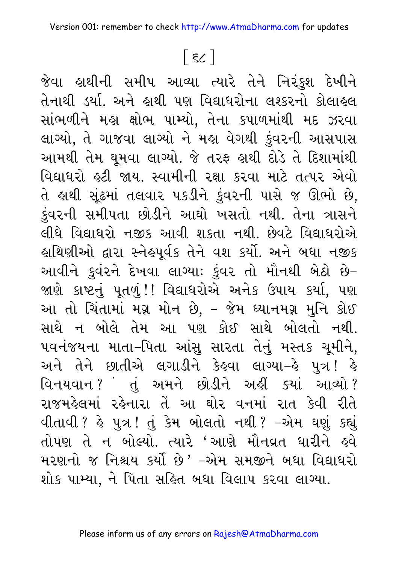# $\lceil$  ६८  $\rceil$

જેવા હાથીની સમીપ આવ્યા ત્યારે તેને નિરંકુશ દેખીને તેનાથી ડર્યા. અને લથી પણ વિદ્યાધરોના લશ્કરનો કોલાહલ સાંભળીને મહા ક્ષોભ પામ્યો, તેના કપાળમાંથી મદ ઝરવા લાગ્યો. તે ગાજવા લાગ્યો ને મહા વેગથી કુંવરની આસપાસ આમથી તેમ ઘૂમવા લાગ્યો. જે તરફ હાથી દોડે તે દિશામાંથી વિદ્યાધરો હટી જાય. સ્વામીની રક્ષા કરવા માટે તત્પર એવો તે હાથી સૂંઢમાં તલવાર ૫કડીને કુંવરની પાસે જ ઊભો છે, કુંવરની સમીપતા છોડીને આઘો ખસતો નથી. તેના ત્રાસને લીધે વિદ્યાધરો નજીક આવી શકતા નથી. છેવટે વિદ્યાધરોએ હાથિણીઓ દ્વારા સ્નેહપૂર્વક તેને વશ કર્યો. અને બધા નજીક આવીને કુવંરને દેખવા લાગ્યાઃ કુંવર તો મૌનથી બેઠો છે-જાણે કાષ્ટનું પૂતળું!! વિદ્યાધરોએ અનેક ઉપાય કર્યા, પણ આ તો ચિંતામાં મગ્ન મોન છે, – જેમ ધ્યાનમગ્ન મુનિ કોઈ સાથે ન બોલે તેમ આ પણ કોઈ સાથે બોલતો નથી. ૫વનંજયના માતા-પિતા આંસુ સારતા તેનું મસ્તક ચૂમીને, અને તેને છાતીએ લગાડીને કેહવા લાગ્યા-હે પુત્ર! હે વિનયવાન ?ં તું અમને છોડીને અહીં ક્યાં આવ્યો ? રાજમહેલમાં રહેનારા તેં આ ઘોર વનમાં રાત કેવી રીતે વીતાવી ? હે પુત્ર ! તું કેમ બોલતો નથી ? –એમ ઘણું કહ્યું તોપણ તે ન બોલ્યો. ત્યારે 'આણે મૌનવ્રત ધારીને હવે મરણનો જ નિશ્ચય કર્યો છે ' –એમ સમજીને બધા વિદ્યાધરો શોક પામ્યા. ને પિતા સહિત બધા વિલાપ કરવા લાગ્યા.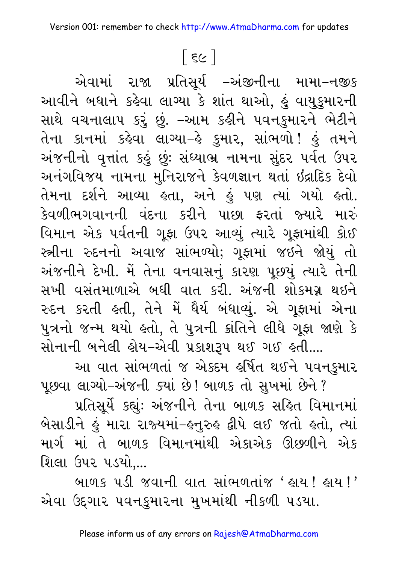## [ દ૯ ]

એવામાં રાજા પ્રતિસૂર્ય –અંજીનીના મામા–નજીક આવીને બધાને કહેવા લાગ્યા કે શાંત થાઓ, હું વાયુકુમારની સાથે વચનાલાપ કરું છું. –આમ કહીને પવનકુમારને ભેટીને તેના કાનમાં કહેવા લાગ્યા–હે કુમાર, સાંભળો! હું તમને અંજનીનો વૃત્તાંત કહું છું: સંધ્યાભ્ર નામના સુંદર પર્વત ઉપર અનંગવિજય નામના મુનિરાજને કેવળજ્ઞાન થતાં ઇંદ્રાદિક દેવો તેમના દર્શને આવ્યા હતા, અને હું પણ ત્યાં ગયો હતો. કેવળીભગવાનની વંદના કરીને પાછા કરતાં જ્યારે મારું વિમાન એક પર્વતની ગૂફા ઉપર આવ્યું ત્યારે ગૂફામાંથી કોઈ સ્ત્રીના રુદનનો અવાજ સાંભળ્યો; ગૂફામાં જઇને જોયું તો અંજનીને દેખી. મેં તેના વનવાસનું કારણ પૂછયું ત્યારે તેની સખી વસંતમાળાએ બધી વાત કરી. અંજની શોકમગ્ર થઇને રુદન કરતી હતી. તેને મેં ધૈર્ય બંધાવ્યું. એ ગુફામાં એના પુત્રનો જન્મ થયો હતો, તે પુત્રની ક્રાંતિને લીધે ગુફા જાણે કે સોનાની બનેલી હોય-એવી પ્રકાશરૂપ થઈ ગઈ હતી....

આ વાત સાંભળતાં જ એકદમ હર્ષિત થઈને પવનકુમાર પૂછવા લાગ્યો–અંજની ક્યાં છે! બાળક તો સુખમાં છેને ?

પ્રતિસૂર્યે કહ્યું: અંજનીને તેના બાળક સહિત વિમાનમાં બેસાડીને હું મારા રાજ્યમાં–હનુરુહ દ્વીપે લઈ જતો હતો, ત્યાં માર્ગ માં તે બાળક વિમાનમાંથી એકાએક ઊછળીને એક શિલા ઉપર પડયો,...

<u>બાળક પડી જવાની વાત સાંભળતાંજ ' હાય! હાય!'</u> એવા ઉદ્દગાર પવનકુમારના મુખમાંથી નીકળી પડયા.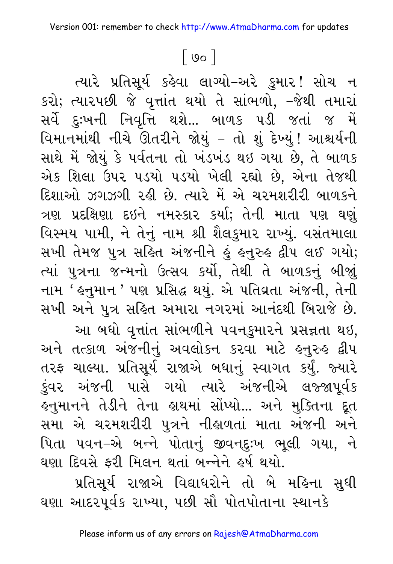### $\lceil$  00  $\rceil$

ત્યારે પ્રતિસૂર્ય કહેવા લાગ્યો-અરે કુમાર! સોચ ન કરો; ત્યારપછી જે વૃત્તાંત થયો તે સાંભળો, –જેથી તમારાં સર્વે દુઃખની નિવૃત્તિ થશે... બાળક ૫ડી જતાં જ મેં વિમાનમાંથી નીચે ઊતરીને જોયું – તો શું દેખ્યું! આશ્ચર્યની સાથે મેં જોયું કે પર્વતના તો ખંડખંડ થઇ ગયા છે, તે બાળક એક શિલા ઉપર પડયો પડયો ખેલી રહ્યો છે. એના તેજથી દિશાઓ ઝગઝગી રહી છે. ત્યારે મેં એ ચરમશરીરી બાળકને ત્રણ પ્રદક્ષિણા દઇને નમસ્કાર કર્યા; તેની માતા પણ ઘણું વિસ્મય પામી, ને તેનું નામ શ્રી શૈલકુમાર રાખ્યું. વસંતમાલા સખી તેમજ પુત્ર સહિત અંજનીને હું હનુરુહ દ્વીપ લઈ ગયો; ત્યાં પુત્રના જન્મનો ઉત્સવ કર્યો, તેથી તે બાળકનું બીજાું નામ ' હનુમાન ' પણ પ્રસિદ્ધ થયું. એ પતિવ્રતા અંજની, તેની સખી અને પુત્ર સહિત અમારા નગરમાં આનંદથી બિરાજે છે. આ બધો વૃત્તાંત સાંભળીને પવનકુમારને પ્રસન્નતા થઇ, અને તત્કાળ અંજનીનું અવલોકન કરવા માટે હનુરુહ દ્વીપ તરફ ચાલ્યા. પ્રતિસૂર્ય રાજાએ બધાનું સ્વાગત કર્યું. જ્યારે

કુંવર અંજની પાસે ગયો ત્યારે અંજનીએ લજ્જાપૂર્વક હનુમાનને તેડીને તેના હાથમાં સોંપ્યો... અને મુક્તિના દૂત સમા એ ચરમશરીરી પુત્રને નીહાળતાં માતા અંજની અને પિતા પવન–એ બન્ને પોતાનું જીવનદુઃખ ભૂલી ગયા, ને ઘણા દિવસે ફરી મિલન થતાં બન્નેને હર્ષ થયો.

પ્રતિસૂર્ય રાજાએ વિદ્યાધરોને તો બે મહિના સુધી ઘણા આદરપૂર્વક રાખ્યા, પછી સૌ પોતપોતાના સ્થાનકે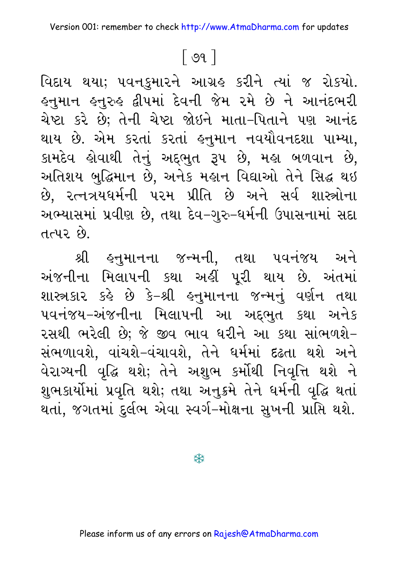#### 

વિદાય થયા; ૫વનકુમારને આગ્રહ કરીને ત્યાં જ રોકયો. હનુમાન હનુરુહ દ્વીપમાં દેવની જેમ રમે છે ને આનંદભરી ચેષ્ટા કરે છે; તેની ચેષ્ટા જોઇને માતા–પિતાને પણ આનંદ થાય છે. એમ કરતાં કરતાં હનુમાન નવયૌવનદશા પામ્યા, કામદેવ હોવાથી તેનું અદ્દભુત રૂપ છે, મહા બળવાન છે, અતિશય બુદ્ધિમાન છે, અનેક મહાન વિદ્યાઓ તેને સિદ્ધ થઇ છે. રત્નત્રયધર્મની પરમ પ્રીતિ છે અને સર્વ શાસ્ત્રોના અભ્યાસમાં પ્રવીણ છે, તથા દેવ–ગુરુ–ધર્મની ઉપાસનામાં સદા તત્પર છે

શ્રી હનુમાનના જન્મની, તથા ૫વનંજય અને અંજનીના મિલાપની કથા અહીં પૂરી થાય છે. અંતમાં શાસ્ત્રકાર કહે છે કે-શ્રી હનુમાનના જન્મનું વર્ણન તથા પવનંજય–અંજનીના મિલાપની આ અદ્દભુત કથા અનેક રસથી ભરેલી છે; જે જીવ ભાવ ધરીને આ કથા સાંભળશે– સંભળાવશે, વાંચશે–વંચાવશે, તેને ઘર્મમાં દઢતા થશે અને વેરાગ્યની વૃદ્ધિ થશે; તેને અશુભ કર્મોથી નિવૃત્તિ થશે ને શુભકાર્યોમાં પ્રવૃતિ થશે; તથા અનુક્રમે તેને ધર્મની વૃદ્ધિ થતાં થતાં, જગતમાં દુર્લભ એવા સ્વર્ગ–મોક્ષના સુખની પ્રાપ્તિ થશે.

茶